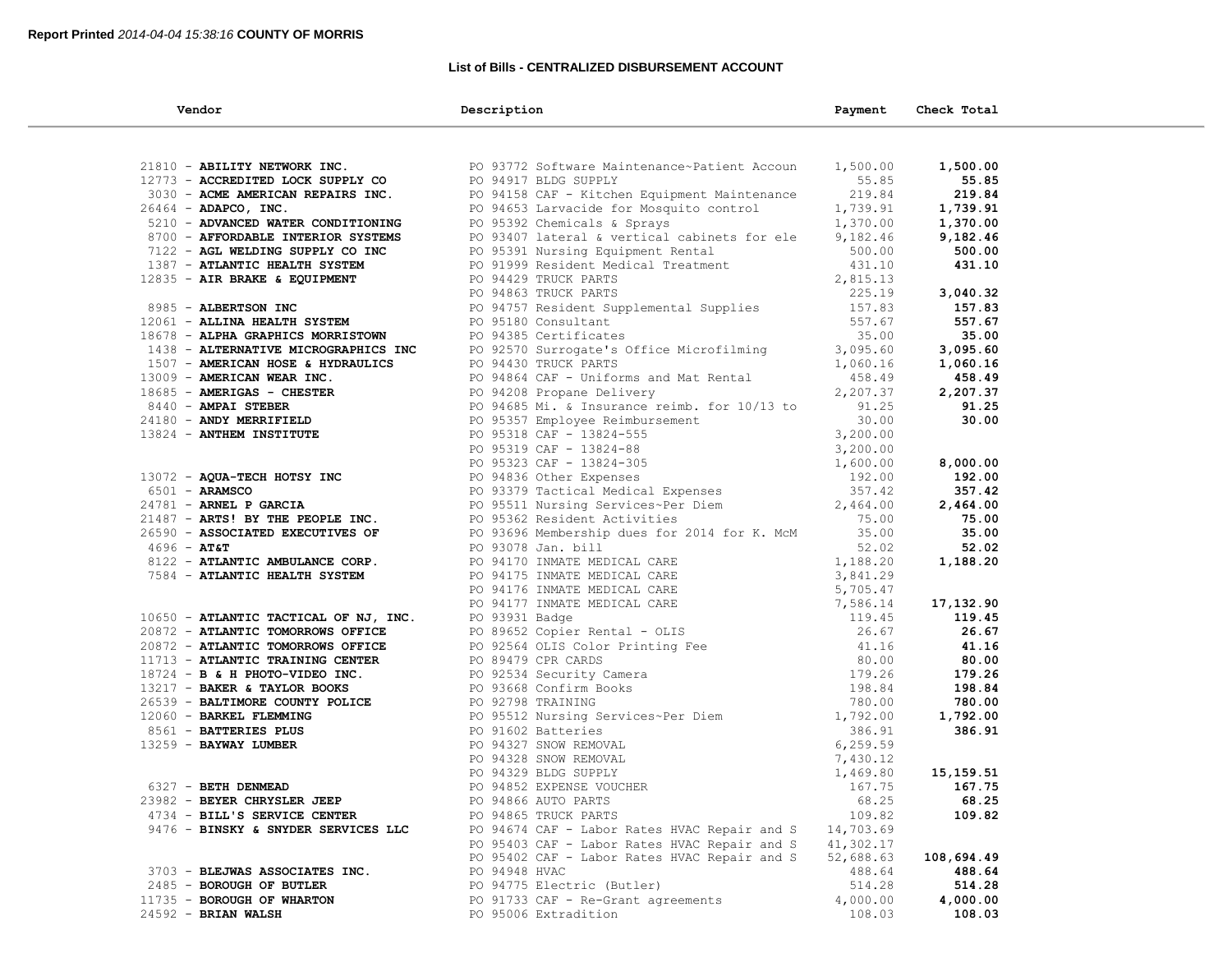### **List of Bills - CENTRALIZED DISBURSEMENT ACCOUNT**

| Vendor                                                                                                                                                                                                                               | Description                                                                                                                                                                                                                                                                        | Payment   | Check Total      |
|--------------------------------------------------------------------------------------------------------------------------------------------------------------------------------------------------------------------------------------|------------------------------------------------------------------------------------------------------------------------------------------------------------------------------------------------------------------------------------------------------------------------------------|-----------|------------------|
|                                                                                                                                                                                                                                      |                                                                                                                                                                                                                                                                                    |           |                  |
| 21810 - ABILITY NETWORK INC.                                                                                                                                                                                                         | PO 93772 Software Maintenance~Patient Accoun                                                                                                                                                                                                                                       | 1,500.00  | 1,500.00         |
| 12773 - ACCREDITED LOCK SUPPLY CO                                                                                                                                                                                                    | PO 94917 BLDG SUPPLY                                                                                                                                                                                                                                                               | 55.85     | 55.85            |
| 3030 - ACME AMERICAN REPAIRS INC.                                                                                                                                                                                                    | PO 94158 CAF - Kitchen Equipment Maintenance                                                                                                                                                                                                                                       | 219.84    | 219.84           |
| 26464 - ADAPCO, INC.                                                                                                                                                                                                                 |                                                                                                                                                                                                                                                                                    | 1,739.91  | 1,739.91         |
| 5210 - ADVANCED WATER CONDITIONING                                                                                                                                                                                                   | PO 94653 Larvacide for Mosquito control<br>PO 95392 Chemicals & Sprays                                                                                                                                                                                                             | 1,370.00  | 1,370.00         |
| <b>THE SET OF SET OF SET OF SET OF SET OF SET OF SET OF SET OF SET OF SET OF SET OF SET OF SET OF SET OF SET OF SET OF SET OF SET OF SET OF SET OF SET OF SET OF SET OF SET OF SET OF SET OF SET OF SET OF SET OF SET OF SET OF </b> | PO 93407 lateral & vertical cabinets for ele                                                                                                                                                                                                                                       | 9,182.46  | 9,182.46         |
|                                                                                                                                                                                                                                      |                                                                                                                                                                                                                                                                                    |           | 500.00           |
|                                                                                                                                                                                                                                      |                                                                                                                                                                                                                                                                                    |           | 431.10           |
|                                                                                                                                                                                                                                      |                                                                                                                                                                                                                                                                                    |           |                  |
|                                                                                                                                                                                                                                      | 9,182.46<br>PO 95391 Nursing Equipment Rental<br>PO 91999 Resident Medical Treatment<br>PO 94429 TRUCK PARTS<br>PO 94757 Resident Supplemental Supplies<br>PO 94757 Resident Supplemental Supplies<br>PO 95180 Consultant<br>PO 95180 Consul                                       |           | 3,040.32         |
|                                                                                                                                                                                                                                      |                                                                                                                                                                                                                                                                                    |           | 157.83           |
|                                                                                                                                                                                                                                      |                                                                                                                                                                                                                                                                                    |           | 557.67           |
|                                                                                                                                                                                                                                      |                                                                                                                                                                                                                                                                                    |           | 35.00            |
|                                                                                                                                                                                                                                      |                                                                                                                                                                                                                                                                                    |           | 3,095.60         |
|                                                                                                                                                                                                                                      |                                                                                                                                                                                                                                                                                    |           | 1,060.16         |
|                                                                                                                                                                                                                                      |                                                                                                                                                                                                                                                                                    |           | 458.49           |
|                                                                                                                                                                                                                                      |                                                                                                                                                                                                                                                                                    |           | 2,207.37         |
|                                                                                                                                                                                                                                      |                                                                                                                                                                                                                                                                                    |           | 91.25            |
|                                                                                                                                                                                                                                      |                                                                                                                                                                                                                                                                                    |           | 30.00            |
|                                                                                                                                                                                                                                      |                                                                                                                                                                                                                                                                                    |           |                  |
|                                                                                                                                                                                                                                      |                                                                                                                                                                                                                                                                                    |           |                  |
|                                                                                                                                                                                                                                      |                                                                                                                                                                                                                                                                                    |           | 8,000.00         |
|                                                                                                                                                                                                                                      |                                                                                                                                                                                                                                                                                    |           | 192.00<br>357.42 |
|                                                                                                                                                                                                                                      |                                                                                                                                                                                                                                                                                    |           | 2,464.00         |
|                                                                                                                                                                                                                                      | 1438 <b>- ALPER GRAPHICS MORRISTOWN</b><br>1438 <b>- ALPERNATIVE MICROGRAPHICS INC</b><br>16685 <b>- AMERICAN HORSE &amp; HYDRAULICS</b><br>16685 <b>- AMERICAN WEAR INC.</b><br>17060.16<br>17060.16<br>17060.16<br>17060.16<br>17060.16<br>17060.16<br>17060.16<br>1707 <b>-</b> |           | 75.00            |
| 26590 - ASSOCIATED EXECUTIVES OF                                                                                                                                                                                                     | PO 93696 Membership dues for 2014 for K. McM                                                                                                                                                                                                                                       | 35.00     | 35.00            |
| $4696 - AT&T$                                                                                                                                                                                                                        | PO 93078 Jan. bill<br>PO 94170 INMATE MEDICAL CARE                                                                                                                                                                                                                                 | 52.02     | 52.02            |
| 8122 - ATLANTIC AMBULANCE CORP.                                                                                                                                                                                                      |                                                                                                                                                                                                                                                                                    | 1,188.20  | 1,188.20         |
|                                                                                                                                                                                                                                      |                                                                                                                                                                                                                                                                                    |           |                  |
|                                                                                                                                                                                                                                      |                                                                                                                                                                                                                                                                                    |           |                  |
|                                                                                                                                                                                                                                      |                                                                                                                                                                                                                                                                                    |           | 17,132.90        |
|                                                                                                                                                                                                                                      |                                                                                                                                                                                                                                                                                    |           | 119.45           |
|                                                                                                                                                                                                                                      |                                                                                                                                                                                                                                                                                    |           | 26.67            |
|                                                                                                                                                                                                                                      |                                                                                                                                                                                                                                                                                    |           | 41.16            |
|                                                                                                                                                                                                                                      |                                                                                                                                                                                                                                                                                    |           | 80.00            |
|                                                                                                                                                                                                                                      |                                                                                                                                                                                                                                                                                    |           | 179.26           |
|                                                                                                                                                                                                                                      |                                                                                                                                                                                                                                                                                    |           | 198.84           |
|                                                                                                                                                                                                                                      |                                                                                                                                                                                                                                                                                    |           | 780.00           |
|                                                                                                                                                                                                                                      |                                                                                                                                                                                                                                                                                    |           | 1,792.00         |
|                                                                                                                                                                                                                                      |                                                                                                                                                                                                                                                                                    |           | 386.91           |
|                                                                                                                                                                                                                                      |                                                                                                                                                                                                                                                                                    |           |                  |
|                                                                                                                                                                                                                                      |                                                                                                                                                                                                                                                                                    |           | 15,159.51        |
|                                                                                                                                                                                                                                      |                                                                                                                                                                                                                                                                                    |           | 167.75           |
| 23982 - BEYER CHRYSLER JEEP                                                                                                                                                                                                          | 8122 <b>- ATLANTIC AMBULANCE CORP.</b><br>TO 94170 INMATE MEDICAL CARE 1,188.20<br>20175 <b>- ATLANTIC HEALTH SYSTEM</b> PO 94175 INMATE MEDICAL CARE 3,641.29<br>20872 <b>- ATLANTIC TOMORROWS OFFICE</b> PO 94177 INMATE MEDICAL CARE<br>20872 <b>- </b><br>PO 94866 AUTO PARTS  | 68.25     | 68.25            |
| 4734 - BILL'S SERVICE CENTER                                                                                                                                                                                                         | PO 94865 TRUCK PARTS                                                                                                                                                                                                                                                               | 109.82    | 109.82           |
| 9476 - BINSKY & SNYDER SERVICES LLC                                                                                                                                                                                                  | PO 94674 CAF - Labor Rates HVAC Repair and S                                                                                                                                                                                                                                       | 14,703.69 |                  |
|                                                                                                                                                                                                                                      | PO 95403 CAF - Labor Rates HVAC Repair and S                                                                                                                                                                                                                                       | 41,302.17 |                  |
|                                                                                                                                                                                                                                      | PO 95402 CAF - Labor Rates HVAC Repair and S                                                                                                                                                                                                                                       | 52,688.63 | 108,694.49       |
| 3703 - BLEJWAS ASSOCIATES INC.                                                                                                                                                                                                       | PO 94948 HVAC                                                                                                                                                                                                                                                                      | 488.64    | 488.64           |
| 2485 - BOROUGH OF BUTLER                                                                                                                                                                                                             | PO 94775 Electric (Butler)                                                                                                                                                                                                                                                         | 514.28    | 514.28           |
| 11735 - BOROUGH OF WHARTON                                                                                                                                                                                                           | PO 91733 CAF - Re-Grant agreements                                                                                                                                                                                                                                                 | 4,000.00  | 4,000.00         |
| 24592 - BRIAN WALSH                                                                                                                                                                                                                  | PO 95006 Extradition                                                                                                                                                                                                                                                               | 108.03    | 108.03           |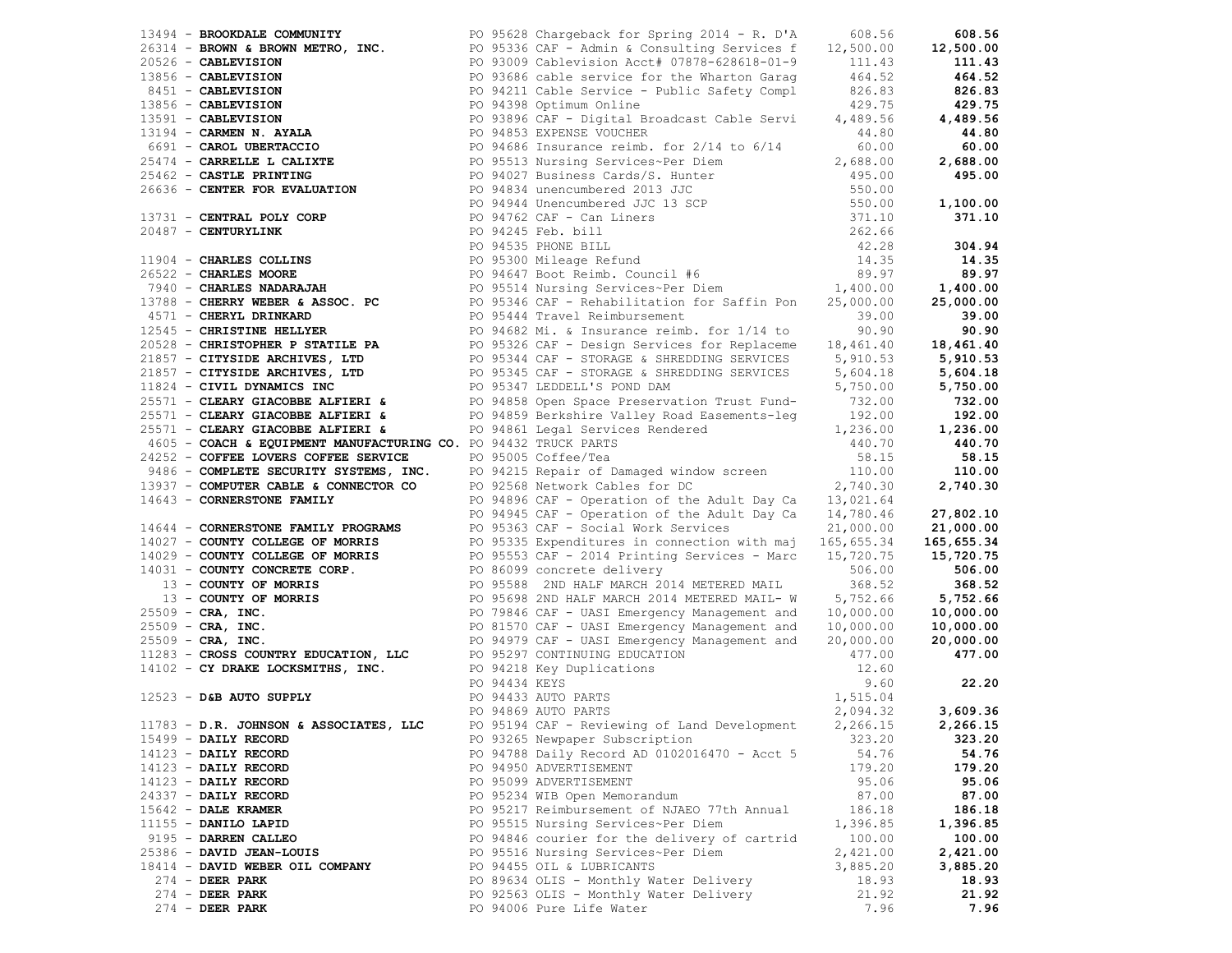|                                 |                                                                                                                                                                                                                              |          | 111.43   |
|---------------------------------|------------------------------------------------------------------------------------------------------------------------------------------------------------------------------------------------------------------------------|----------|----------|
|                                 |                                                                                                                                                                                                                              |          |          |
|                                 |                                                                                                                                                                                                                              |          |          |
|                                 |                                                                                                                                                                                                                              |          |          |
|                                 |                                                                                                                                                                                                                              |          |          |
|                                 |                                                                                                                                                                                                                              |          |          |
|                                 |                                                                                                                                                                                                                              |          |          |
|                                 |                                                                                                                                                                                                                              |          |          |
|                                 |                                                                                                                                                                                                                              |          |          |
|                                 |                                                                                                                                                                                                                              |          |          |
|                                 |                                                                                                                                                                                                                              |          |          |
|                                 |                                                                                                                                                                                                                              |          |          |
|                                 |                                                                                                                                                                                                                              |          |          |
|                                 |                                                                                                                                                                                                                              |          |          |
|                                 |                                                                                                                                                                                                                              |          |          |
|                                 |                                                                                                                                                                                                                              |          |          |
|                                 |                                                                                                                                                                                                                              |          |          |
|                                 |                                                                                                                                                                                                                              |          |          |
|                                 |                                                                                                                                                                                                                              |          |          |
|                                 |                                                                                                                                                                                                                              |          |          |
|                                 |                                                                                                                                                                                                                              |          |          |
|                                 |                                                                                                                                                                                                                              |          |          |
|                                 |                                                                                                                                                                                                                              |          |          |
|                                 |                                                                                                                                                                                                                              |          |          |
|                                 |                                                                                                                                                                                                                              |          |          |
|                                 |                                                                                                                                                                                                                              |          |          |
|                                 |                                                                                                                                                                                                                              |          |          |
|                                 |                                                                                                                                                                                                                              |          |          |
|                                 |                                                                                                                                                                                                                              |          |          |
|                                 |                                                                                                                                                                                                                              |          |          |
|                                 |                                                                                                                                                                                                                              |          |          |
|                                 |                                                                                                                                                                                                                              |          |          |
|                                 | 1914 - SHORT COMMITM PRODUCTS 221 - 2021 - 2022 - 2022 - 2022 - 2022 - 2022 - 2022 - 2022 - 2022 - 2022 - 2022 - 2022 - 2022 - 2022 - 2022 - 2022 - 2022 - 2022 - 2022 - 2022 - 2022 - 2022 - 2022 - 2022 - 2022 - 2022 - 20 |          |          |
|                                 |                                                                                                                                                                                                                              |          |          |
|                                 |                                                                                                                                                                                                                              |          |          |
|                                 |                                                                                                                                                                                                                              |          |          |
|                                 |                                                                                                                                                                                                                              |          |          |
|                                 |                                                                                                                                                                                                                              |          |          |
|                                 |                                                                                                                                                                                                                              |          |          |
|                                 |                                                                                                                                                                                                                              |          |          |
|                                 |                                                                                                                                                                                                                              |          |          |
|                                 |                                                                                                                                                                                                                              |          |          |
|                                 |                                                                                                                                                                                                                              |          |          |
|                                 |                                                                                                                                                                                                                              |          |          |
|                                 |                                                                                                                                                                                                                              |          |          |
|                                 |                                                                                                                                                                                                                              |          |          |
|                                 |                                                                                                                                                                                                                              |          |          |
|                                 |                                                                                                                                                                                                                              |          |          |
| $15499$ - DAILY RECORD          | PO 93265 Newpaper Subscription                                                                                                                                                                                               | 323.20   | 323.20   |
| $14123$ - DAILY RECORD          | PO 94788 Daily Record AD 0102016470 - Acct 5                                                                                                                                                                                 | 54.76    | 54.76    |
| $14123$ - DAILY RECORD          | PO 94950 ADVERTISEMENT                                                                                                                                                                                                       | 179.20   | 179.20   |
| $14123$ - DAILY RECORD          | PO 95099 ADVERTISEMENT                                                                                                                                                                                                       | 95.06    | 95.06    |
| $24337$ - DAILY RECORD          | PO 95234 WIB Open Memorandum                                                                                                                                                                                                 | 87.00    | 87.00    |
| $15642$ - DALE KRAMER           | PO 95217 Reimbursement of NJAEO 77th Annual                                                                                                                                                                                  | 186.18   | 186.18   |
| $11155$ - DANILO LAPID          | PO 95515 Nursing Services~Per Diem                                                                                                                                                                                           | 1,396.85 | 1,396.85 |
| 9195 - DARREN CALLEO            | PO 94846 courier for the delivery of cartrid                                                                                                                                                                                 | 100.00   | 100.00   |
| 25386 - DAVID JEAN-LOUIS        | PO 95516 Nursing Services~Per Diem                                                                                                                                                                                           | 2,421.00 | 2,421.00 |
| 18414 - DAVID WEBER OIL COMPANY | PO 94455 OIL & LUBRICANTS                                                                                                                                                                                                    | 3,885.20 | 3,885.20 |
| $274$ - DEER PARK               | PO 89634 OLIS - Monthly Water Delivery                                                                                                                                                                                       | 18.93    | 18.93    |
| $274$ - DEER PARK               | PO 92563 OLIS - Monthly Water Delivery                                                                                                                                                                                       | 21.92    | 21.92    |
| 274 - DEER PARK                 | PO 94006 Pure Life Water                                                                                                                                                                                                     | 7.96     | 7.96     |
|                                 |                                                                                                                                                                                                                              |          |          |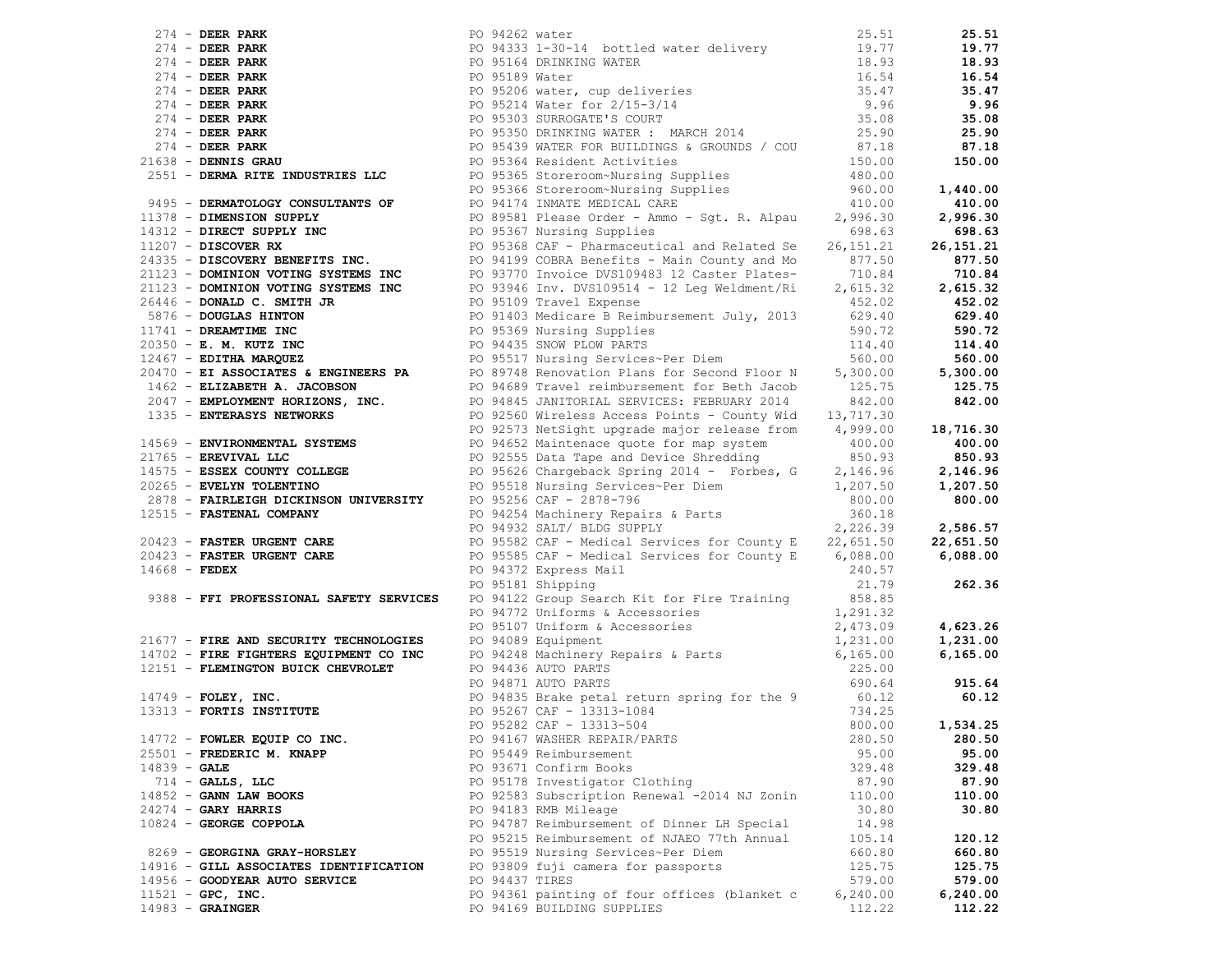| 2/14 <b>DETA PARK PRODUCTS (20</b> 22/22 STeve 14 Martin 2011 22/23 STEV 2012 22/23 22/23 22/24 <b>DETA PARK PRODUCTS (20</b> 23-23 22/24 <b>DETA PARK PRODUCTS (20</b> 23-23 22/24 <b>DETA PARK PRODUCTS (20 23 22/24 PRODUCTS (20 23 22/24</b> |                |                                              |           |           |
|--------------------------------------------------------------------------------------------------------------------------------------------------------------------------------------------------------------------------------------------------|----------------|----------------------------------------------|-----------|-----------|
|                                                                                                                                                                                                                                                  |                |                                              |           |           |
|                                                                                                                                                                                                                                                  |                |                                              |           |           |
|                                                                                                                                                                                                                                                  |                |                                              |           |           |
|                                                                                                                                                                                                                                                  |                |                                              |           |           |
|                                                                                                                                                                                                                                                  |                |                                              |           |           |
|                                                                                                                                                                                                                                                  |                |                                              |           |           |
|                                                                                                                                                                                                                                                  |                |                                              |           |           |
|                                                                                                                                                                                                                                                  |                |                                              |           |           |
|                                                                                                                                                                                                                                                  |                |                                              |           |           |
|                                                                                                                                                                                                                                                  |                |                                              |           |           |
|                                                                                                                                                                                                                                                  |                |                                              |           |           |
|                                                                                                                                                                                                                                                  |                |                                              |           |           |
|                                                                                                                                                                                                                                                  |                |                                              |           |           |
|                                                                                                                                                                                                                                                  |                |                                              |           |           |
|                                                                                                                                                                                                                                                  |                |                                              |           |           |
|                                                                                                                                                                                                                                                  |                |                                              |           |           |
|                                                                                                                                                                                                                                                  |                |                                              |           |           |
|                                                                                                                                                                                                                                                  |                |                                              |           |           |
|                                                                                                                                                                                                                                                  |                |                                              |           |           |
|                                                                                                                                                                                                                                                  |                |                                              |           |           |
|                                                                                                                                                                                                                                                  |                |                                              |           |           |
|                                                                                                                                                                                                                                                  |                |                                              |           |           |
|                                                                                                                                                                                                                                                  |                |                                              |           |           |
|                                                                                                                                                                                                                                                  |                |                                              |           |           |
|                                                                                                                                                                                                                                                  |                |                                              |           |           |
|                                                                                                                                                                                                                                                  |                |                                              |           |           |
|                                                                                                                                                                                                                                                  |                |                                              |           |           |
|                                                                                                                                                                                                                                                  |                |                                              |           |           |
|                                                                                                                                                                                                                                                  |                |                                              |           |           |
|                                                                                                                                                                                                                                                  |                |                                              |           |           |
|                                                                                                                                                                                                                                                  |                |                                              |           |           |
|                                                                                                                                                                                                                                                  |                |                                              |           |           |
|                                                                                                                                                                                                                                                  |                |                                              |           |           |
|                                                                                                                                                                                                                                                  |                |                                              |           |           |
|                                                                                                                                                                                                                                                  |                |                                              |           |           |
|                                                                                                                                                                                                                                                  |                |                                              |           |           |
|                                                                                                                                                                                                                                                  |                |                                              |           |           |
|                                                                                                                                                                                                                                                  |                |                                              |           |           |
|                                                                                                                                                                                                                                                  |                |                                              |           |           |
|                                                                                                                                                                                                                                                  |                |                                              |           |           |
|                                                                                                                                                                                                                                                  |                | PO 95181 Shipping                            | 21.79     | 262.36    |
|                                                                                                                                                                                                                                                  |                |                                              |           |           |
|                                                                                                                                                                                                                                                  |                |                                              |           |           |
|                                                                                                                                                                                                                                                  |                |                                              |           | 4,623.26  |
| 9388 - FFI PROFESSIONAL SAFETY SERVICES<br>PO 94122 Uniforms & Accessories<br>PO 94172 Uniforms & Accessories<br>PO 94772 Uniforms & Accessories<br>PO 95107 Uniforms & Accessories<br>PO 95107 Uniforms & Accessories<br>PO 962428 Machi        |                |                                              |           | 1,231.00  |
|                                                                                                                                                                                                                                                  |                |                                              |           | 6, 165.00 |
|                                                                                                                                                                                                                                                  |                |                                              |           |           |
|                                                                                                                                                                                                                                                  |                |                                              |           | 915.64    |
|                                                                                                                                                                                                                                                  |                |                                              |           | 60.12     |
|                                                                                                                                                                                                                                                  |                |                                              |           |           |
|                                                                                                                                                                                                                                                  |                | PO 95282 CAF - 13313-504                     |           |           |
|                                                                                                                                                                                                                                                  |                |                                              | 800.00    | 1,534.25  |
| 14772 - FOWLER EQUIP CO INC.                                                                                                                                                                                                                     |                | PO 94167 WASHER REPAIR/PARTS                 | 280.50    | 280.50    |
| 25501 - FREDERIC M. KNAPP                                                                                                                                                                                                                        |                | PO 95449 Reimbursement                       | 95.00     | 95.00     |
| $14839 - GALE$                                                                                                                                                                                                                                   |                | PO 93671 Confirm Books                       | 329.48    | 329.48    |
| $714$ - GALLS, LLC                                                                                                                                                                                                                               |                | PO 95178 Investigator Clothing               | 87.90     | 87.90     |
| $14852 - GANN$ LAW BOOKS                                                                                                                                                                                                                         |                | PO 92583 Subscription Renewal -2014 NJ Zonin | 110.00    | 110.00    |
| $24274$ - GARY HARRIS                                                                                                                                                                                                                            |                | PO 94183 RMB Mileage                         | 30.80     | 30.80     |
| $10824$ - GEORGE COPPOLA                                                                                                                                                                                                                         |                | PO 94787 Reimbursement of Dinner LH Special  | 14.98     |           |
|                                                                                                                                                                                                                                                  |                | PO 95215 Reimbursement of NJAEO 77th Annual  | 105.14    | 120.12    |
| 8269 - GEORGINA GRAY-HORSLEY                                                                                                                                                                                                                     |                | PO 95519 Nursing Services~Per Diem           | 660.80    | 660.80    |
| 14916 - GILL ASSOCIATES IDENTIFICATION                                                                                                                                                                                                           |                | PO 93809 fuji camera for passports           | 125.75    | 125.75    |
| 14956 - GOODYEAR AUTO SERVICE                                                                                                                                                                                                                    | PO 94437 TIRES |                                              | 579.00    | 579.00    |
| $11521 - GPC$ , INC.                                                                                                                                                                                                                             |                | PO 94361 painting of four offices (blanket c | 6, 240.00 | 6,240.00  |
| $14983 - \text{GRAINGER}$                                                                                                                                                                                                                        |                | PO 94169 BUILDING SUPPLIES                   | 112.22    | 112.22    |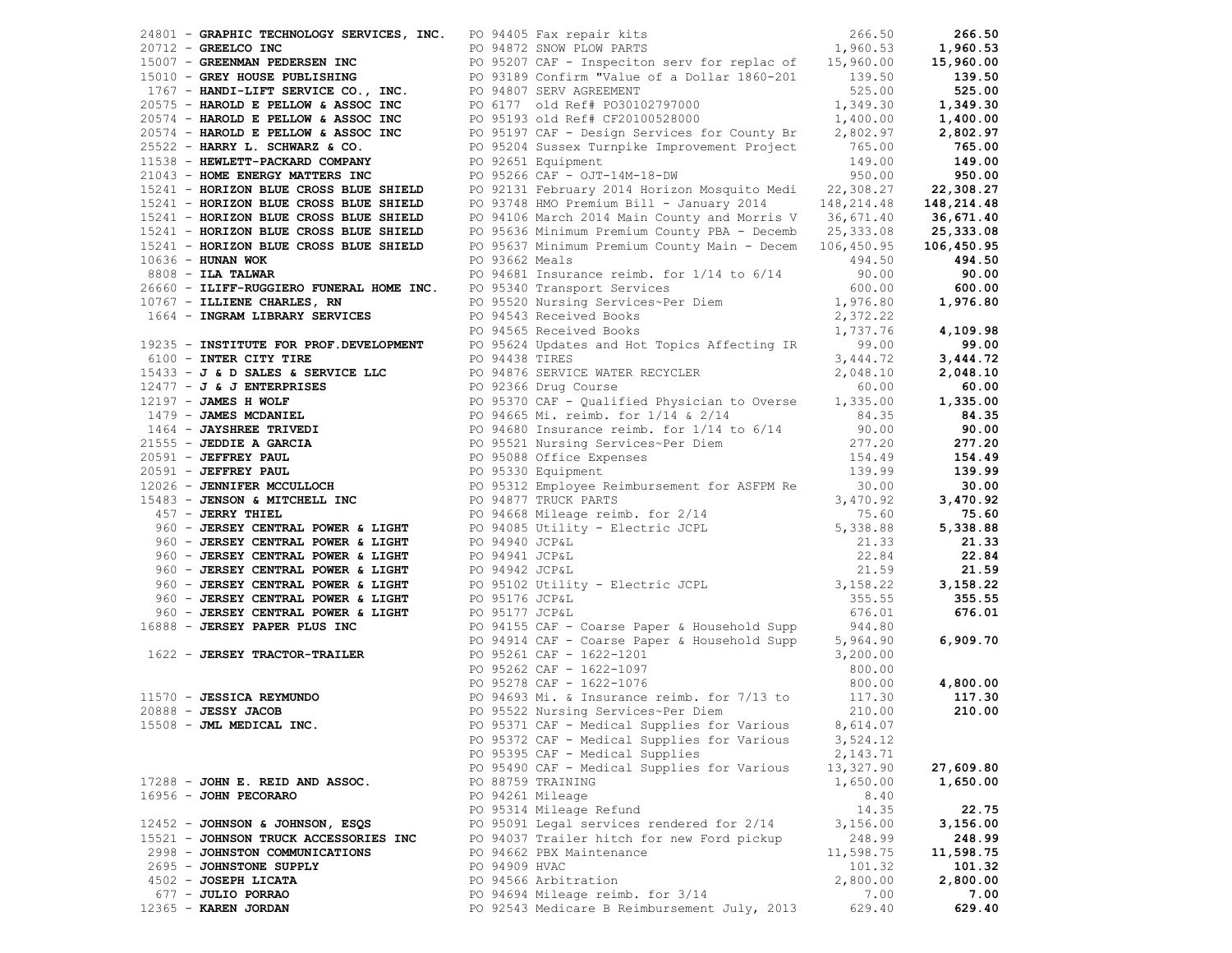|                                                                    |               | 24801 - GRAPHIC TECHNOLOGY SERVICES, INC. PO 94405 Fax repair kits 6 6 19972 CONTENTS 20712 - GREELCO INC 200.53                                                                                                                                                         |            | 266.50     |
|--------------------------------------------------------------------|---------------|--------------------------------------------------------------------------------------------------------------------------------------------------------------------------------------------------------------------------------------------------------------------------|------------|------------|
|                                                                    |               | 20712 <b>GREELCO INC</b><br>20712 <b>GREENMAN PEDERSEN INC</b><br>2099189 Confirm "Value of a Dollar 1860-201<br>2099189 Confirm "Value of a Dollar 1860-201<br>2099189 Confirm "Value of a Dollar 1860-201<br>2099189 Confirm "Value of a Dollar                        |            | 1,960.53   |
|                                                                    |               |                                                                                                                                                                                                                                                                          |            | 15,960.00  |
|                                                                    |               |                                                                                                                                                                                                                                                                          |            | 139.50     |
|                                                                    |               |                                                                                                                                                                                                                                                                          |            | 525.00     |
|                                                                    |               |                                                                                                                                                                                                                                                                          |            | 1,349.30   |
|                                                                    |               |                                                                                                                                                                                                                                                                          |            | 1,400.00   |
|                                                                    |               |                                                                                                                                                                                                                                                                          |            | 2,802.97   |
|                                                                    |               |                                                                                                                                                                                                                                                                          |            | 765.00     |
|                                                                    |               | 20574 <b>HAROLD E PELLOW &amp; ASSOC INC</b><br>20574 <b>HAROLD E PELLOW &amp; ASSOC INC</b> PO 95197 CAF - Design Services for County Br 2,802.97<br>25522 - <b>HARRY L. SCHWARZ &amp; CO.</b> PO 95204 Sussex Turnpike Improvement Project 765.00<br>25522 - <b>HA</b> |            | 149.00     |
| 11538 - HEWLETT-PACKARD COMPANY<br>21043 - HOME ENERGY MATTERS INC |               | PO 95266 CAF - OJT-14M-18-DW                                                                                                                                                                                                                                             | 950.00     |            |
|                                                                    |               |                                                                                                                                                                                                                                                                          |            | 950.00     |
| 15241 - HORIZON BLUE CROSS BLUE SHIELD                             |               | PO 92131 February 2014 Horizon Mosquito Medi 22,308.27                                                                                                                                                                                                                   |            | 22,308.27  |
| 15241 - HORIZON BLUE CROSS BLUE SHIELD                             |               | PO 93748 HMO Premium Bill - January 2014 148, 214.48                                                                                                                                                                                                                     |            | 148,214.48 |
| 15241 - HORIZON BLUE CROSS BLUE SHIELD                             |               | PO 94106 March 2014 Main County and Morris V 36,671.40                                                                                                                                                                                                                   |            | 36,671.40  |
| 15241 - HORIZON BLUE CROSS BLUE SHIELD                             |               | PO 95636 Minimum Premium County PBA - Decemb 25,333.08                                                                                                                                                                                                                   |            | 25,333.08  |
| 15241 - HORIZON BLUE CROSS BLUE SHIELD                             |               | PO 95637 Minimum Premium County Main - Decem 106,450.95                                                                                                                                                                                                                  |            | 106,450.95 |
| $10636$ - HUNAN WOK                                                |               | PO 93662 Meals                                                                                                                                                                                                                                                           | 494.50     | 494.50     |
| $8808$ - ILA TALWAR                                                |               | PO 94681 Insurance reimb. for 1/14 to 6/14                                                                                                                                                                                                                               | 90.00      | 90.00      |
|                                                                    |               | 26660 - ILIFF-RUGGIERO FUNERAL HOME INC. PO 95340 Transport Services 600.00<br>10767 - ILLIENE CHARLES, RN PO 95520 Nursing Services~Per Diem 1,976.80<br>1664 - INGRAM LIBRARY SERVICES PO 94543 Received Books 2,372.22<br>PO 94565 R                                  |            | 600.00     |
|                                                                    |               |                                                                                                                                                                                                                                                                          |            | 1,976.80   |
|                                                                    |               |                                                                                                                                                                                                                                                                          |            |            |
|                                                                    |               |                                                                                                                                                                                                                                                                          | 1,737.76   | 4,109.98   |
|                                                                    |               |                                                                                                                                                                                                                                                                          |            | 99.00      |
|                                                                    |               | 20 34300 Received Douts<br>19235 - <b>INSTITUTE FOR PROF.DEVELOPMENT</b> PO 95624 Updates and Hot Topics Affecting IR 3,444.72<br>2,444.72 PO 94438 TIRES                                                                                                                |            | 3,444.72   |
|                                                                    |               |                                                                                                                                                                                                                                                                          |            | 2,048.10   |
|                                                                    |               |                                                                                                                                                                                                                                                                          |            | 60.00      |
|                                                                    |               |                                                                                                                                                                                                                                                                          |            | 1,335.00   |
|                                                                    |               |                                                                                                                                                                                                                                                                          |            | 84.35      |
|                                                                    |               |                                                                                                                                                                                                                                                                          |            | 90.00      |
|                                                                    |               |                                                                                                                                                                                                                                                                          |            | 277.20     |
|                                                                    |               |                                                                                                                                                                                                                                                                          |            | 154.49     |
|                                                                    |               |                                                                                                                                                                                                                                                                          |            | 139.99     |
|                                                                    |               | CO - INTER CITY THE PO 94438 TIRES<br>16100 - INTER CITY THE PO 94438 TIRES<br>16431 - J & J ENIES & SERVICE MACHER RECYCLER<br>16147 - JAMES HOLDER INTER-POSITION COURSE (2018: 1999)<br>1719 - JAMES MCDANIEL PO 9530 Equipment Fo                                    |            | 30.00      |
|                                                                    |               |                                                                                                                                                                                                                                                                          |            |            |
|                                                                    |               |                                                                                                                                                                                                                                                                          |            | 3,470.92   |
|                                                                    |               |                                                                                                                                                                                                                                                                          |            | 75.60      |
|                                                                    |               |                                                                                                                                                                                                                                                                          |            | 5,338.88   |
|                                                                    |               |                                                                                                                                                                                                                                                                          |            | 21.33      |
|                                                                    |               |                                                                                                                                                                                                                                                                          |            | 22.84      |
|                                                                    |               |                                                                                                                                                                                                                                                                          |            | 21.59      |
|                                                                    |               |                                                                                                                                                                                                                                                                          |            | 3,158.22   |
|                                                                    |               |                                                                                                                                                                                                                                                                          |            | 355.55     |
|                                                                    |               |                                                                                                                                                                                                                                                                          |            | 676.01     |
| 16888 - JERSEY PAPER PLUS INC                                      |               | PO 94155 CAF - Coarse Paper & Household Supp 944.80                                                                                                                                                                                                                      |            |            |
|                                                                    |               | PO 94914 CAF - Coarse Paper & Household Supp                                                                                                                                                                                                                             | 5,964.90   | 6,909.70   |
|                                                                    |               | 1622 - JERSEY TRACTOR-TRAILER<br>PO 95261 CAF - 1622-1201<br>PO 95262 CAF - 1622-1097<br>PO 95278 CAF - 1622-1076                                                                                                                                                        | 3,200.00   |            |
|                                                                    |               |                                                                                                                                                                                                                                                                          | 800.00     |            |
|                                                                    |               |                                                                                                                                                                                                                                                                          |            | 4,800.00   |
|                                                                    |               | 11570 <b>JESSICA REYMUNDO</b><br>200.00 PO 95278 CAF - 1622-1076 800.00<br>20088 - <b>JESSY JACOB</b><br>200.00 PO 94693 Mi. & Insurance reimb. for 7/13 to 117.30<br>210.00 PO 95522 Nursing Services~Per Diem 210.00                                                   |            | 117.30     |
|                                                                    |               |                                                                                                                                                                                                                                                                          |            | 210.00     |
| 15508 - JML MEDICAL INC.                                           |               | PO 95371 CAF - Medical Supplies for Various 8,614.07                                                                                                                                                                                                                     |            |            |
|                                                                    |               | PO 95372 CAF - Medical Supplies for Various                                                                                                                                                                                                                              | 3,524.12   |            |
|                                                                    |               | PO 95395 CAF - Medical Supplies                                                                                                                                                                                                                                          | 2, 143. 71 |            |
|                                                                    |               | PO 95490 CAF - Medical Supplies for Various                                                                                                                                                                                                                              | 13,327.90  | 27,609.80  |
| 17288 - JOHN E. REID AND ASSOC.                                    |               | PO 88759 TRAINING                                                                                                                                                                                                                                                        | 1,650.00   | 1,650.00   |
| $16956 -$ JOHN PECORARO                                            |               | PO 94261 Mileage                                                                                                                                                                                                                                                         | 8.40       |            |
|                                                                    |               | PO 95314 Mileage Refund                                                                                                                                                                                                                                                  | 14.35      | 22.75      |
| 12452 - JOHNSON & JOHNSON, ESQS                                    |               | PO 95091 Legal services rendered for 2/14                                                                                                                                                                                                                                | 3,156.00   | 3,156.00   |
| 15521 - JOHNSON TRUCK ACCESSORIES INC                              |               | PO 94037 Trailer hitch for new Ford pickup                                                                                                                                                                                                                               | 248.99     | 248.99     |
| 2998 - JOHNSTON COMMUNICATIONS                                     |               | PO 94662 PBX Maintenance                                                                                                                                                                                                                                                 | 11,598.75  | 11,598.75  |
| 2695 - JOHNSTONE SUPPLY                                            | PO 94909 HVAC |                                                                                                                                                                                                                                                                          | 101.32     |            |
|                                                                    |               | PO 94566 Arbitration                                                                                                                                                                                                                                                     |            | 101.32     |
| 4502 - JOSEPH LICATA                                               |               |                                                                                                                                                                                                                                                                          | 2,800.00   | 2,800.00   |
| 677 - JULIO PORRAO                                                 |               | PO 94694 Mileage reimb. for 3/14                                                                                                                                                                                                                                         | 7.00       | 7.00       |
| 12365 - KAREN JORDAN                                               |               | PO 92543 Medicare B Reimbursement July, 2013                                                                                                                                                                                                                             | 629.40     | 629.40     |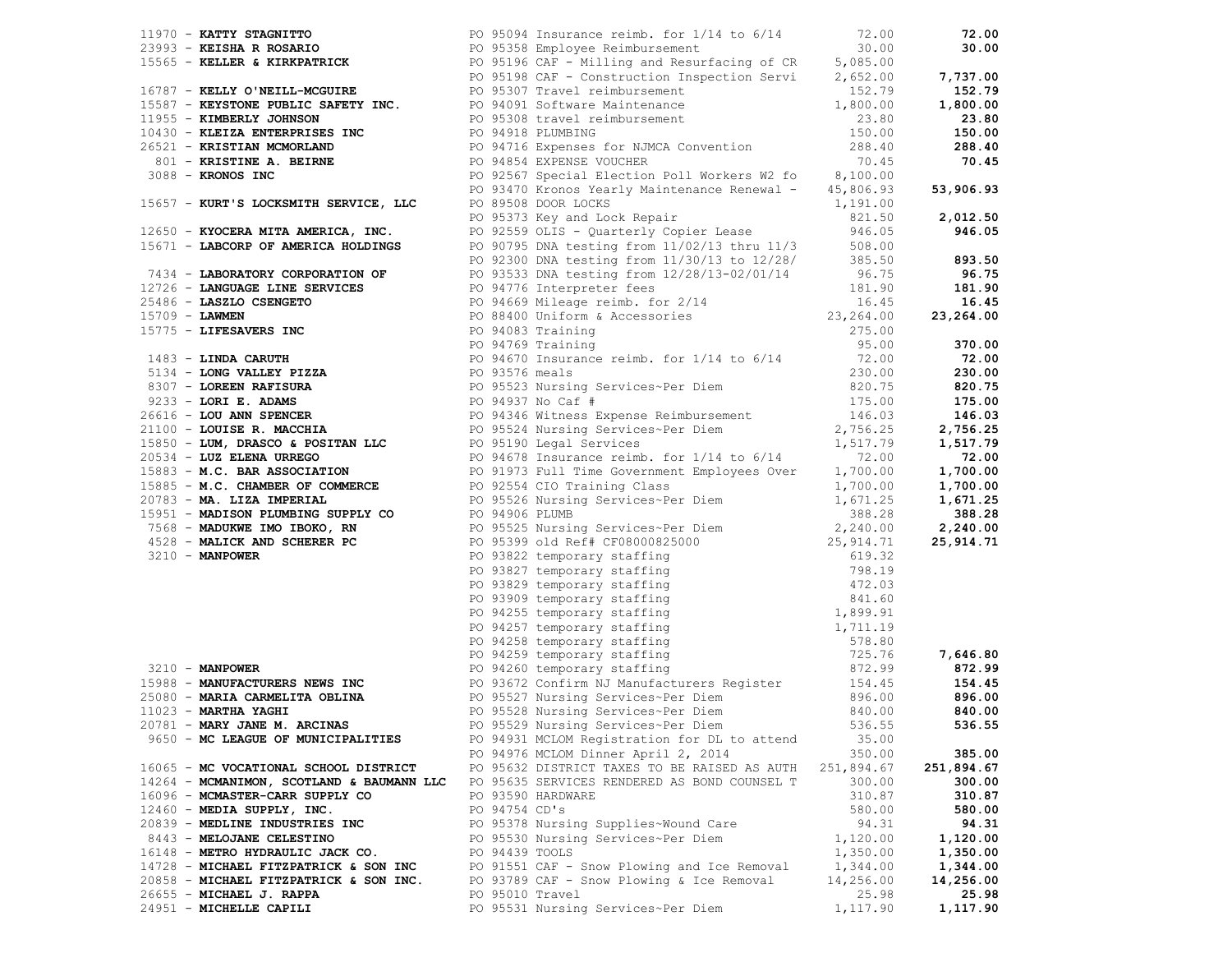|                                        |                |                                                                                                                                                                                                                                                                                                                                                                                                                                                                                                                                  |            | 72.00      |
|----------------------------------------|----------------|----------------------------------------------------------------------------------------------------------------------------------------------------------------------------------------------------------------------------------------------------------------------------------------------------------------------------------------------------------------------------------------------------------------------------------------------------------------------------------------------------------------------------------|------------|------------|
|                                        |                | 1970 <b>- KATTY STAGNITTO</b><br>23993 <b>- KEISHA R ROSARIO</b><br>23993 <b>- KEISHA R ROSARIO</b><br>26 95094 Insurance reimb. for 1/14 to 6/14<br>272.00<br>27.00<br>27.00<br>27.00<br>26 - <b>KEILER &amp; KIRKPATRICK</b><br>26 001 <b>- KEILY O'NEILI-MCGUIRE</b><br>26 0                                                                                                                                                                                                                                                  |            | 30.00      |
|                                        |                |                                                                                                                                                                                                                                                                                                                                                                                                                                                                                                                                  |            |            |
|                                        |                |                                                                                                                                                                                                                                                                                                                                                                                                                                                                                                                                  |            | 7,737.00   |
|                                        |                |                                                                                                                                                                                                                                                                                                                                                                                                                                                                                                                                  |            | 152.79     |
|                                        |                |                                                                                                                                                                                                                                                                                                                                                                                                                                                                                                                                  |            | 1,800.00   |
|                                        |                |                                                                                                                                                                                                                                                                                                                                                                                                                                                                                                                                  |            | 23.80      |
|                                        |                |                                                                                                                                                                                                                                                                                                                                                                                                                                                                                                                                  |            | 150.00     |
|                                        |                |                                                                                                                                                                                                                                                                                                                                                                                                                                                                                                                                  |            | 288.40     |
|                                        |                |                                                                                                                                                                                                                                                                                                                                                                                                                                                                                                                                  |            | 70.45      |
| $3088 -$ KRONOS INC                    |                | PO 92567 Special Election Poll Workers W2 fo 8,100.00                                                                                                                                                                                                                                                                                                                                                                                                                                                                            |            |            |
|                                        |                | PO 93470 Kronos Yearly Maintenance Renewal - 45,806.93                                                                                                                                                                                                                                                                                                                                                                                                                                                                           |            | 53,906.93  |
| 15657 - KURT'S LOCKSMITH SERVICE, LLC  |                |                                                                                                                                                                                                                                                                                                                                                                                                                                                                                                                                  |            |            |
|                                        |                | PO 89508 DOOR LOCKS 1,191.00<br>PO 95373 Key and Lock Repair (821.50<br>PO 92559 OLIS - Quarterly Copier Lease (946.05                                                                                                                                                                                                                                                                                                                                                                                                           |            | 2,012.50   |
| 12650 - KYOCERA MITA AMERICA, INC.     |                |                                                                                                                                                                                                                                                                                                                                                                                                                                                                                                                                  |            | 946.05     |
|                                        |                |                                                                                                                                                                                                                                                                                                                                                                                                                                                                                                                                  |            |            |
|                                        |                |                                                                                                                                                                                                                                                                                                                                                                                                                                                                                                                                  |            |            |
|                                        |                |                                                                                                                                                                                                                                                                                                                                                                                                                                                                                                                                  |            |            |
|                                        |                |                                                                                                                                                                                                                                                                                                                                                                                                                                                                                                                                  |            |            |
|                                        |                |                                                                                                                                                                                                                                                                                                                                                                                                                                                                                                                                  |            |            |
|                                        |                |                                                                                                                                                                                                                                                                                                                                                                                                                                                                                                                                  |            |            |
|                                        |                |                                                                                                                                                                                                                                                                                                                                                                                                                                                                                                                                  |            |            |
|                                        |                |                                                                                                                                                                                                                                                                                                                                                                                                                                                                                                                                  |            |            |
|                                        |                |                                                                                                                                                                                                                                                                                                                                                                                                                                                                                                                                  |            |            |
|                                        |                |                                                                                                                                                                                                                                                                                                                                                                                                                                                                                                                                  |            |            |
|                                        |                |                                                                                                                                                                                                                                                                                                                                                                                                                                                                                                                                  |            |            |
|                                        |                |                                                                                                                                                                                                                                                                                                                                                                                                                                                                                                                                  |            |            |
|                                        |                |                                                                                                                                                                                                                                                                                                                                                                                                                                                                                                                                  |            |            |
|                                        |                |                                                                                                                                                                                                                                                                                                                                                                                                                                                                                                                                  |            |            |
|                                        |                |                                                                                                                                                                                                                                                                                                                                                                                                                                                                                                                                  |            |            |
|                                        |                |                                                                                                                                                                                                                                                                                                                                                                                                                                                                                                                                  |            |            |
|                                        |                |                                                                                                                                                                                                                                                                                                                                                                                                                                                                                                                                  |            |            |
|                                        |                |                                                                                                                                                                                                                                                                                                                                                                                                                                                                                                                                  |            |            |
|                                        |                |                                                                                                                                                                                                                                                                                                                                                                                                                                                                                                                                  |            |            |
|                                        |                |                                                                                                                                                                                                                                                                                                                                                                                                                                                                                                                                  |            |            |
|                                        |                |                                                                                                                                                                                                                                                                                                                                                                                                                                                                                                                                  |            |            |
|                                        |                |                                                                                                                                                                                                                                                                                                                                                                                                                                                                                                                                  |            |            |
|                                        |                |                                                                                                                                                                                                                                                                                                                                                                                                                                                                                                                                  |            |            |
|                                        |                |                                                                                                                                                                                                                                                                                                                                                                                                                                                                                                                                  |            |            |
|                                        |                |                                                                                                                                                                                                                                                                                                                                                                                                                                                                                                                                  |            |            |
|                                        |                |                                                                                                                                                                                                                                                                                                                                                                                                                                                                                                                                  |            |            |
|                                        |                |                                                                                                                                                                                                                                                                                                                                                                                                                                                                                                                                  |            |            |
|                                        |                |                                                                                                                                                                                                                                                                                                                                                                                                                                                                                                                                  |            |            |
|                                        |                |                                                                                                                                                                                                                                                                                                                                                                                                                                                                                                                                  |            |            |
|                                        |                |                                                                                                                                                                                                                                                                                                                                                                                                                                                                                                                                  |            |            |
|                                        |                |                                                                                                                                                                                                                                                                                                                                                                                                                                                                                                                                  |            | 7,646.80   |
|                                        |                |                                                                                                                                                                                                                                                                                                                                                                                                                                                                                                                                  |            |            |
|                                        |                | 19650 - KVOCHRA MITRA AMERICA, INC. 1962-733 Nav and Lock Rensit (1971) - 241.50 221.50<br>19650 - <b>IAROCHO OF MARTICA ROCK CONTRACT (1971)</b> - 2001, 2002, 2002, 2002, 2002, 2002, 2002, 2002, 2002, 2002, 2002, 2002, 2002, 20<br>15988 <b>MANUFACTURERS NEWS INC</b><br>25080 <b>- MARIA CARMELITA OBLINA</b><br>25080 <b>- MARIA CARMELITA OBLINA</b><br>26.00<br>2023 <b>- MARTHA YAGHI</b><br>2023 <b>- MARTHA YAGHI</b><br>2023 <b>- MARTHA YAGHI</b><br>2023 <b>- MARTHA YAGHI</b><br>2023 <b>- MARTHA YAGHI</b><br> |            | 154.45     |
|                                        |                |                                                                                                                                                                                                                                                                                                                                                                                                                                                                                                                                  |            | 896.00     |
|                                        |                |                                                                                                                                                                                                                                                                                                                                                                                                                                                                                                                                  |            | 840.00     |
|                                        |                | 20781 - MARY JANE M. ARCINAS <b>DESAULTS</b> PO 95529 Nursing Services~Per Diem 536.55                                                                                                                                                                                                                                                                                                                                                                                                                                           |            | 536.55     |
| 9650 - MC LEAGUE OF MUNICIPALITIES     |                | PO 94931 MCLOM Registration for DL to attend                                                                                                                                                                                                                                                                                                                                                                                                                                                                                     | 35.00      |            |
|                                        |                | PO 94976 MCLOM Dinner April 2, 2014                                                                                                                                                                                                                                                                                                                                                                                                                                                                                              | 350.00     | 385.00     |
| 16065 - MC VOCATIONAL SCHOOL DISTRICT  |                | PO 95632 DISTRICT TAXES TO BE RAISED AS AUTH                                                                                                                                                                                                                                                                                                                                                                                                                                                                                     | 251,894.67 | 251,894.67 |
|                                        |                | 14264 - MCMANIMON, SCOTLAND & BAUMANN LLC PO 95635 SERVICES RENDERED AS BOND COUNSEL T                                                                                                                                                                                                                                                                                                                                                                                                                                           | 300.00     | 300.00     |
| 16096 - MCMASTER-CARR SUPPLY CO        |                | PO 93590 HARDWARE                                                                                                                                                                                                                                                                                                                                                                                                                                                                                                                | 310.87     | 310.87     |
| $12460$ - MEDIA SUPPLY, INC.           | PO 94754 CD's  |                                                                                                                                                                                                                                                                                                                                                                                                                                                                                                                                  | 580.00     | 580.00     |
| 20839 - MEDLINE INDUSTRIES INC         |                | PO 95378 Nursing Supplies~Wound Care                                                                                                                                                                                                                                                                                                                                                                                                                                                                                             | 94.31      | 94.31      |
| 8443 - MELOJANE CELESTINO              |                | PO 95530 Nursing Services~Per Diem                                                                                                                                                                                                                                                                                                                                                                                                                                                                                               | 1,120.00   | 1,120.00   |
| 16148 - METRO HYDRAULIC JACK CO.       | PO 94439 TOOLS |                                                                                                                                                                                                                                                                                                                                                                                                                                                                                                                                  | 1,350.00   | 1,350.00   |
| 14728 - MICHAEL FITZPATRICK & SON INC  |                | PO 91551 CAF - Snow Plowing and Ice Removal                                                                                                                                                                                                                                                                                                                                                                                                                                                                                      | 1,344.00   | 1,344.00   |
| 20858 - MICHAEL FITZPATRICK & SON INC. |                | PO 93789 CAF - Snow Plowing & Ice Removal                                                                                                                                                                                                                                                                                                                                                                                                                                                                                        | 14,256.00  | 14,256.00  |
| 26655 - MICHAEL J. RAPPA               |                | PO 95010 Travel                                                                                                                                                                                                                                                                                                                                                                                                                                                                                                                  | 25.98      | 25.98      |
| 24951 - MICHELLE CAPILI                |                | PO 95531 Nursing Services~Per Diem                                                                                                                                                                                                                                                                                                                                                                                                                                                                                               | 1,117.90   | 1,117.90   |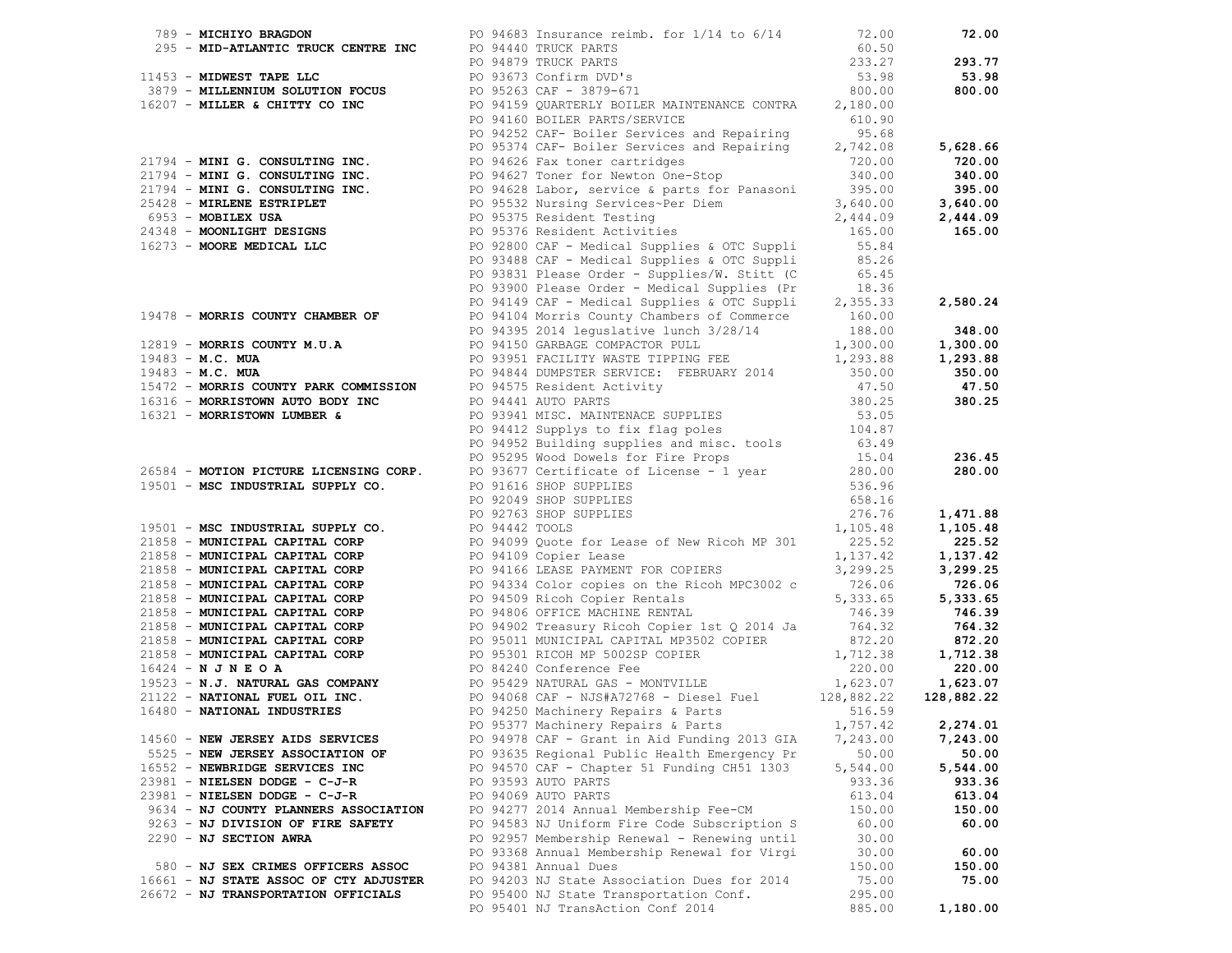|                                        | 2) - MICHINERY CHANNEL COMPRESSION (1992) INSURANCES 2002, 2002, 2002, 2002, 2002, 2002, 2002, 2002, 2002, 2002, 2002, 2002, 2002, 2002, 2002, 2002, 2002, 2002, 2002, 2002, 2002, 2002, 2002, 2002, 2002, 2002, 2002, 2002 |          |          |
|----------------------------------------|-----------------------------------------------------------------------------------------------------------------------------------------------------------------------------------------------------------------------------|----------|----------|
|                                        |                                                                                                                                                                                                                             |          |          |
| 14560 - NEW JERSEY AIDS SERVICES       | PO 94978 CAF - Grant in Aid Funding 2013 GIA                                                                                                                                                                                | 7,243.00 | 7,243.00 |
| 5525 - NEW JERSEY ASSOCIATION OF       | PO 93635 Regional Public Health Emergency Pr                                                                                                                                                                                | 50.00    | 50.00    |
| 16552 - NEWBRIDGE SERVICES INC         | PO 94570 CAF - Chapter 51 Funding CH51 1303                                                                                                                                                                                 | 5,544.00 | 5,544.00 |
| $23981$ - NIELSEN DODGE - C-J-R        | PO 93593 AUTO PARTS                                                                                                                                                                                                         | 933.36   | 933.36   |
| $23981$ - NIELSEN DODGE - C-J-R        | PO 94069 AUTO PARTS                                                                                                                                                                                                         | 613.04   | 613.04   |
| 9634 - NJ COUNTY PLANNERS ASSOCIATION  | PO 94277 2014 Annual Membership Fee-CM                                                                                                                                                                                      | 150.00   | 150.00   |
| 9263 - NJ DIVISION OF FIRE SAFETY      | PO 94583 NJ Uniform Fire Code Subscription S                                                                                                                                                                                | 60.00    | 60.00    |
| 2290 - NJ SECTION AWRA                 | PO 92957 Membership Renewal - Renewing until                                                                                                                                                                                | 30.00    |          |
|                                        | PO 93368 Annual Membership Renewal for Virgi                                                                                                                                                                                | 30.00    | 60.00    |
| 580 - NJ SEX CRIMES OFFICERS ASSOC     | PO 94381 Annual Dues                                                                                                                                                                                                        | 150.00   | 150.00   |
| 16661 - NJ STATE ASSOC OF CTY ADJUSTER | PO 94203 NJ State Association Dues for 2014                                                                                                                                                                                 | 75.00    | 75.00    |
| 26672 - NJ TRANSPORTATION OFFICIALS    | PO 95400 NJ State Transportation Conf.                                                                                                                                                                                      | 295.00   |          |
|                                        | PO 95401 NJ TransAction Conf 2014                                                                                                                                                                                           | 885.00   | 1,180.00 |
|                                        |                                                                                                                                                                                                                             |          |          |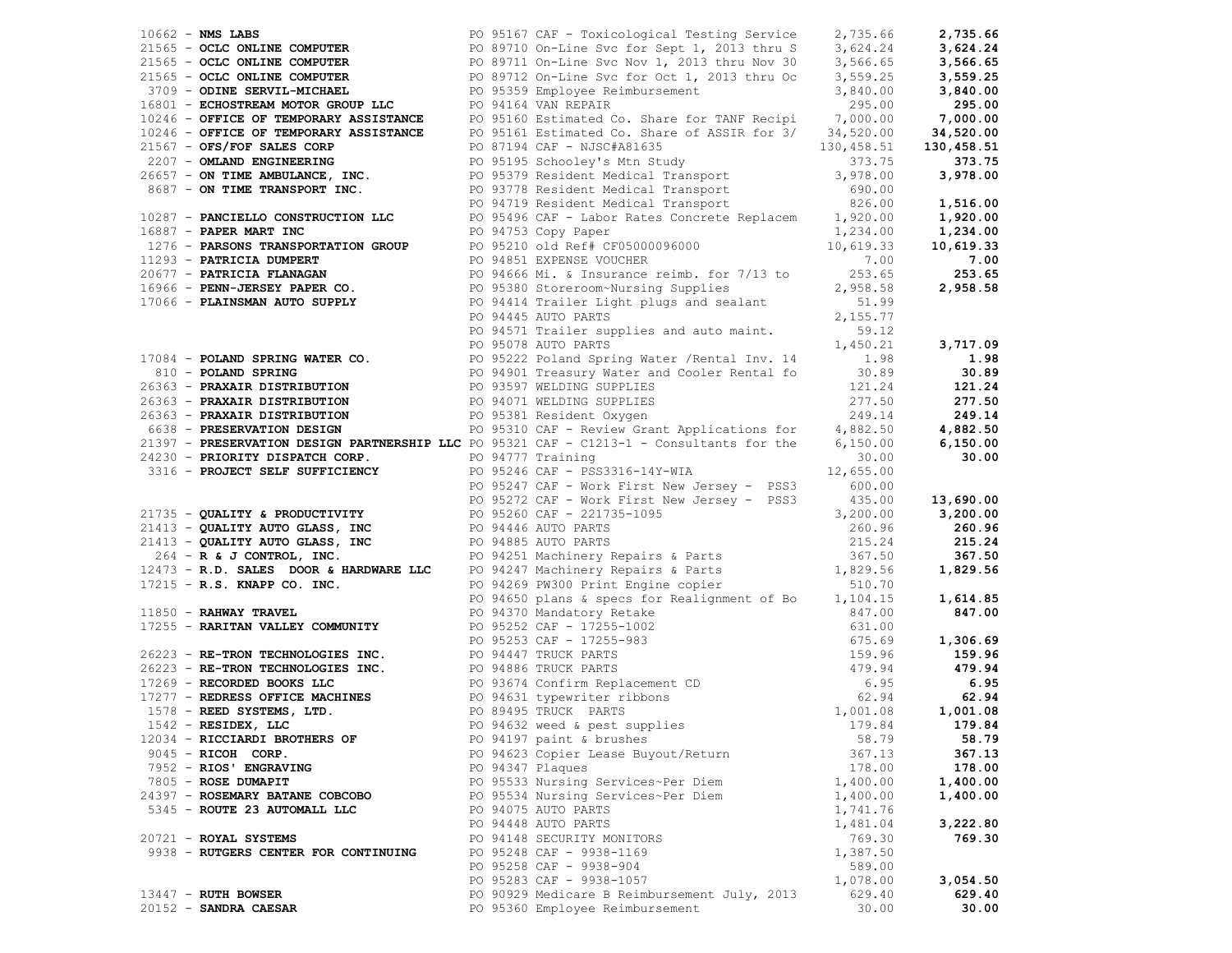|                                      |  | 1962 LMS LAMS CONFUTER PO 9110 Or-line SVC for Sight (2013 christ 3,773.66 27.33 16.64 2.733.66 2.743.66 2.743.66 2.743.66 2.743.66 2.743.66 2.743.66 2.743.66 2.743.66 2.743.66 2.743.66 2.743.66 2.743.66 2.743.66 2.743.66    |          |          |
|--------------------------------------|--|----------------------------------------------------------------------------------------------------------------------------------------------------------------------------------------------------------------------------------|----------|----------|
|                                      |  |                                                                                                                                                                                                                                  |          |          |
|                                      |  |                                                                                                                                                                                                                                  |          |          |
|                                      |  |                                                                                                                                                                                                                                  |          |          |
|                                      |  |                                                                                                                                                                                                                                  |          |          |
|                                      |  |                                                                                                                                                                                                                                  |          |          |
|                                      |  |                                                                                                                                                                                                                                  |          |          |
|                                      |  |                                                                                                                                                                                                                                  |          |          |
|                                      |  |                                                                                                                                                                                                                                  |          |          |
|                                      |  |                                                                                                                                                                                                                                  |          |          |
|                                      |  |                                                                                                                                                                                                                                  |          |          |
|                                      |  |                                                                                                                                                                                                                                  |          |          |
|                                      |  |                                                                                                                                                                                                                                  |          |          |
|                                      |  |                                                                                                                                                                                                                                  |          |          |
|                                      |  |                                                                                                                                                                                                                                  |          |          |
|                                      |  |                                                                                                                                                                                                                                  |          |          |
|                                      |  |                                                                                                                                                                                                                                  |          |          |
|                                      |  |                                                                                                                                                                                                                                  |          |          |
|                                      |  |                                                                                                                                                                                                                                  |          |          |
|                                      |  |                                                                                                                                                                                                                                  |          |          |
|                                      |  |                                                                                                                                                                                                                                  |          |          |
|                                      |  |                                                                                                                                                                                                                                  |          |          |
|                                      |  |                                                                                                                                                                                                                                  |          |          |
|                                      |  |                                                                                                                                                                                                                                  |          |          |
|                                      |  |                                                                                                                                                                                                                                  |          |          |
|                                      |  |                                                                                                                                                                                                                                  |          |          |
|                                      |  |                                                                                                                                                                                                                                  |          |          |
|                                      |  |                                                                                                                                                                                                                                  |          |          |
|                                      |  |                                                                                                                                                                                                                                  |          |          |
|                                      |  |                                                                                                                                                                                                                                  |          |          |
|                                      |  |                                                                                                                                                                                                                                  |          |          |
|                                      |  |                                                                                                                                                                                                                                  |          |          |
|                                      |  | 21337 <b>- PRESERVATION DESIGN PARTMERSHIP LLC</b> PO 95321 CAP - C1213-1 - CONDUCTER (5, 150, 00 6, 150, 00 6, 150, 00 6, 150, 00 6, 150, 00 6, 150, 00 93246 CAP - 193316 - 1940 PO 95246 CAP - 1952316 - 1942 CAP - 1952316 - |          |          |
|                                      |  |                                                                                                                                                                                                                                  |          |          |
|                                      |  |                                                                                                                                                                                                                                  |          |          |
|                                      |  |                                                                                                                                                                                                                                  |          |          |
|                                      |  |                                                                                                                                                                                                                                  |          |          |
|                                      |  |                                                                                                                                                                                                                                  |          |          |
|                                      |  |                                                                                                                                                                                                                                  |          |          |
|                                      |  |                                                                                                                                                                                                                                  |          |          |
|                                      |  |                                                                                                                                                                                                                                  |          |          |
|                                      |  |                                                                                                                                                                                                                                  |          |          |
|                                      |  |                                                                                                                                                                                                                                  |          |          |
|                                      |  |                                                                                                                                                                                                                                  |          |          |
|                                      |  |                                                                                                                                                                                                                                  |          |          |
|                                      |  |                                                                                                                                                                                                                                  |          |          |
|                                      |  |                                                                                                                                                                                                                                  |          |          |
|                                      |  |                                                                                                                                                                                                                                  |          |          |
|                                      |  | 1542 - RESIDEX, LLC 6. 2016 179.84 PO 94632 weed & pest supplies 179.84 179.84                                                                                                                                                   |          |          |
| 12034 - RICCIARDI BROTHERS OF        |  | PO 94197 paint & brushes                                                                                                                                                                                                         | 58.79    | 58.79    |
| 9045 - RICOH CORP.                   |  | PO 94623 Copier Lease Buyout/Return                                                                                                                                                                                              | 367.13   | 367.13   |
| 7952 - RIOS' ENGRAVING               |  | PO 94347 Plaques                                                                                                                                                                                                                 | 178.00   | 178.00   |
| 7805 - ROSE DUMAPIT                  |  | PO 95533 Nursing Services~Per Diem                                                                                                                                                                                               | 1,400.00 | 1,400.00 |
| 24397 - ROSEMARY BATANE COBCOBO      |  | PO 95534 Nursing Services~Per Diem                                                                                                                                                                                               | 1,400.00 | 1,400.00 |
| 5345 - ROUTE 23 AUTOMALL LLC         |  | PO 94075 AUTO PARTS                                                                                                                                                                                                              | 1,741.76 |          |
|                                      |  | PO 94448 AUTO PARTS                                                                                                                                                                                                              | 1,481.04 | 3,222.80 |
| 20721 - ROYAL SYSTEMS                |  | PO 94148 SECURITY MONITORS                                                                                                                                                                                                       | 769.30   | 769.30   |
| 9938 - RUTGERS CENTER FOR CONTINUING |  | PO 95248 CAF - 9938-1169                                                                                                                                                                                                         | 1,387.50 |          |
|                                      |  | PO 95258 CAF - 9938-904                                                                                                                                                                                                          | 589.00   |          |
|                                      |  | PO 95283 CAF - 9938-1057                                                                                                                                                                                                         | 1,078.00 | 3,054.50 |
| 13447 - RUTH BOWSER                  |  | PO 90929 Medicare B Reimbursement July, 2013                                                                                                                                                                                     | 629.40   | 629.40   |
| 20152 - SANDRA CAESAR                |  | PO 95360 Employee Reimbursement                                                                                                                                                                                                  | 30.00    | 30.00    |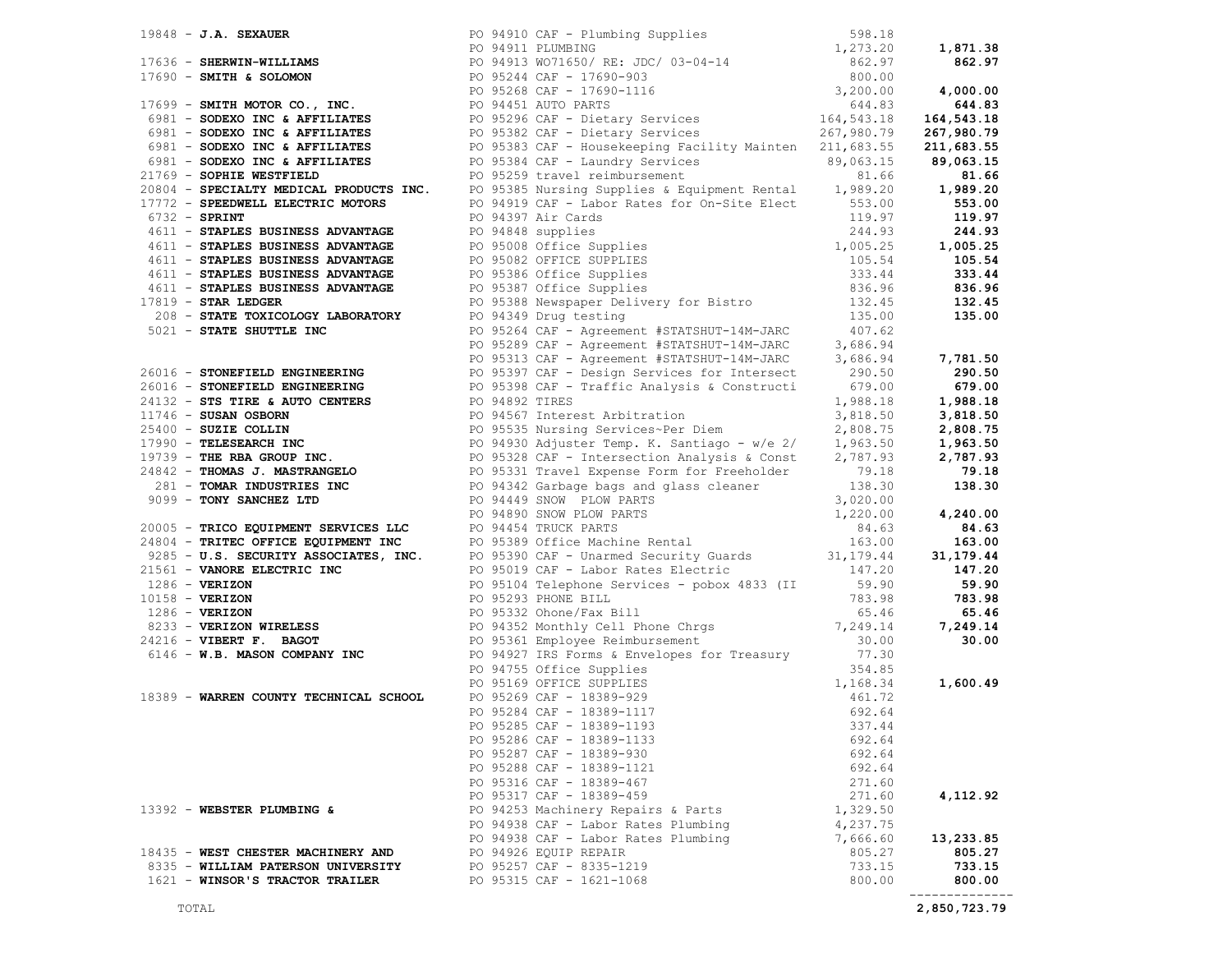|                                    | 17919 - JA, HORMIT MERICAN PROTECTION (1991) - 2013)<br>17919 - American Street, 1992, 1992, 1992, 1992, 1992, 1992, 1992, 1992, 1992, 1992, 1992, 1992, 1992, 1992, 1992, 1993, 1993, 1993, 1993, 1993, 1993, 1993, 1993, 1993 |          |             |
|------------------------------------|---------------------------------------------------------------------------------------------------------------------------------------------------------------------------------------------------------------------------------|----------|-------------|
|                                    |                                                                                                                                                                                                                                 |          |             |
|                                    |                                                                                                                                                                                                                                 |          |             |
|                                    |                                                                                                                                                                                                                                 |          |             |
|                                    |                                                                                                                                                                                                                                 |          |             |
|                                    |                                                                                                                                                                                                                                 |          |             |
|                                    |                                                                                                                                                                                                                                 |          |             |
|                                    |                                                                                                                                                                                                                                 |          |             |
|                                    |                                                                                                                                                                                                                                 |          |             |
|                                    |                                                                                                                                                                                                                                 |          |             |
|                                    |                                                                                                                                                                                                                                 |          |             |
|                                    | PO 95286 CAF - 18389-1133                                                                                                                                                                                                       | 692.64   |             |
|                                    | PO 95287 CAF - 18389-930                                                                                                                                                                                                        | 692.64   |             |
|                                    | PO 95288 CAF - 18389-1121                                                                                                                                                                                                       | 692.64   |             |
|                                    | PO 95316 CAF - 18389-467                                                                                                                                                                                                        | 271.60   |             |
|                                    | PO 95317 CAF - 18389-459                                                                                                                                                                                                        | 271.60   | 4,112.92    |
| 13392 - WEBSTER PLUMBING &         | PO 94253 Machinery Repairs & Parts                                                                                                                                                                                              | 1,329.50 |             |
|                                    | PO 94938 CAF - Labor Rates Plumbing                                                                                                                                                                                             | 4,237.75 |             |
|                                    | PO 94938 CAF - Labor Rates Plumbing                                                                                                                                                                                             |          |             |
|                                    |                                                                                                                                                                                                                                 | 7,666.60 | 13,233.85   |
| 18435 - WEST CHESTER MACHINERY AND | PO 94926 EQUIP REPAIR                                                                                                                                                                                                           | 805.27   | 805.27      |
| 8335 - WILLIAM PATERSON UNIVERSITY | PO 95257 CAF - 8335-1219                                                                                                                                                                                                        | 733.15   | 733.15      |
| 1621 - WINSOR'S TRACTOR TRAILER    | PO 95315 CAF - 1621-1068                                                                                                                                                                                                        | 800.00   | 800.00      |
|                                    |                                                                                                                                                                                                                                 |          | ----------- |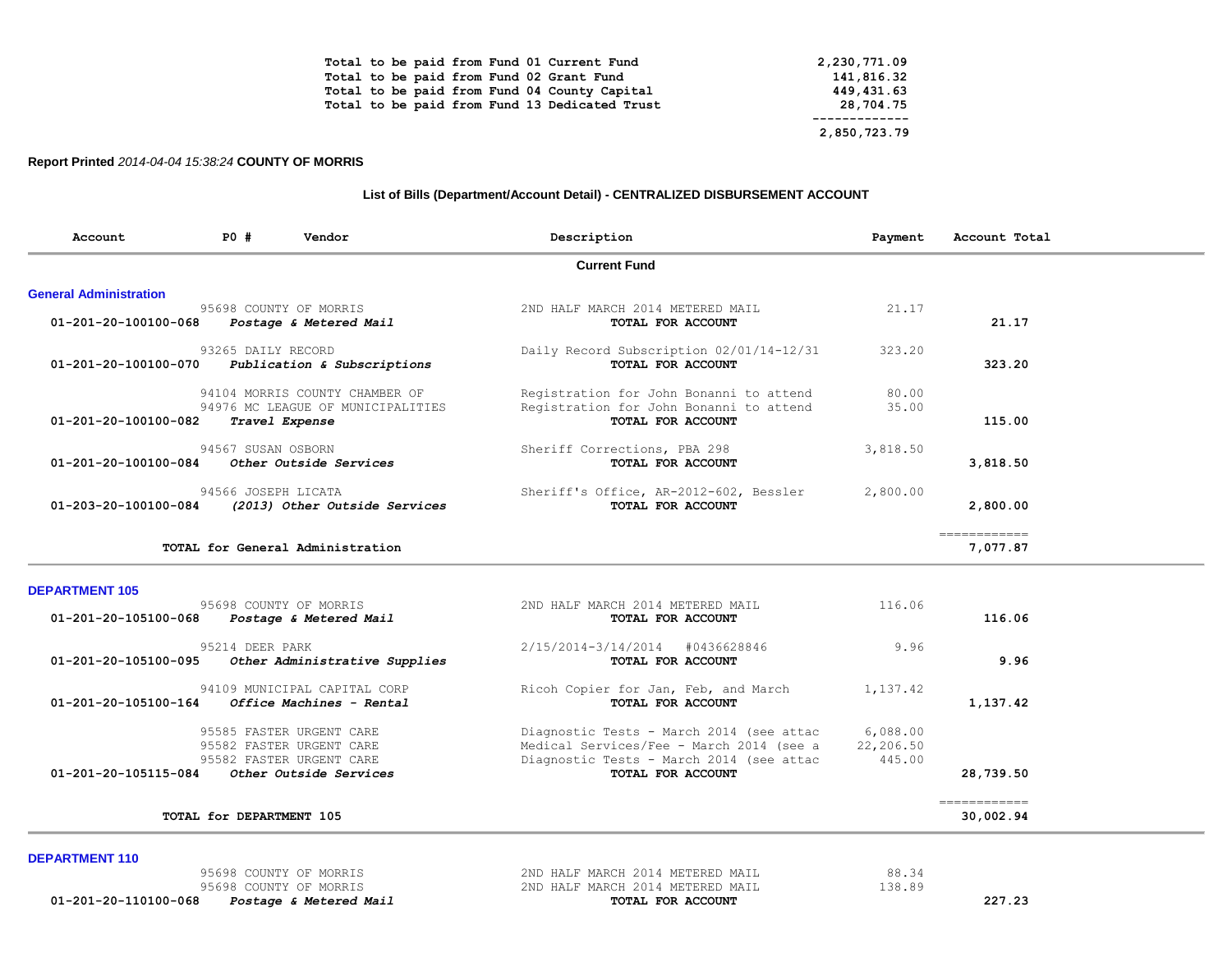| Total to be paid from Fund 01 Current Fund    | 2,230,771.09 |
|-----------------------------------------------|--------------|
| Total to be paid from Fund 02 Grant Fund      | 141,816.32   |
| Total to be paid from Fund 04 County Capital  | 449,431.63   |
| Total to be paid from Fund 13 Dedicated Trust | 28,704.75    |
|                                               |              |
|                                               | 2,850,723.79 |

### **Report Printed** *2014-04-04 15:38:24* **COUNTY OF MORRIS**

### **List of Bills (Department/Account Detail) - CENTRALIZED DISBURSEMENT ACCOUNT**

| PO# | Vendor                                                                                                               | Description                                                                                                                                                                                                                                                                                                                                                          | Payment                          | Account Total            |
|-----|----------------------------------------------------------------------------------------------------------------------|----------------------------------------------------------------------------------------------------------------------------------------------------------------------------------------------------------------------------------------------------------------------------------------------------------------------------------------------------------------------|----------------------------------|--------------------------|
|     |                                                                                                                      | <b>Current Fund</b>                                                                                                                                                                                                                                                                                                                                                  |                                  |                          |
|     |                                                                                                                      |                                                                                                                                                                                                                                                                                                                                                                      |                                  |                          |
|     |                                                                                                                      | 2ND HALF MARCH 2014 METERED MAIL<br>TOTAL FOR ACCOUNT                                                                                                                                                                                                                                                                                                                | 21.17                            | 21.17                    |
|     |                                                                                                                      | Daily Record Subscription 02/01/14-12/31<br>TOTAL FOR ACCOUNT                                                                                                                                                                                                                                                                                                        | 323.20                           | 323.20                   |
|     |                                                                                                                      | Registration for John Bonanni to attend                                                                                                                                                                                                                                                                                                                              | 80.00                            |                          |
|     |                                                                                                                      | Registration for John Bonanni to attend<br>TOTAL FOR ACCOUNT                                                                                                                                                                                                                                                                                                         | 35.00                            | 115.00                   |
|     |                                                                                                                      | Sheriff Corrections, PBA 298<br>TOTAL FOR ACCOUNT                                                                                                                                                                                                                                                                                                                    | 3,818.50                         | 3,818.50                 |
|     |                                                                                                                      | Sheriff's Office, AR-2012-602, Bessler<br>TOTAL FOR ACCOUNT                                                                                                                                                                                                                                                                                                          | 2,800.00                         | 2,800.00                 |
|     |                                                                                                                      |                                                                                                                                                                                                                                                                                                                                                                      |                                  | ============<br>7,077.87 |
|     |                                                                                                                      |                                                                                                                                                                                                                                                                                                                                                                      |                                  |                          |
|     | 01-201-20-100100-068<br>01-201-20-100100-070<br>01-201-20-100100-082<br>01-201-20-100100-084<br>01-203-20-100100-084 | 95698 COUNTY OF MORRIS<br>Postage & Metered Mail<br>93265 DAILY RECORD<br>Publication & Subscriptions<br>94104 MORRIS COUNTY CHAMBER OF<br>94976 MC LEAGUE OF MUNICIPALITIES<br>Travel Expense<br>94567 SUSAN OSBORN<br>Other Outside Services<br>94566 JOSEPH LICATA<br>(2013) Other Outside Services<br>TOTAL for General Administration<br>95698 COUNTY OF MORRIS | 2ND HALF MARCH 2014 METERED MAIL | 116.06                   |

| TTO OO                | ZND HALF MARCH ZVI4 METERED MAIL<br>TOTAL FOR ACCOUNT                                | AGAQ CANII AL MAKKTP<br>01-201-20-105100-068<br>Postage & Metered Mail           |
|-----------------------|--------------------------------------------------------------------------------------|----------------------------------------------------------------------------------|
| 9.96                  | 2/15/2014-3/14/2014<br>#0436628846<br>TOTAL FOR ACCOUNT                              | 95214 DEER PARK<br>01-201-20-105100-095<br>Other Administrative Supplies         |
| 1,137.42              | Ricoh Copier for Jan, Feb, and March                                                 | 94109 MUNICIPAL CAPITAL CORP<br>01-201-20-105100-164<br>Office Machines - Rental |
| 6,088.00<br>22,206.50 | Diagnostic Tests - March 2014 (see attac<br>Medical Services/Fee - March 2014 (see a | 95585 FASTER URGENT CARE<br>95582 FASTER URGENT CARE<br>95582 FASTER URGENT CARE |
|                       | TOTAL FOR ACCOUNT                                                                    | 01-201-20-105115-084<br>Other Outside Services                                   |
|                       |                                                                                      | TOTAL for DEPARTMENT 105                                                         |
|                       | 445.00                                                                               | TOTAL FOR ACCOUNT<br>Diagnostic Tests - March 2014 (see attac                    |

**DEPARTMENT 110** 

 95698 COUNTY OF MORRIS 2ND HALF MARCH 2014 METERED MAIL 88.34 95698 COUNTY OF MORRIS 2ND HALF MARCH 2014 METERED MAIL 138.89  **01-201-20-110100-068** *Postage & Metered Mail* **TOTAL FOR ACCOUNT 227.23**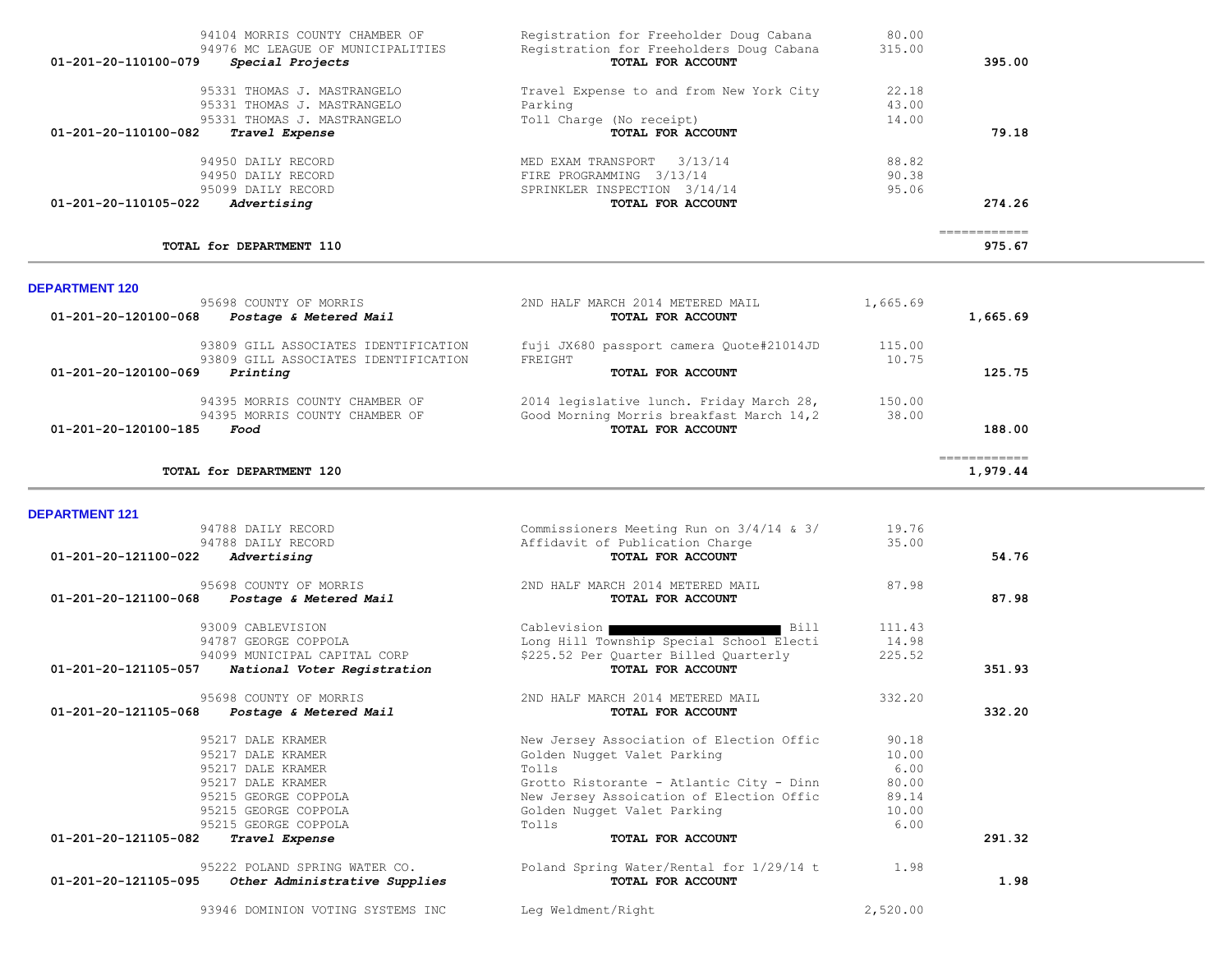| 94104 MORRIS COUNTY CHAMBER OF           | Registration for Freeholder Doug Cabana  | 80.00  |              |
|------------------------------------------|------------------------------------------|--------|--------------|
| 94976 MC LEAGUE OF MUNICIPALITIES        | Registration for Freeholders Doug Cabana | 315.00 |              |
| 01-201-20-110100-079<br>Special Projects | TOTAL FOR ACCOUNT                        |        | 395.00       |
| 95331 THOMAS J. MASTRANGELO              | Travel Expense to and from New York City | 22.18  |              |
| 95331 THOMAS J. MASTRANGELO              | Parking                                  | 43.00  |              |
| 95331 THOMAS J. MASTRANGELO              | Toll Charge (No receipt)                 | 14.00  |              |
| 01-201-20-110100-082<br>Travel Expense   | TOTAL FOR ACCOUNT                        |        | 79.18        |
| 94950 DATLY RECORD                       | 3/13/14<br>MED EXAM TRANSPORT            | 88.82  |              |
| 94950 DAILY RECORD                       | FIRE PROGRAMMING 3/13/14                 | 90.38  |              |
| 95099 DAILY RECORD                       | SPRINKLER INSPECTION 3/14/14             | 95.06  |              |
| 01-201-20-110105-022<br>Advertising      | TOTAL FOR ACCOUNT                        |        | 274.26       |
|                                          |                                          |        | ------------ |
| TOTAL for DEPARTMENT 110                 |                                          |        | 975.67       |

**DEPARTMENT 121** 

| 95698 COUNTY OF MORRIS                         | 2ND HALF MARCH 2014 METERED MAIL         | 1,665.69 |          |
|------------------------------------------------|------------------------------------------|----------|----------|
| 01-201-20-120100-068<br>Postage & Metered Mail | TOTAL FOR ACCOUNT                        |          | 1,665.69 |
| 93809 GILL ASSOCIATES IDENTIFICATION           | fuji JX680 passport camera Quote#21014JD | 115.00   |          |
| 93809 GILL ASSOCIATES IDENTIFICATION           | FREIGHT                                  | 10.75    |          |
| 01-201-20-120100-069<br>Printing               | <b>TOTAL FOR ACCOUNT</b>                 |          | 125.75   |
| 94395 MORRIS COUNTY CHAMBER OF                 | 2014 legislative lunch. Friday March 28, | 150.00   |          |
| 94395 MORRIS COUNTY CHAMBER OF                 | Good Morning Morris breakfast March 14,2 | 38.00    |          |
| 01-201-20-120100-185<br>Food                   | TOTAL FOR ACCOUNT                        |          | 188.00   |
|                                                |                                          |          |          |
| TOTAL for DEPARTMENT 120                       |                                          |          | 1,979.44 |

## 94788 DAILY RECORD Commissioners Meeting Run on 3/4/14 & 3/ 19.76 94788 DAILY RECORD **Affidavit of Publication Charge** 35.00<br>**Advertising 35.00**<br>**Advertising 01-201-20-121100-022** *Advertising* **TOTAL FOR ACCOUNT 54.76** 95698 COUNTY OF MORRIS 2ND HALF MARCH 2014 METERED MAIL 87.98  **01-201-20-121100-068** *Postage & Metered Mail* **TOTAL FOR ACCOUNT 87.98** 93009 CABLEVISION Cablevision Cablevision Bill 111.43 94787 GEORGE COPPOLA Long Hill Township Special School Electi 14.98 94099 MUNICIPAL CAPITAL CORP<br> **1 National Voter Reqistration** \$225.52 Per Quarter Billed Quarterly \$225.52<br> **1 National Voter Reqistration 01-201-20-121105-057** *National Voter Registration* **TOTAL FOR ACCOUNT 351.93** 95698 COUNTY OF MORRIS 2ND HALF MARCH 2014 METERED MAIL 332.20  **01-201-20-121105-068** *Postage & Metered Mail* **TOTAL FOR ACCOUNT 332.20** 95217 DALE KRAMER 10.18 95217 DALE KRAMER Golden Nugget Valet Parking 10.00 95217 DALE KRAMER Tolls 6.00 95217 DALE KRAMER Grotto Ristorante - Atlantic City - Dinn 80.00 95215 GEORGE COPPOLA New Jersey Assoication of Election Offic 95215 GEORGE COPPOLA Golden Nugget Valet Parking 10.00 95215 GEORGE COPPOLA **1989 COPPOLA**<br>2. **Travel Expense** 1.000 COPPOLA TOTAL FOR ACCOUNT  **01-201-20-121105-082** *Travel Expense* **TOTAL FOR ACCOUNT 291.32** 95222 POLAND SPRING WATER CO. The Poland Spring Water/Rental for 1/29/14 t 1.98  **01-201-20-121105-095** *Other Administrative Supplies* **TOTAL FOR ACCOUNT 1.98**

93946 DOMINION VOTING SYSTEMS INC Leg Weldment/Right 2,520.00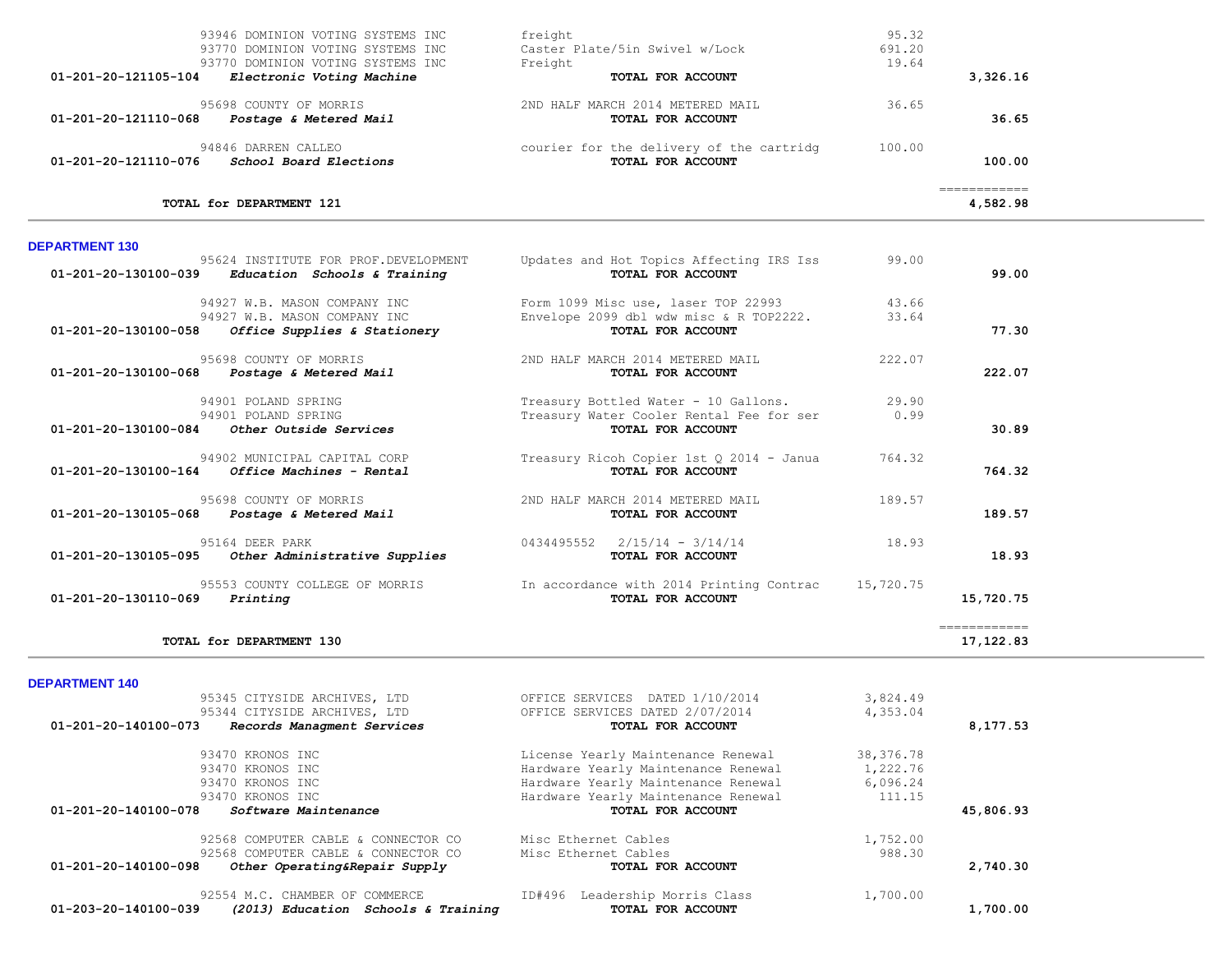| 93946 DOMINION VOTING SYSTEMS INC<br>93770 DOMINION VOTING SYSTEMS INC<br>93770 DOMINION VOTING SYSTEMS INC           | freight<br>Caster Plate/5in Swivel w/Lock<br>Freight          | 95.32<br>691.20<br>19.64 |                          |
|-----------------------------------------------------------------------------------------------------------------------|---------------------------------------------------------------|--------------------------|--------------------------|
| 01-201-20-121105-104<br>Electronic Voting Machine                                                                     | TOTAL FOR ACCOUNT                                             |                          | 3,326.16                 |
| 95698 COUNTY OF MORRIS<br>01-201-20-121110-068<br>Postage & Metered Mail                                              | 2ND HALF MARCH 2014 METERED MAIL<br>TOTAL FOR ACCOUNT         | 36.65                    | 36.65                    |
| 94846 DARREN CALLEO<br>01-201-20-121110-076<br>School Board Elections                                                 | courier for the delivery of the cartridg<br>TOTAL FOR ACCOUNT | 100.00                   | 100.00                   |
| TOTAL for DEPARTMENT 121                                                                                              |                                                               |                          | ============<br>4,582.98 |
| <b>DEPARTMENT 130</b><br>95624 INSTITUTE FOR PROF.DEVELOPMENT<br>01-201-20-130100-039<br>Education Schools & Training | Updates and Hot Topics Affecting IRS Iss<br>TOTAL FOR ACCOUNT | 99.00                    | 99.00                    |

| 94927 W.B. MASON COMPANY INC                          | Form 1099 Misc use, laser TOP 22993      | 43.66     |                           |
|-------------------------------------------------------|------------------------------------------|-----------|---------------------------|
| 94927 W.B. MASON COMPANY INC                          | Envelope 2099 dbl wdw misc & R TOP2222.  | 33.64     |                           |
| 01-201-20-130100-058<br>Office Supplies & Stationery  | TOTAL FOR ACCOUNT                        |           | 77.30                     |
| 95698 COUNTY OF MORRIS                                | 2ND HALF MARCH 2014 METERED MAIL         | 222.07    |                           |
| 01-201-20-130100-068<br>Postage & Metered Mail        | TOTAL FOR ACCOUNT                        |           | 222.07                    |
| 94901 POLAND SPRING                                   | Treasury Bottled Water - 10 Gallons.     | 29.90     |                           |
| 94901 POLAND SPRING                                   | Treasury Water Cooler Rental Fee for ser | 0.99      |                           |
| 01-201-20-130100-084<br>Other Outside Services        | TOTAL FOR ACCOUNT                        |           | 30.89                     |
| 94902 MUNICIPAL CAPITAL CORP                          | Treasury Ricoh Copier 1st Q 2014 - Janua | 764.32    |                           |
| 01-201-20-130100-164<br>Office Machines - Rental      | TOTAL FOR ACCOUNT                        |           | 764.32                    |
| 95698 COUNTY OF MORRIS                                | 2ND HALF MARCH 2014 METERED MAIL         | 189.57    |                           |
| 01-201-20-130105-068<br>Postage & Metered Mail        | TOTAL FOR ACCOUNT                        |           | 189.57                    |
| 95164 DEER PARK                                       | $2/15/14 - 3/14/14$<br>0434495552        | 18.93     |                           |
| 01-201-20-130105-095<br>Other Administrative Supplies | TOTAL FOR ACCOUNT                        |           | 18.93                     |
| 95553 COUNTY COLLEGE OF MORRIS                        | In accordance with 2014 Printing Contrac | 15,720.75 |                           |
| 01-201-20-130110-069<br>Printing                      | TOTAL FOR ACCOUNT                        |           | 15,720.75                 |
| TOTAL for DEPARTMENT 130                              |                                          |           | ============<br>17,122.83 |
|                                                       |                                          |           |                           |

| 95345 CITYSIDE ARCHIVES, LTD                          | OFFICE SERVICES<br>DATED 1/10/2014  | 3,824.49  |           |
|-------------------------------------------------------|-------------------------------------|-----------|-----------|
| 95344 CITYSIDE ARCHIVES, LTD                          | OFFICE SERVICES DATED 2/07/2014     | 4,353.04  |           |
| 01-201-20-140100-073<br>Records Managment Services    | TOTAL FOR ACCOUNT                   |           | 8,177.53  |
| 93470 KRONOS INC                                      | License Yearly Maintenance Renewal  | 38,376.78 |           |
| 93470 KRONOS INC                                      | Hardware Yearly Maintenance Renewal | 1,222.76  |           |
| 93470 KRONOS INC                                      | Hardware Yearly Maintenance Renewal | 6,096.24  |           |
| 93470 KRONOS INC                                      | Hardware Yearly Maintenance Renewal | 111.15    |           |
|                                                       |                                     |           |           |
| 01-201-20-140100-078<br>Software Maintenance          | TOTAL FOR ACCOUNT                   |           | 45,806.93 |
| 92568 COMPUTER CABLE & CONNECTOR CO                   | Misc Ethernet Cables                | 1,752.00  |           |
| 92568 COMPUTER CABLE & CONNECTOR CO                   | Misc Ethernet Cables                | 988.30    |           |
| 01-201-20-140100-098<br>Other Operating&Repair Supply | TOTAL FOR ACCOUNT                   |           | 2,740.30  |
| 92554 M.C. CHAMBER OF COMMERCE                        | Leadership Morris Class<br>ID#496   | 1,700.00  |           |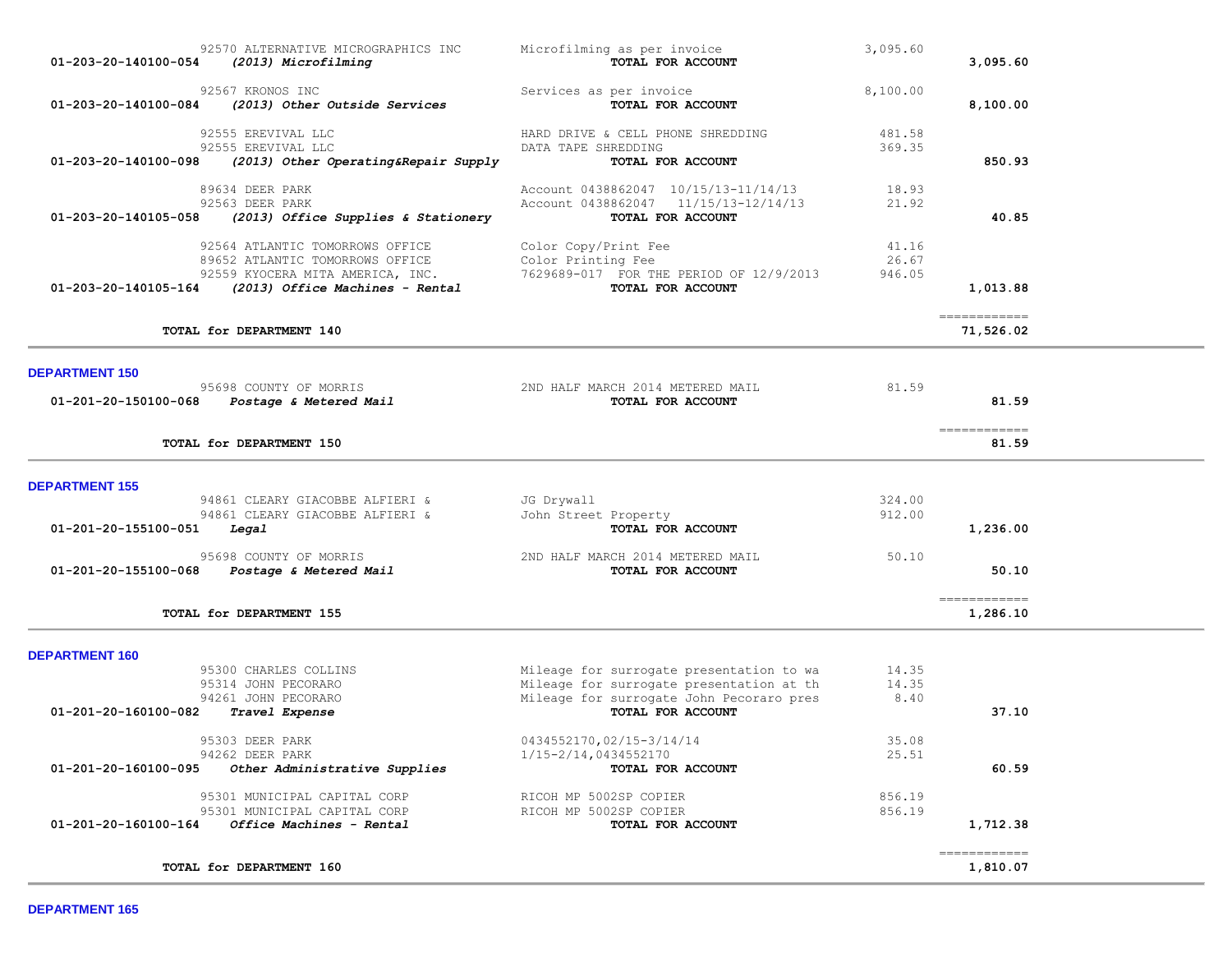| 92570 ALTERNATIVE MICROGRAPHICS INC<br>01-203-20-140100-054<br>(2013) Microfilming                                                                                | Microfilming as per invoice<br>TOTAL FOR ACCOUNT                                                                                                      | 3,095.60                 | 3,095.60                  |  |
|-------------------------------------------------------------------------------------------------------------------------------------------------------------------|-------------------------------------------------------------------------------------------------------------------------------------------------------|--------------------------|---------------------------|--|
| 92567 KRONOS INC<br>01-203-20-140100-084<br>(2013) Other Outside Services                                                                                         | Services as per invoice<br>TOTAL FOR ACCOUNT                                                                                                          | 8,100.00                 | 8,100.00                  |  |
| 92555 EREVIVAL LLC<br>92555 EREVIVAL LLC<br>01-203-20-140100-098<br>(2013) Other Operating&Repair Supply                                                          | HARD DRIVE & CELL PHONE SHREDDING<br>DATA TAPE SHREDDING<br>TOTAL FOR ACCOUNT                                                                         | 481.58<br>369.35         | 850.93                    |  |
| 89634 DEER PARK<br>92563 DEER PARK<br>01-203-20-140105-058<br>(2013) Office Supplies & Stationery                                                                 | Account 0438862047 10/15/13-11/14/13<br>Account 0438862047 11/15/13-12/14/13<br>TOTAL FOR ACCOUNT                                                     | 18.93<br>21.92           | 40.85                     |  |
| 92564 ATLANTIC TOMORROWS OFFICE<br>89652 ATLANTIC TOMORROWS OFFICE<br>92559 KYOCERA MITA AMERICA, INC.<br>(2013) Office Machines - Rental<br>01-203-20-140105-164 | Color Copy/Print Fee<br>Color Printing Fee<br>7629689-017 FOR THE PERIOD OF 12/9/2013<br>TOTAL FOR ACCOUNT                                            | 41.16<br>26.67<br>946.05 | 1,013.88                  |  |
| TOTAL for DEPARTMENT 140                                                                                                                                          |                                                                                                                                                       |                          | ============<br>71,526.02 |  |
| <b>DEPARTMENT 150</b><br>95698 COUNTY OF MORRIS<br>01-201-20-150100-068 Postage & Metered Mail                                                                    | 2ND HALF MARCH 2014 METERED MAIL<br>TOTAL FOR ACCOUNT                                                                                                 | 81.59                    | 81.59                     |  |
| TOTAL for DEPARTMENT 150                                                                                                                                          |                                                                                                                                                       |                          | =============<br>81.59    |  |
| <b>DEPARTMENT 155</b><br>94861 CLEARY GIACOBBE ALFIERI &<br>94861 CLEARY GIACOBBE ALFIERI &<br>01-201-20-155100-051<br>Legal                                      | JG Drywall<br>John Street Property<br>TOTAL FOR ACCOUNT                                                                                               | 324.00<br>912.00         | 1,236.00                  |  |
| 95698 COUNTY OF MORRIS<br>01-201-20-155100-068 Postage & Metered Mail                                                                                             | 2ND HALF MARCH 2014 METERED MAIL<br>TOTAL FOR ACCOUNT                                                                                                 | 50.10                    | 50.10                     |  |
| TOTAL for DEPARTMENT 155                                                                                                                                          |                                                                                                                                                       |                          | ============<br>1,286.10  |  |
| <b>DEPARTMENT 160</b><br>95300 CHARLES COLLINS<br>95314 JOHN PECORARO<br>94261 JOHN PECORARO<br>01-201-20-160100-082 Travel Expense                               | Mileage for surrogate presentation to wa<br>Mileage for surrogate presentation at th<br>Mileage for surrogate John Pecoraro pres<br>TOTAL FOR ACCOUNT | 14.35<br>14.35<br>8.40   | 37.10                     |  |
| 95303 DEER PARK<br>94262 DEER PARK<br>Other Administrative Supplies<br>01-201-20-160100-095                                                                       | 0434552170,02/15-3/14/14<br>1/15-2/14,0434552170<br>TOTAL FOR ACCOUNT                                                                                 | 35.08<br>25.51           | 60.59                     |  |
| 95301 MUNICIPAL CAPITAL CORP<br>95301 MUNICIPAL CAPITAL CORP<br>Office Machines - Rental<br>01-201-20-160100-164                                                  | RICOH MP 5002SP COPIER<br>RICOH MP 5002SP COPIER<br>TOTAL FOR ACCOUNT                                                                                 | 856.19<br>856.19         | 1,712.38                  |  |
| TOTAL for DEPARTMENT 160                                                                                                                                          |                                                                                                                                                       |                          | -------------<br>1,810.07 |  |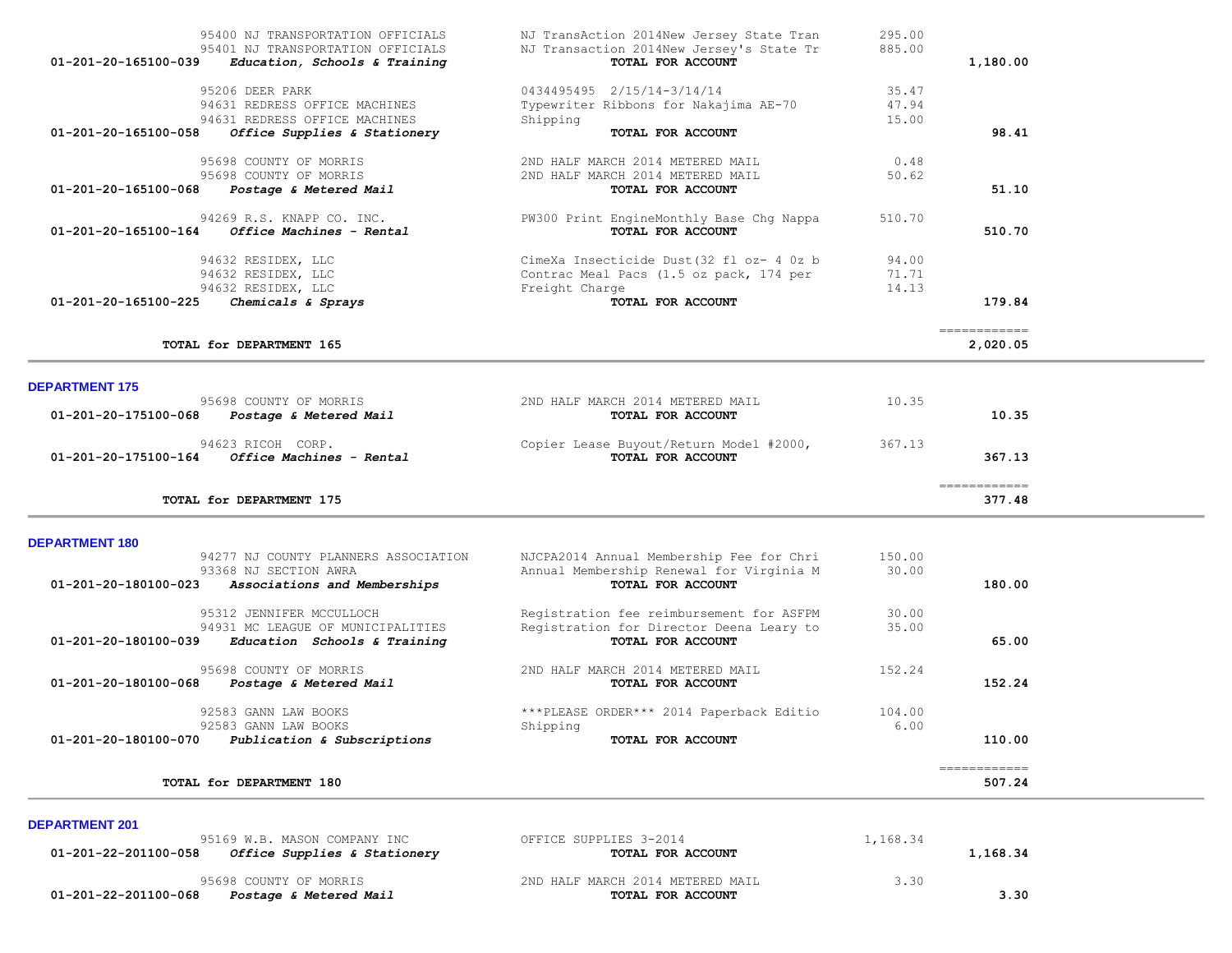| 01-201-20-165100-058  | Office Supplies & Stationery<br>95698 COUNTY OF MORRIS<br>95698 COUNTY OF MORRIS                                     | TOTAL FOR ACCOUNT<br>2ND HALF MARCH 2014 METERED MAIL<br>2ND HALF MARCH 2014 METERED MAIL                 | 0.48<br>50.62           | 98.41                                                                                                                                                                                                                                                                                                                                                                                                                                                                                            |
|-----------------------|----------------------------------------------------------------------------------------------------------------------|-----------------------------------------------------------------------------------------------------------|-------------------------|--------------------------------------------------------------------------------------------------------------------------------------------------------------------------------------------------------------------------------------------------------------------------------------------------------------------------------------------------------------------------------------------------------------------------------------------------------------------------------------------------|
|                       | 01-201-20-165100-068 Postage & Metered Mail                                                                          | TOTAL FOR ACCOUNT                                                                                         |                         | 51.10                                                                                                                                                                                                                                                                                                                                                                                                                                                                                            |
|                       | 94269 R.S. KNAPP CO. INC.<br>$01 - 201 - 20 - 165100 - 164$ Office Machines - Rental                                 | PW300 Print EngineMonthly Base Chg Nappa<br>TOTAL FOR ACCOUNT                                             | 510.70                  | 510.70                                                                                                                                                                                                                                                                                                                                                                                                                                                                                           |
|                       | 94632 RESIDEX, LLC<br>94632 RESIDEX, LLC<br>94632 RESIDEX, LLC                                                       | CimeXa Insecticide Dust (32 fl oz- 4 0z b<br>Contrac Meal Pacs (1.5 oz pack, 174 per<br>Freight Charge    | 94.00<br>71.71<br>14.13 |                                                                                                                                                                                                                                                                                                                                                                                                                                                                                                  |
| 01-201-20-165100-225  | Chemicals & Sprays                                                                                                   | TOTAL FOR ACCOUNT                                                                                         |                         | 179.84<br>============                                                                                                                                                                                                                                                                                                                                                                                                                                                                           |
|                       | TOTAL for DEPARTMENT 165                                                                                             |                                                                                                           |                         | 2,020.05                                                                                                                                                                                                                                                                                                                                                                                                                                                                                         |
| <b>DEPARTMENT 175</b> |                                                                                                                      |                                                                                                           |                         |                                                                                                                                                                                                                                                                                                                                                                                                                                                                                                  |
| 01-201-20-175100-068  | 95698 COUNTY OF MORRIS<br>Postage & Metered Mail                                                                     | 2ND HALF MARCH 2014 METERED MAIL<br>TOTAL FOR ACCOUNT                                                     | 10.35                   | 10.35                                                                                                                                                                                                                                                                                                                                                                                                                                                                                            |
| 01-201-20-175100-164  | 94623 RICOH CORP.<br><i>Office Machines - Rental</i>                                                                 | Copier Lease Buyout/Return Model #2000,<br>TOTAL FOR ACCOUNT                                              | 367.13                  | 367.13                                                                                                                                                                                                                                                                                                                                                                                                                                                                                           |
|                       | TOTAL for DEPARTMENT 175                                                                                             |                                                                                                           |                         | $\begin{array}{cccccccccc} \multicolumn{2}{c}{} & \multicolumn{2}{c}{} & \multicolumn{2}{c}{} & \multicolumn{2}{c}{} & \multicolumn{2}{c}{} & \multicolumn{2}{c}{} & \multicolumn{2}{c}{} & \multicolumn{2}{c}{} & \multicolumn{2}{c}{} & \multicolumn{2}{c}{} & \multicolumn{2}{c}{} & \multicolumn{2}{c}{} & \multicolumn{2}{c}{} & \multicolumn{2}{c}{} & \multicolumn{2}{c}{} & \multicolumn{2}{c}{} & \multicolumn{2}{c}{} & \multicolumn{2}{c}{} & \multicolumn{2}{c}{} & \mult$<br>377.48 |
| <b>DEPARTMENT 180</b> |                                                                                                                      |                                                                                                           |                         |                                                                                                                                                                                                                                                                                                                                                                                                                                                                                                  |
| 01-201-20-180100-023  | 94277 NJ COUNTY PLANNERS ASSOCIATION<br>93368 NJ SECTION AWRA<br>Associations and Memberships                        | NJCPA2014 Annual Membership Fee for Chri<br>Annual Membership Renewal for Virginia M<br>TOTAL FOR ACCOUNT | 150.00<br>30.00         | 180.00                                                                                                                                                                                                                                                                                                                                                                                                                                                                                           |
|                       | 95312 JENNIFER MCCULLOCH<br>94931 MC LEAGUE OF MUNICIPALITIES<br>$01-201-20-180100-039$ Education Schools & Training | Registration fee reimbursement for ASFPM<br>Registration for Director Deena Leary to<br>TOTAL FOR ACCOUNT | 30.00<br>35.00          | 65.00                                                                                                                                                                                                                                                                                                                                                                                                                                                                                            |
| 01-201-20-180100-068  | 95698 COUNTY OF MORRIS<br>Postage & Metered Mail                                                                     | 2ND HALF MARCH 2014 METERED MAIL<br>TOTAL FOR ACCOUNT                                                     | 152.24                  | 152.24                                                                                                                                                                                                                                                                                                                                                                                                                                                                                           |
|                       | 92583 GANN LAW BOOKS<br>92583 GANN LAW BOOKS                                                                         | ***PLEASE ORDER*** 2014 Paperback Editio<br>Shipping                                                      | 104.00<br>6.00          |                                                                                                                                                                                                                                                                                                                                                                                                                                                                                                  |
|                       | 01-201-20-180100-070 Publication & Subscriptions                                                                     | TOTAL FOR ACCOUNT                                                                                         |                         | 110.00                                                                                                                                                                                                                                                                                                                                                                                                                                                                                           |
|                       |                                                                                                                      |                                                                                                           |                         | ============                                                                                                                                                                                                                                                                                                                                                                                                                                                                                     |

| --------------<br>95169 W.B. MASON COMPANY INC<br>01-201-22-201100-058<br>Office Supplies & Stationery | OFFICE SUPPLIES 3-2014<br>TOTAL FOR ACCOUNT           | 1,168.34 | 1,168.34 |
|--------------------------------------------------------------------------------------------------------|-------------------------------------------------------|----------|----------|
| 95698 COUNTY OF MORRIS<br>01-201-22-201100-068<br>Postage & Metered Mail                               | 2ND HALF MARCH 2014 METERED MAIL<br>TOTAL FOR ACCOUNT | 3.30     | 3.30     |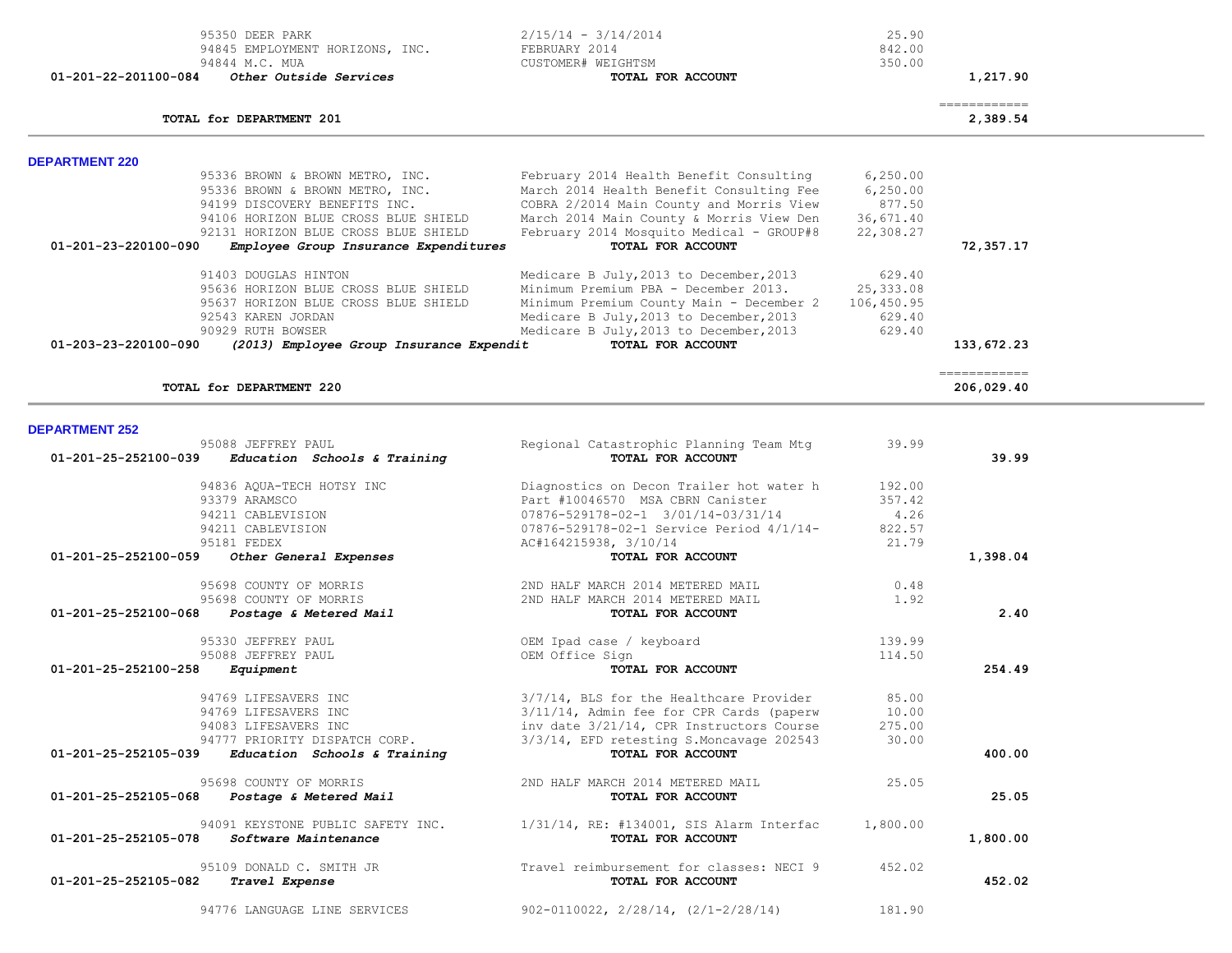|                       | 95350 DEER PARK<br>94845 EMPLOYMENT HORIZONS, INC.<br>94844 M.C. MUA | $2/15/14 - 3/14/2014$<br>FEBRUARY 2014<br>CUSTOMER# WEIGHTSM | 25.90<br>842.00<br>350.00 |                                           |  |
|-----------------------|----------------------------------------------------------------------|--------------------------------------------------------------|---------------------------|-------------------------------------------|--|
| 01-201-22-201100-084  | Other Outside Services                                               | TOTAL FOR ACCOUNT                                            |                           | 1,217.90                                  |  |
|                       | TOTAL for DEPARTMENT 201                                             |                                                              |                           | $=$ = = = = = = = = = = = = =<br>2,389.54 |  |
| <b>DEPARTMENT 220</b> |                                                                      |                                                              |                           |                                           |  |
|                       | 95336 BROWN & BROWN METRO, INC.                                      | February 2014 Health Benefit Consulting                      | 6, 250.00                 |                                           |  |
|                       | 95336 BROWN & BROWN METRO, INC.                                      | March 2014 Health Benefit Consulting Fee                     | 6, 250.00                 |                                           |  |
|                       | 94199 DISCOVERY BENEFITS INC.                                        | COBRA 2/2014 Main County and Morris View                     | 877.50                    |                                           |  |
|                       | 94106 HORIZON BLUE CROSS BLUE SHIELD                                 | March 2014 Main County & Morris View Den                     | 36,671.40                 |                                           |  |
|                       | 92131 HORIZON BLUE CROSS BLUE SHIELD                                 | February 2014 Mosquito Medical - GROUP#8                     | 22,308.27                 |                                           |  |
| 01-201-23-220100-090  | Employee Group Insurance Expenditures                                | TOTAL FOR ACCOUNT                                            |                           | 72,357.17                                 |  |
|                       | 91403 DOUGLAS HINTON                                                 | Medicare B July, 2013 to December, 2013                      | 629.40                    |                                           |  |
|                       | 95636 HORIZON BLUE CROSS BLUE SHIELD                                 | Minimum Premium PBA - December 2013.                         | 25, 333.08                |                                           |  |
|                       | 95637 HORIZON BLUE CROSS BLUE SHIELD                                 | Minimum Premium County Main - December 2                     | 106,450.95                |                                           |  |
|                       | 92543 KAREN JORDAN                                                   | Medicare B July, 2013 to December, 2013                      | 629.40                    |                                           |  |
|                       | 90929 RUTH BOWSER                                                    | Medicare B July, 2013 to December, 2013                      | 629.40                    |                                           |  |
| 01-203-23-220100-090  | (2013) Employee Group Insurance Expendit                             | TOTAL FOR ACCOUNT                                            |                           | 133,672.23                                |  |
|                       | TOTAL for DEPARTMENT 220                                             |                                                              |                           | ------------<br>206,029.40                |  |
|                       |                                                                      |                                                              |                           |                                           |  |
| <b>DEPARTMENT 252</b> |                                                                      |                                                              |                           |                                           |  |
| 01-201-25-252100-039  | 95088 JEFFREY PAUL<br>Education Schools & Training                   | Regional Catastrophic Planning Team Mtg<br>TOTAL FOR ACCOUNT | 39.99                     | 39.99                                     |  |
|                       |                                                                      |                                                              |                           |                                           |  |
|                       | 94836 AQUA-TECH HOTSY INC                                            | Diagnostics on Decon Trailer hot water h                     | 192.00                    |                                           |  |
|                       | 93379 ARAMSCO                                                        | Part #10046570 MSA CBRN Canister                             | 357.42                    |                                           |  |
|                       | 94211 CABLEVISION                                                    | 07876-529178-02-1 3/01/14-03/31/14                           | 4.26                      |                                           |  |
|                       | 94211 CABLEVISION                                                    | 07876-529178-02-1 Service Period 4/1/14-                     | 822.57                    |                                           |  |
|                       | 95181 FEDEX                                                          | AC#164215938, 3/10/14                                        | 21.79                     |                                           |  |
| 01-201-25-252100-059  | Other General Expenses                                               | TOTAL FOR ACCOUNT                                            |                           | 1,398.04                                  |  |
|                       | 95698 COUNTY OF MORRIS                                               | 2ND HALF MARCH 2014 METERED MAIL                             | 0.48                      |                                           |  |
|                       | 95698 COUNTY OF MORRIS                                               | 2ND HALF MARCH 2014 METERED MAIL                             | 1.92                      |                                           |  |
| 01-201-25-252100-068  | Postage & Metered Mail                                               | TOTAL FOR ACCOUNT                                            |                           | 2.40                                      |  |
|                       | 95330 JEFFREY PAUL                                                   | OEM Ipad case / keyboard                                     | 139.99                    |                                           |  |
|                       | 95088 JEFFREY PAUL                                                   | OEM Office Sign                                              | 114.50                    |                                           |  |
| 01-201-25-252100-258  | Equipment                                                            | TOTAL FOR ACCOUNT                                            |                           | 254.49                                    |  |
|                       | 94769 LIFESAVERS INC                                                 | 3/7/14, BLS for the Healthcare Provider                      | 85.00                     |                                           |  |
|                       | 94769 LIFESAVERS INC                                                 | 3/11/14, Admin fee for CPR Cards (paperw                     | 10.00                     |                                           |  |
|                       | 94083 LIFESAVERS INC                                                 | inv date 3/21/14, CPR Instructors Course                     | 275.00                    |                                           |  |
|                       | 94777 PRIORITY DISPATCH CORP.                                        | 3/3/14, EFD retesting S.Moncavage 202543                     | 30.00                     |                                           |  |
| 01-201-25-252105-039  | Education Schools & Training                                         | TOTAL FOR ACCOUNT                                            |                           | 400.00                                    |  |
|                       | 95698 COUNTY OF MORRIS                                               | 2ND HALF MARCH 2014 METERED MAIL                             | 25.05                     |                                           |  |
| 01-201-25-252105-068  | <i>Postage &amp; Metered Mail</i>                                    | TOTAL FOR ACCOUNT                                            |                           | 25.05                                     |  |
|                       | 94091 KEYSTONE PUBLIC SAFETY INC.                                    | $1/31/14$ , RE: #134001, SIS Alarm Interfac                  | 1,800.00                  |                                           |  |
| 01-201-25-252105-078  | Software Maintenance                                                 | TOTAL FOR ACCOUNT                                            |                           | 1,800.00                                  |  |
|                       | 95109 DONALD C. SMITH JR                                             | Travel reimbursement for classes: NECI 9                     | 452.02                    |                                           |  |
| 01-201-25-252105-082  | Travel Expense                                                       | TOTAL FOR ACCOUNT                                            |                           | 452.02                                    |  |
|                       |                                                                      |                                                              |                           |                                           |  |
|                       | 94776 LANGUAGE LINE SERVICES                                         | $902 - 0110022$ , $2/28/14$ , $(2/1 - 2/28/14)$              | 181.90                    |                                           |  |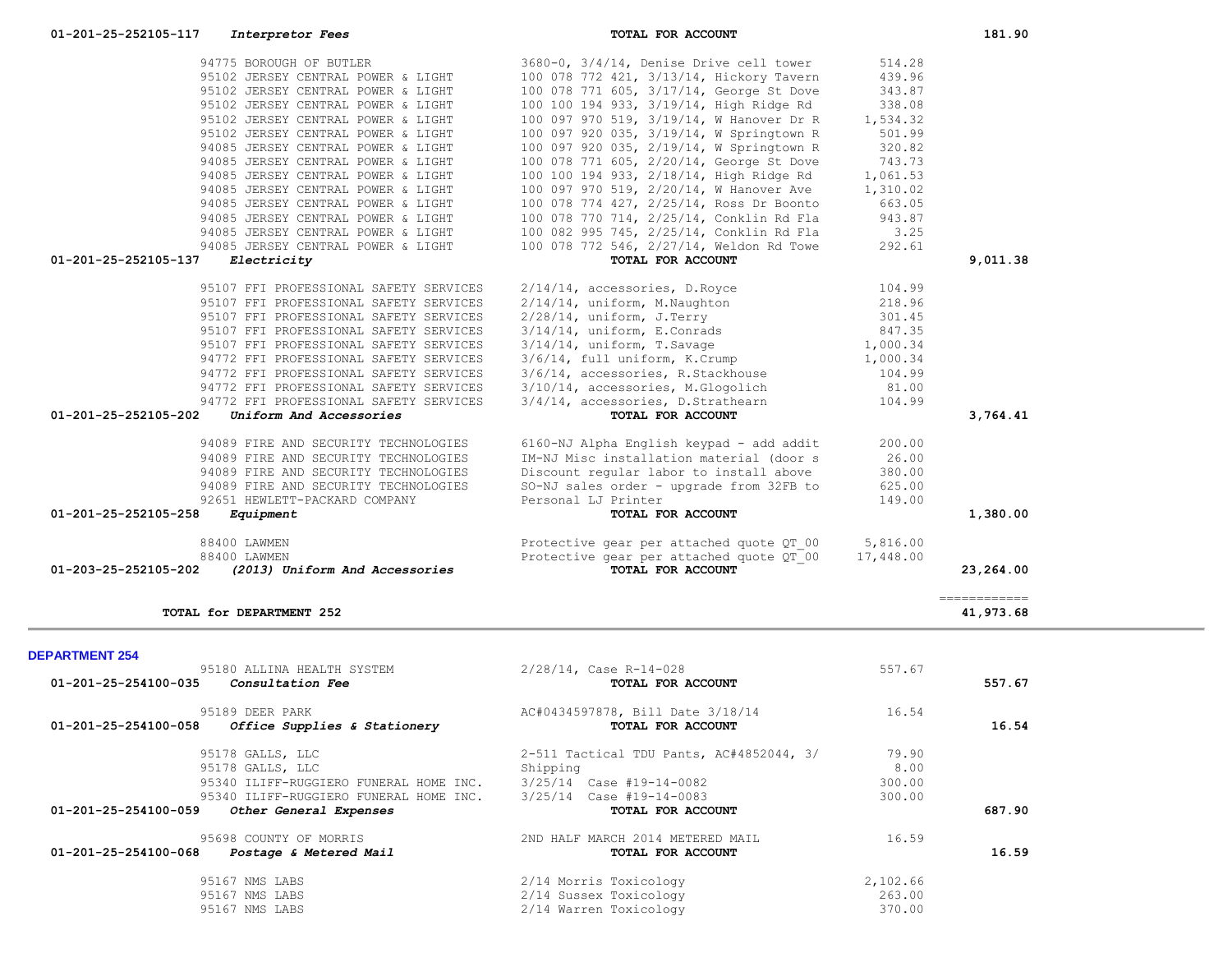| 88400 LAWMEN<br>88400 LAWMEN<br>01-203-25-252105-202<br>(2013) Uniform And Accessories                                                                                            | Protective gear per attached quote QT 00<br>Protective gear per attached quote QT 00<br>TOTAL FOR ACCOUNT                         | 5,816.00<br>17,448.00             | 23,264.00                 |  |
|-----------------------------------------------------------------------------------------------------------------------------------------------------------------------------------|-----------------------------------------------------------------------------------------------------------------------------------|-----------------------------------|---------------------------|--|
| TOTAL for DEPARTMENT 252                                                                                                                                                          |                                                                                                                                   |                                   | ============<br>41,973.68 |  |
| <b>DEPARTMENT 254</b>                                                                                                                                                             |                                                                                                                                   |                                   |                           |  |
| 95180 ALLINA HEALTH SYSTEM<br>$01 - 201 - 25 - 254100 - 035$ Consultation Fee                                                                                                     | 2/28/14, Case R-14-028<br>TOTAL FOR ACCOUNT                                                                                       | 557.67                            | 557.67                    |  |
| 95189 DEER PARK<br>01-201-25-254100-058<br><i>Office Supplies &amp; Stationery</i>                                                                                                | AC#0434597878, Bill Date 3/18/14<br>TOTAL FOR ACCOUNT                                                                             | 16.54                             | 16.54                     |  |
| 95178 GALLS, LLC<br>95178 GALLS, LLC<br>95340 ILIFF-RUGGIERO FUNERAL HOME INC.<br>95340 ILIFF-RUGGIERO FUNERAL HOME INC.<br>01-201-25-254100-059<br><i>Other General Expenses</i> | 2-511 Tactical TDU Pants, AC#4852044, 3/<br>Shipping<br>3/25/14 Case #19-14-0082<br>3/25/14 Case #19-14-0083<br>TOTAL FOR ACCOUNT | 79.90<br>8.00<br>300.00<br>300.00 | 687.90                    |  |
| 95698 COUNTY OF MORRIS<br>01-201-25-254100-068<br><i>Postage &amp; Metered Mail</i>                                                                                               | 2ND HALF MARCH 2014 METERED MAIL<br>TOTAL FOR ACCOUNT                                                                             | 16.59                             | 16.59                     |  |
| 95167 NMS LABS<br>95167 NMS LABS<br>95167 NMS LABS                                                                                                                                | 2/14 Morris Toxicology<br>2/14 Sussex Toxicology<br>2/14 Warren Toxicology                                                        | 2,102.66<br>263.00<br>370.00      |                           |  |

| 95102 JERSEY CENTRAL POWER & LIGHT                     | 100 078 771 605, 3/17/14, George St Dove                               | 343.87    |           |
|--------------------------------------------------------|------------------------------------------------------------------------|-----------|-----------|
| 95102 JERSEY CENTRAL POWER & LIGHT                     | 100 100 194 933, 3/19/14, High Ridge Rd                                | 338.08    |           |
| 95102 JERSEY CENTRAL POWER & LIGHT                     | 100 097 970 519, 3/19/14, W Hanover Dr R                               | 1,534.32  |           |
| 95102 JERSEY CENTRAL POWER & LIGHT                     | 100 097 920 035, 3/19/14, W Springtown R                               | 501.99    |           |
| 94085 JERSEY CENTRAL POWER & LIGHT                     | 100 097 920 035, 2/19/14, W Springtown R                               | 320.82    |           |
| 94085 JERSEY CENTRAL POWER & LIGHT                     | 100 078 771 605, 2/20/14, George St Dove                               | 743.73    |           |
| 94085 JERSEY CENTRAL POWER & LIGHT                     | 100 100 194 933, 2/18/14, High Ridge Rd                                | 1,061.53  |           |
| 94085 JERSEY CENTRAL POWER & LIGHT                     | 100 097 970 519, 2/20/14, W Hanover Ave 1,310.02                       |           |           |
| 94085 JERSEY CENTRAL POWER & LIGHT                     | 100 078 774 427, 2/25/14, Ross Dr Boonto                               | 663.05    |           |
| 94085 JERSEY CENTRAL POWER & LIGHT                     | 100 078 770 714, 2/25/14, Conklin Rd Fla                               | 943.87    |           |
| 94085 JERSEY CENTRAL POWER & LIGHT                     | 100 082 995 745, 2/25/14, Conklin Rd Fla                               | 3.25      |           |
| 94085 JERSEY CENTRAL POWER & LIGHT                     | 100 078 772 546, 2/27/14, Weldon Rd Towe                               | 292.61    |           |
| 01-201-25-252105-137<br>Electricity                    | TOTAL FOR ACCOUNT                                                      |           | 9,011.38  |
| 95107 FFI PROFESSIONAL SAFETY SERVICES                 | 2/14/14, accessories, D.Royce                                          | 104.99    |           |
| 95107 FFI PROFESSIONAL SAFETY SERVICES                 | $2/14/14$ , uniform, M. Naughton                                       | 218.96    |           |
| 95107 FFI PROFESSIONAL SAFETY SERVICES                 | $2/28/14$ , uniform, J. Terry                                          | 301.45    |           |
| 95107 FFI PROFESSIONAL SAFETY SERVICES                 | $3/14/14$ , uniform, E.Conrads                                         | 847.35    |           |
| 95107 FFI PROFESSIONAL SAFETY SERVICES                 | $3/14/14$ , uniform, T.Savage                                          | 1,000.34  |           |
| 94772 FFI PROFESSIONAL SAFETY SERVICES                 | 3/6/14, full uniform, K.Crump                                          | 1,000.34  |           |
| 94772 FFI PROFESSIONAL SAFETY SERVICES                 | 3/6/14, accessories, R.Stackhouse<br>3/10/14, accessories, M.Glogolich | 104.99    |           |
| 94772 FFI PROFESSIONAL SAFETY SERVICES                 |                                                                        | 81.00     |           |
| 94772 FFI PROFESSIONAL SAFETY SERVICES                 | 3/4/14, accessories, D.Strathearn                                      | 104.99    |           |
| 01-201-25-252105-202<br>Uniform And Accessories        | TOTAL FOR ACCOUNT                                                      |           | 3,764.41  |
| 94089 FIRE AND SECURITY TECHNOLOGIES                   | 6160-NJ Alpha English keypad - add addit                               | 200.00    |           |
| 94089 FIRE AND SECURITY TECHNOLOGIES                   | IM-NJ Misc installation material (door s                               | 26.00     |           |
| 94089 FIRE AND SECURITY TECHNOLOGIES                   | Discount reqular labor to install above                                | 380.00    |           |
| 94089 FIRE AND SECURITY TECHNOLOGIES                   | SO-NJ sales order - upgrade from 32FB to                               | 625.00    |           |
| 92651 HEWLETT-PACKARD COMPANY                          | Personal LJ Printer                                                    | 149.00    |           |
| 01-201-25-252105-258<br>Equipment                      | TOTAL FOR ACCOUNT                                                      |           | 1,380.00  |
| 88400 LAWMEN                                           | Protective gear per attached quote QT 00                               | 5,816.00  |           |
| 88400 LAWMEN                                           | Protective gear per attached quote QT 00                               | 17,448.00 |           |
| 01-203-25-252105-202<br>(2013) Uniform And Accessories | TOTAL FOR ACCOUNT                                                      |           | 23,264.00 |
|                                                        |                                                                        |           |           |

94775 BOROUGH OF BUTLER 3680-0, 3/4/14, Denise Drive cell tower 514.28 95102 JERSEY CENTRAL POWER & LIGHT 100 078 772 421, 3/13/14, Hickory Tavern 439.96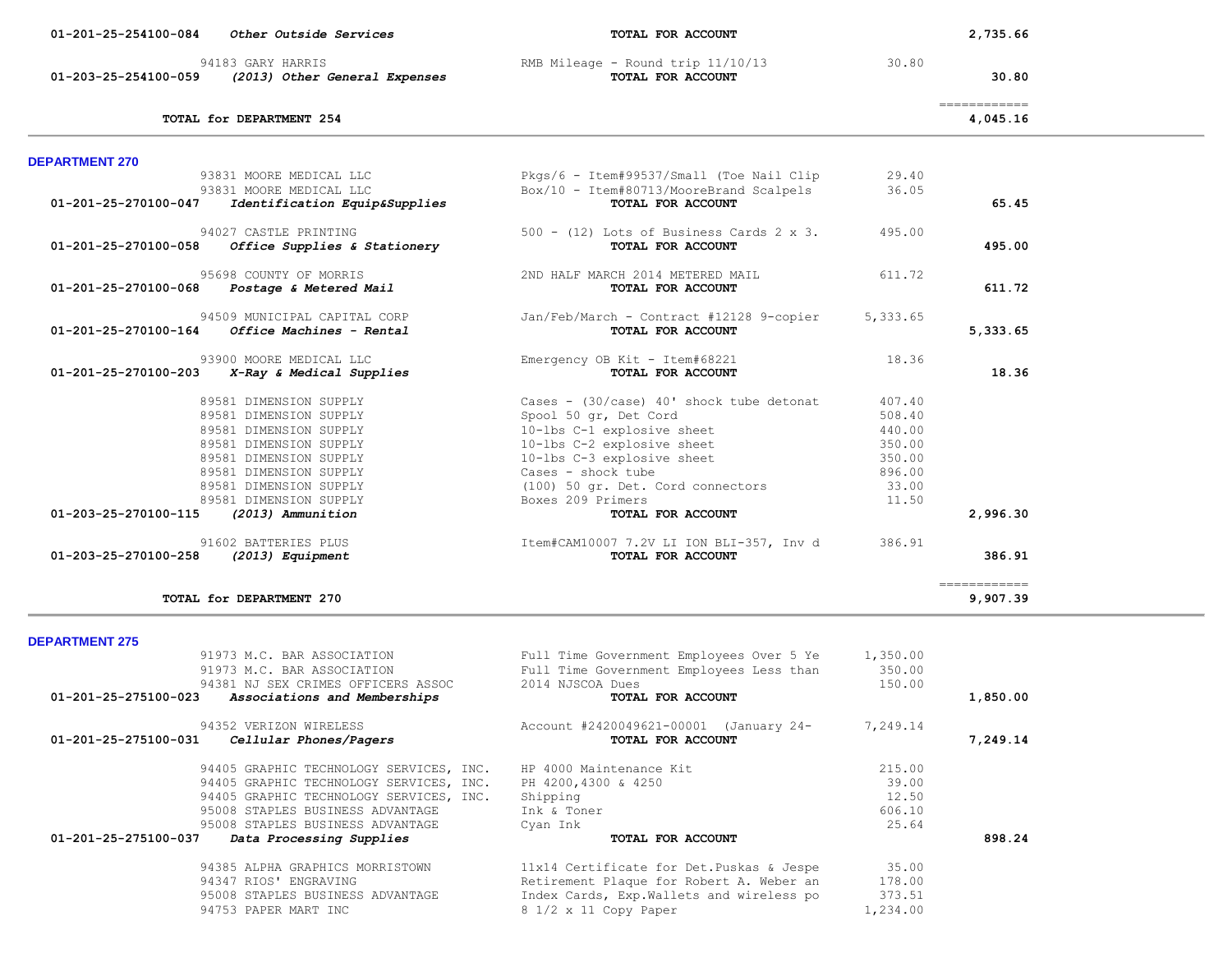| 94183 GARY HARRIS<br>01-203-25-254100-059<br>(2013) Other General Expenses | RMB Mileage - Round trip 11/10/13<br>TOTAL FOR ACCOUNT        | 30.80    | 30.80                     |  |
|----------------------------------------------------------------------------|---------------------------------------------------------------|----------|---------------------------|--|
| TOTAL for DEPARTMENT 254                                                   |                                                               |          | =============<br>4,045.16 |  |
| <b>DEPARTMENT 270</b>                                                      |                                                               |          |                           |  |
| 93831 MOORE MEDICAL LLC                                                    | Pkgs/6 - Item#99537/Small (Toe Nail Clip                      | 29.40    |                           |  |
| 93831 MOORE MEDICAL LLC                                                    | Box/10 - Item#80713/MooreBrand Scalpels                       | 36.05    |                           |  |
| 01-201-25-270100-047<br>Identification Equip&Supplies                      | TOTAL FOR ACCOUNT                                             |          | 65.45                     |  |
| 94027 CASTLE PRINTING                                                      | $500 - (12)$ Lots of Business Cards 2 x 3.                    | 495.00   |                           |  |
| 01-201-25-270100-058<br>Office Supplies & Stationery                       | TOTAL FOR ACCOUNT                                             |          | 495.00                    |  |
|                                                                            |                                                               |          |                           |  |
| 95698 COUNTY OF MORRIS                                                     | 2ND HALF MARCH 2014 METERED MAIL                              | 611.72   |                           |  |
| 01-201-25-270100-068<br>Postage & Metered Mail                             | TOTAL FOR ACCOUNT                                             |          | 611.72                    |  |
| 94509 MUNICIPAL CAPITAL CORP                                               | Jan/Feb/March - Contract #12128 9-copier                      | 5,333.65 |                           |  |
| Office Machines - Rental<br>01-201-25-270100-164                           | TOTAL FOR ACCOUNT                                             |          | 5,333.65                  |  |
|                                                                            |                                                               |          |                           |  |
| 93900 MOORE MEDICAL LLC                                                    | Emergency OB Kit - Item#68221                                 | 18.36    |                           |  |
| 01-201-25-270100-203<br>X-Ray & Medical Supplies                           | TOTAL FOR ACCOUNT                                             |          | 18.36                     |  |
| 89581 DIMENSION SUPPLY                                                     | Cases - (30/case) 40' shock tube detonat                      | 407.40   |                           |  |
| 89581 DIMENSION SUPPLY                                                     | Spool 50 gr, Det Cord                                         | 508.40   |                           |  |
| 89581 DIMENSION SUPPLY                                                     | 10-lbs C-1 explosive sheet                                    | 440.00   |                           |  |
| 89581 DIMENSION SUPPLY                                                     | 10-lbs C-2 explosive sheet                                    | 350.00   |                           |  |
| 89581 DIMENSION SUPPLY                                                     | 10-lbs C-3 explosive sheet                                    | 350.00   |                           |  |
| 89581 DIMENSION SUPPLY                                                     | Cases - shock tube                                            | 896.00   |                           |  |
| 89581 DIMENSION SUPPLY                                                     | (100) 50 gr. Det. Cord connectors                             | 33.00    |                           |  |
| 89581 DIMENSION SUPPLY                                                     | Boxes 209 Primers                                             | 11.50    |                           |  |
| 01-203-25-270100-115<br>(2013) Ammunition                                  | TOTAL FOR ACCOUNT                                             |          | 2,996.30                  |  |
| 91602 BATTERIES PLUS                                                       |                                                               |          |                           |  |
| 01-203-25-270100-258<br>(2013) Equipment                                   | Item#CAM10007 7.2V LI ION BLI-357, Inv d<br>TOTAL FOR ACCOUNT | 386.91   | 386.91                    |  |
|                                                                            |                                                               |          |                           |  |
|                                                                            |                                                               |          | =============             |  |
| TOTAL for DEPARTMENT 270                                                   |                                                               |          | 9,907.39                  |  |
| <b>DEPARTMENT 275</b>                                                      |                                                               |          |                           |  |
| 91973 M.C. BAR ASSOCIATION                                                 | Full Time Government Employees Over 5 Ye                      | 1,350.00 |                           |  |
| 91973 M.C. BAR ASSOCIATION                                                 | Full Time Government Employees Less than                      | 350.00   |                           |  |
| 94381 NJ SEX CRIMES OFFICERS ASSOC                                         | 2014 NJSCOA Dues                                              | 150.00   |                           |  |
| 01-201-25-275100-023<br>Associations and Memberships                       | TOTAL FOR ACCOUNT                                             |          | 1,850.00                  |  |
|                                                                            |                                                               |          |                           |  |
| 94352 VERIZON WIRELESS                                                     | Account #2420049621-00001 (January 24-                        | 7,249.14 |                           |  |
| 01-201-25-275100-031<br>Cellular Phones/Pagers                             | TOTAL FOR ACCOUNT                                             |          | 7,249.14                  |  |
| 94405 GRAPHIC TECHNOLOGY SERVICES, INC.                                    | HP 4000 Maintenance Kit                                       | 215.00   |                           |  |
| 94405 GRAPHIC TECHNOLOGY SERVICES, INC.                                    | PH 4200,4300 & 4250                                           | 39.00    |                           |  |
| 94405 GRAPHIC TECHNOLOGY SERVICES, INC.                                    | Shipping                                                      | 12.50    |                           |  |
| 95008 STAPLES BUSINESS ADVANTAGE                                           | Ink & Toner                                                   | 606.10   |                           |  |
| 95008 STAPLES BUSINESS ADVANTAGE                                           | Cyan Ink                                                      | 25.64    |                           |  |
| 01-201-25-275100-037<br>Data Processing Supplies                           | TOTAL FOR ACCOUNT                                             |          | 898.24                    |  |
|                                                                            |                                                               |          |                           |  |
| 94385 ALPHA GRAPHICS MORRISTOWN                                            | 11x14 Certificate for Det. Puskas & Jespe                     | 35.00    |                           |  |
| 94347 RIOS' ENGRAVING                                                      | Retirement Plaque for Robert A. Weber an                      | 178.00   |                           |  |
| 95008 STAPLES BUSINESS ADVANTAGE<br>94753 PAPER MART INC                   | Index Cards, Exp. Wallets and wireless po                     | 373.51   |                           |  |
|                                                                            | 8 1/2 x 11 Copy Paper                                         | 1,234.00 |                           |  |

 **01-201-25-254100-084** *Other Outside Services* **TOTAL FOR ACCOUNT 2,735.66**

-

 $\overline{\phantom{a}}$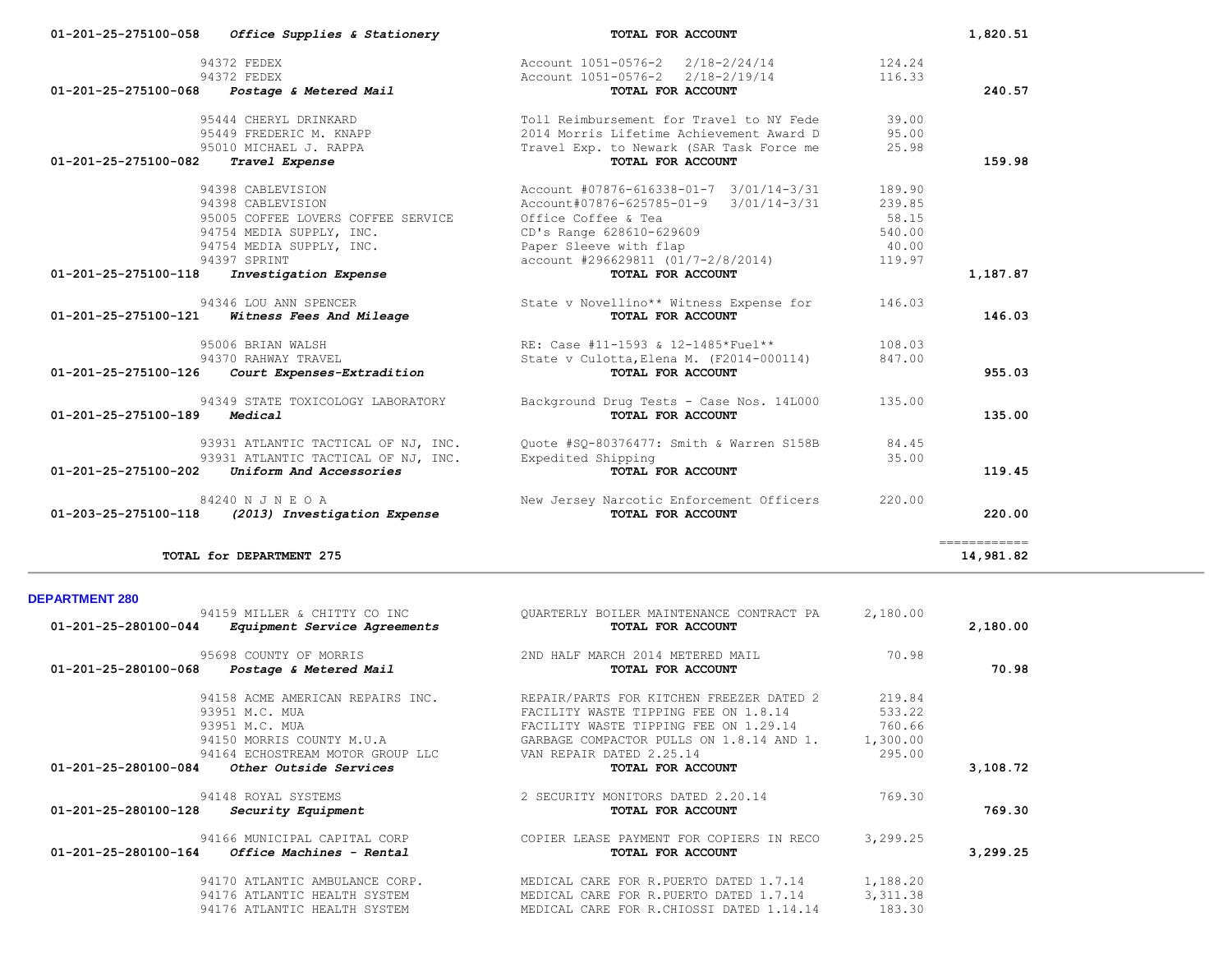| 01-201-25-275100-058  | Office Supplies & Stationery                      | TOTAL FOR ACCOUNT                                                    |                  | 1,820.51                   |
|-----------------------|---------------------------------------------------|----------------------------------------------------------------------|------------------|----------------------------|
|                       | 94372 FEDEX<br>94372 FEDEX                        | Account 1051-0576-2 2/18-2/24/14<br>Account 1051-0576-2 2/18-2/19/14 | 124.24<br>116.33 |                            |
|                       | 01-201-25-275100-068 Postage & Metered Mail       | TOTAL FOR ACCOUNT                                                    |                  | 240.57                     |
|                       | 95444 CHERYL DRINKARD                             | Toll Reimbursement for Travel to NY Fede                             | 39.00            |                            |
|                       | 95449 FREDERIC M. KNAPP                           | 2014 Morris Lifetime Achievement Award D                             | 95.00            |                            |
|                       | 95010 MICHAEL J. RAPPA                            | Travel Exp. to Newark (SAR Task Force me                             | 25.98            |                            |
| 01-201-25-275100-082  | Travel Expense                                    | TOTAL FOR ACCOUNT                                                    |                  | 159.98                     |
|                       | 94398 CABLEVISION                                 | Account #07876-616338-01-7 3/01/14-3/31                              | 189.90           |                            |
|                       | 94398 CABLEVISION                                 | $3/01/14-3/31$<br>Account#07876-625785-01-9                          | 239.85           |                            |
|                       | 95005 COFFEE LOVERS COFFEE SERVICE                | Office Coffee & Tea                                                  | 58.15            |                            |
|                       | 94754 MEDIA SUPPLY, INC.                          | CD's Range 628610-629609                                             | 540.00           |                            |
|                       | 94754 MEDIA SUPPLY, INC.                          | Paper Sleeve with flap                                               | 40.00            |                            |
|                       | 94397 SPRINT                                      | account #296629811 (01/7-2/8/2014)                                   | 119.97           |                            |
| 01-201-25-275100-118  | Investigation Expense                             | TOTAL FOR ACCOUNT                                                    |                  | 1,187.87                   |
|                       | 94346 LOU ANN SPENCER                             | State v Novellino** Witness Expense for                              | 146.03           |                            |
| 01-201-25-275100-121  | Witness Fees And Mileage                          | TOTAL FOR ACCOUNT                                                    |                  | 146.03                     |
|                       | 95006 BRIAN WALSH                                 | RE: Case #11-1593 & 12-1485*Fuel**                                   | 108.03           |                            |
|                       | 94370 RAHWAY TRAVEL                               | State v Culotta, Elena M. (F2014-000114)                             | 847.00           |                            |
| 01-201-25-275100-126  | Court Expenses-Extradition                        | TOTAL FOR ACCOUNT                                                    |                  | 955.03                     |
|                       | 94349 STATE TOXICOLOGY LABORATORY                 | Background Drug Tests - Case Nos. 14L000                             | 135.00           |                            |
| 01-201-25-275100-189  | Medical                                           | TOTAL FOR ACCOUNT                                                    |                  | 135.00                     |
|                       | 93931 ATLANTIC TACTICAL OF NJ, INC.               | Quote #SQ-80376477: Smith & Warren S158B                             | 84.45            |                            |
|                       | 93931 ATLANTIC TACTICAL OF NJ, INC.               | Expedited Shipping                                                   | 35.00            |                            |
| 01-201-25-275100-202  | Uniform And Accessories                           | TOTAL FOR ACCOUNT                                                    |                  | 119.45                     |
|                       | 84240 N J N E O A                                 | New Jersey Narcotic Enforcement Officers                             | 220.00           |                            |
|                       | 01-203-25-275100-118 (2013) Investigation Expense | TOTAL FOR ACCOUNT                                                    |                  | 220.00                     |
|                       | TOTAL for DEPARTMENT 275                          |                                                                      |                  | -------------<br>14,981.82 |
|                       |                                                   |                                                                      |                  |                            |
| <b>DEPARTMENT 280</b> | 94159 MILLER & CHITTY CO INC                      | QUARTERLY BOILER MAINTENANCE CONTRACT PA                             | 2,180.00         |                            |
|                       | 01-201-25-280100-044 Equipment Service Agreements | TOTAL FOR ACCOUNT                                                    |                  | 2,180.00                   |
|                       | 95698 COUNTY OF MORRIS                            | 2ND HALF MARCH 2014 METERED MAIL                                     | 70.98            |                            |

| 01-201-25-280100-068 | Postage & Metered Mail                 | TOTAL FOR ACCOUNT                        |           | 70.98    |
|----------------------|----------------------------------------|------------------------------------------|-----------|----------|
|                      | 94158 ACME AMERICAN REPAIRS INC.       | REPAIR/PARTS FOR KITCHEN FREEZER DATED 2 | 219.84    |          |
|                      | 93951 M.C. MUA                         | FACILITY WASTE TIPPING FEE ON 1.8.14     | 533.22    |          |
|                      | 93951 M.C. MUA                         | FACILITY WASTE TIPPING FEE ON 1.29.14    | 760.66    |          |
|                      | 94150 MORRIS COUNTY M.U.A              | GARBAGE COMPACTOR PULLS ON 1.8.14 AND 1. | 1,300.00  |          |
|                      | 94164 ECHOSTREAM MOTOR GROUP LLC       | VAN REPAIR DATED 2.25.14                 | 295.00    |          |
| 01-201-25-280100-084 | Other Outside Services                 | TOTAL FOR ACCOUNT                        |           | 3,108.72 |
|                      | 94148 ROYAL SYSTEMS                    | 2 SECURITY MONITORS DATED 2.20.14        | 769.30    |          |
| 01-201-25-280100-128 | Security Equipment                     | TOTAL FOR ACCOUNT                        |           | 769.30   |
|                      | 94166 MUNICIPAL CAPITAL CORP           | COPIER LEASE PAYMENT FOR COPIERS IN RECO | 3,299.25  |          |
| 01-201-25-280100-164 | <i><b>Office Machines - Rental</b></i> | TOTAL FOR ACCOUNT                        |           | 3,299.25 |
|                      | 94170 ATLANTIC AMBULANCE CORP.         | MEDICAL CARE FOR R.PUERTO DATED 1.7.14   | 1,188.20  |          |
|                      | 94176 ATLANTIC HEALTH SYSTEM           | MEDICAL CARE FOR R. PUERTO DATED 1.7.14  | 3, 311.38 |          |
|                      | 94176 ATLANTIC HEALTH SYSTEM           | MEDICAL CARE FOR R.CHIOSSI DATED 1.14.14 | 183.30    |          |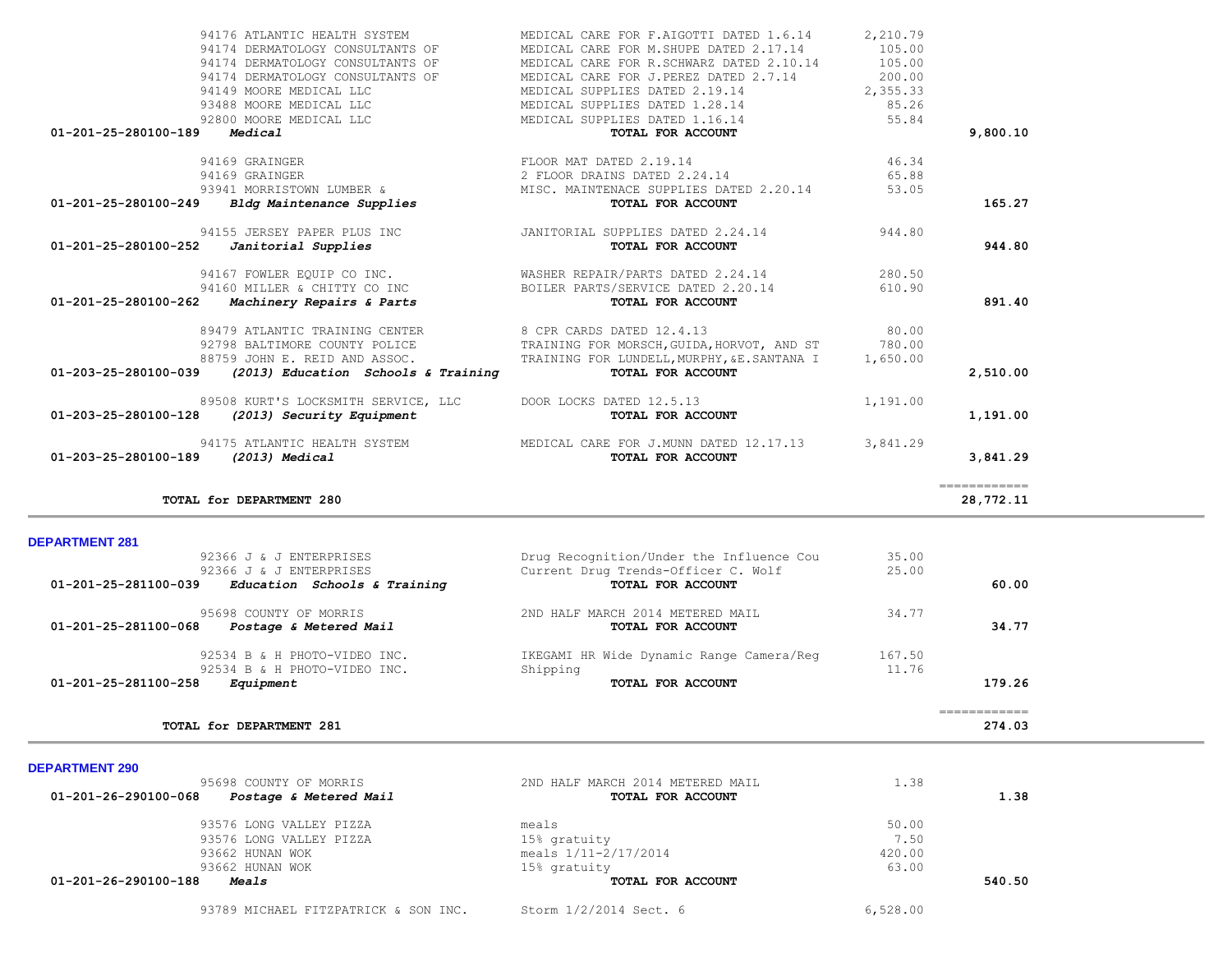| TOTAL for DEPARTMENT 280                             |                                          |        | ============<br>28,772.11 |  |
|------------------------------------------------------|------------------------------------------|--------|---------------------------|--|
| <b>DEPARTMENT 281</b>                                |                                          |        |                           |  |
| 92366 J & J ENTERPRISES                              | Drug Recognition/Under the Influence Cou | 35.00  |                           |  |
| 92366 J & J ENTERPRISES                              | Current Drug Trends-Officer C. Wolf      | 25.00  |                           |  |
| Education Schools & Training<br>01-201-25-281100-039 | TOTAL FOR ACCOUNT                        |        | 60.00                     |  |
| 95698 COUNTY OF MORRIS                               | 2ND HALF MARCH 2014 METERED MAIL         | 34.77  |                           |  |
| 01-201-25-281100-068<br>Postage & Metered Mail       | TOTAL FOR ACCOUNT                        |        | 34.77                     |  |
| 92534 B & H PHOTO-VIDEO INC.                         | IKEGAMI HR Wide Dynamic Range Camera/Reg | 167.50 |                           |  |
| 92534 B & H PHOTO-VIDEO INC.                         | Shipping                                 | 11.76  |                           |  |
| 01-201-25-281100-258<br>Equipment                    | TOTAL FOR ACCOUNT                        |        | 179.26                    |  |
|                                                      |                                          |        | ============              |  |
| TOTAL for DEPARTMENT 281                             |                                          |        | 274.03                    |  |
| <b>DEPARTMENT 290</b>                                |                                          |        |                           |  |
| 95698 COUNTY OF MORRIS                               | 2ND HALF MARCH 2014 METERED MAIL         | 1.38   |                           |  |
| 01-201-26-290100-068<br>Postage & Metered Mail       | TOTAL FOR ACCOUNT                        |        | 1.38                      |  |
| 93576 LONG VALLEY PIZZA                              | meals                                    | 50.00  |                           |  |
| 93576 LONG VALLEY PIZZA                              | 15% gratuity                             | 7.50   |                           |  |
| 93662 HUNAN WOK                                      | meals $1/11-2/17/2014$                   | 420.00 |                           |  |
| 93662 HUNAN WOK                                      | 15% gratuity                             | 63.00  |                           |  |

93662 HUNAN WOK 15% gratuity 15% gratuity 63.00<br>**8** Meals 15% for all models to the community of the community of the community of the community of the community  **01-201-26-290100-188** *Meals* **TOTAL FOR ACCOUNT 540.50**

93789 MICHAEL FITZPATRICK & SON INC. Storm 1/2/2014 Sect. 6 6 6,528.00

| 94175 ATLANTIC HEALTH SYSTEM WEDICAL CARE FOR J.MUNN DATED 12.17.13<br>01-203-25-280100-189<br>(2013) Medical                                                                               | TOTAL FOR ACCOUNT                                                                                                                                                                                                   | 3,841.29                              | 3,841.29 |
|---------------------------------------------------------------------------------------------------------------------------------------------------------------------------------------------|---------------------------------------------------------------------------------------------------------------------------------------------------------------------------------------------------------------------|---------------------------------------|----------|
| 89508 KURT'S LOCKSMITH SERVICE, LLC DOOR LOCKS DATED 12.5.13<br>01-203-25-280100-128<br>(2013) Security Equipment                                                                           | TOTAL FOR ACCOUNT                                                                                                                                                                                                   | 1,191.00                              | 1,191.00 |
| 89479 ATLANTIC TRAINING CENTER 6 8 CPR CARDS DATED 12.4.13<br>92798 BALTIMORE COUNTY POLICE<br>88759 JOHN E. REID AND ASSOC.<br>01-203-25-280100-039<br>(2013) Education Schools & Training | TRAINING FOR MORSCH, GUIDA, HORVOT, AND ST 780.00<br>TRAINING FOR LUNDELL, MURPHY, &E. SANTANA I 1,650.00<br>TOTAL FOR ACCOUNT                                                                                      | 80.00                                 | 2,510.00 |
| 94160 MILLER & CHITTY CO INC<br>01-201-25-280100-262 Machinery Repairs & Parts                                                                                                              | 94167 FOWLER EQUIP CO INC. WASHER REPAIR/PARTS DATED 2.24.14<br>BOILER PARTS/SERVICE DATED 2.20.14<br>TOTAL FOR ACCOUNT                                                                                             | 280.50<br>610.90                      | 891.40   |
| 01-201-25-280100-252<br>Janitorial Supplies                                                                                                                                                 | 94155 JERSEY PAPER PLUS INC                         JANITORIAL SUPPLIES DATED 2.24.14                   944.80<br>TOTAL FOR ACCOUNT                                                                                 |                                       | 944.80   |
| 94169 GRAINGER<br>94169 GRAINGER<br>93941 MORRISTOWN LUMBER &<br>01-201-25-280100-249 Bldg Maintenance Supplies                                                                             | FLOOR MAT DATED 2.19.14<br>2 FLOOR DRAINS DATED 2.24.14<br>MISC. MAINTENACE SUPPLIES DATED 2.20.14<br>TOTAL FOR ACCOUNT                                                                                             | 46.34<br>65.88<br>53.05               | 165.27   |
| 94174 DERMATOLOGY CONSULTANTS OF<br>94174 DERMATOLOGY CONSULTANTS OF<br>94149 MOORE MEDICAL LLC<br>93488 MOORE MEDICAL LLC<br>92800 MOORE MEDICAL LLC<br>01-201-25-280100-189<br>Medical    | MEDICAL CARE FOR R.SCHWARZ DATED 2.10.14<br>MEDICAL CARE FOR J. PEREZ DATED 2.7.14<br>MEDICAL SUPPLIES DATED 2.19.14<br>MEDICAL SUPPLIES DATED 1.28.14 85.26<br>MEDICAL SUPPLIES DATED 1.16.14<br>TOTAL FOR ACCOUNT | 105.00<br>200.00<br>2,355.33<br>55.84 | 9,800.10 |
| 94174 DERMATOLOGY CONSULTANTS OF                                                                                                                                                            | MEDICAL CARE FOR M. SHUPE DATED 2.17.14                                                                                                                                                                             | 105.00                                |          |

94176 ATLANTIC HEALTH SYSTEM MEDICAL CARE FOR F.AIGOTTI DATED 1.6.14 2,210.79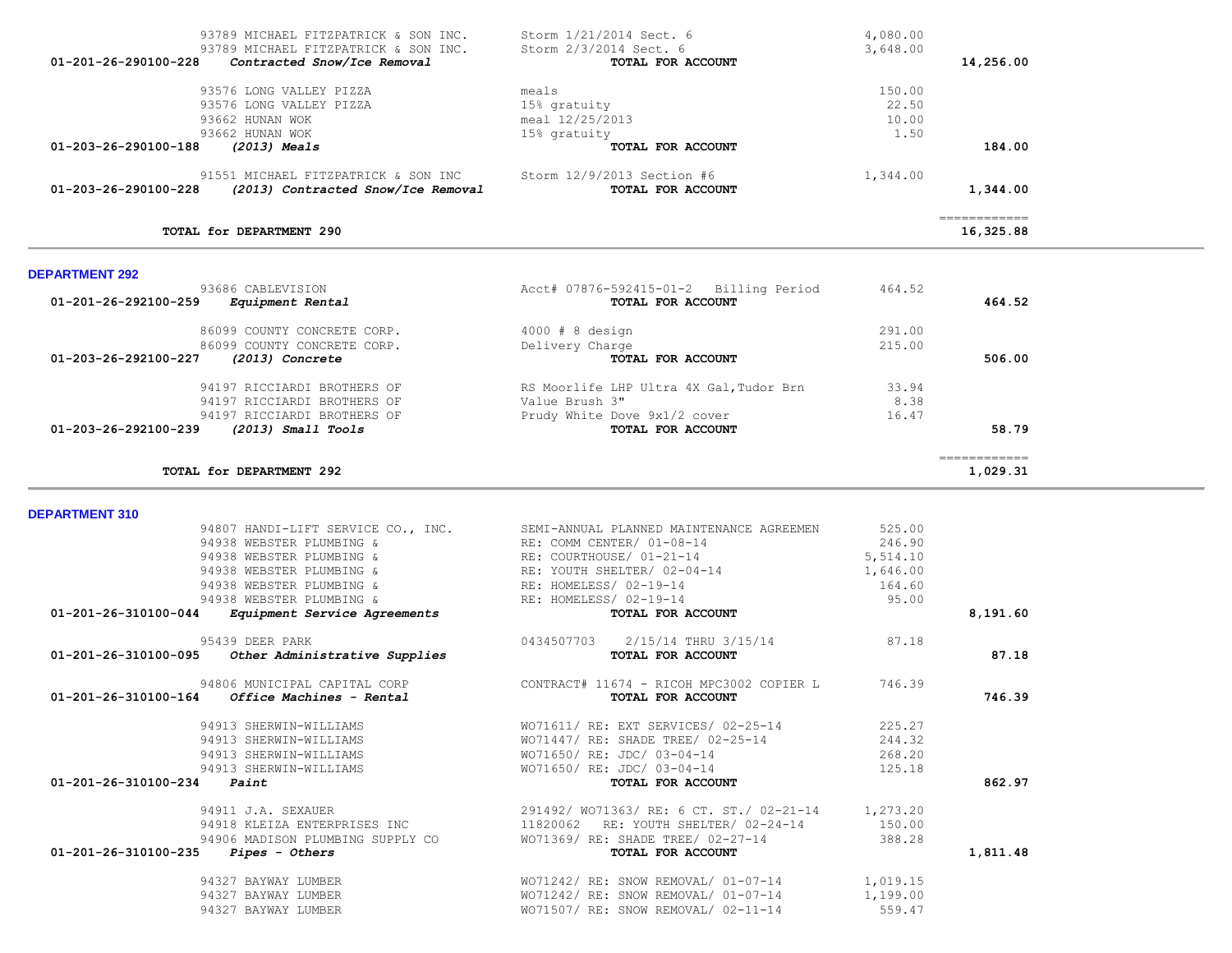| <b>DEPARTMENT 310</b> |                                                         |                                                                                    |          |          |
|-----------------------|---------------------------------------------------------|------------------------------------------------------------------------------------|----------|----------|
|                       |                                                         | 94807 HANDI-LIFT SERVICE CO., INC. SEMI-ANNUAL PLANNED MAINTENANCE AGREEMEN 525.00 |          |          |
|                       | 94938 WEBSTER PLUMBING &                                | RE: COMM CENTER/ 01-08-14                                                          | 246.90   |          |
|                       | 94938 WEBSTER PLUMBING &                                | RE: COURTHOUSE/ 01-21-14                                                           | 5,514.10 |          |
|                       | 94938 WEBSTER PLUMBING &                                | RE: YOUTH SHELTER/ 02-04-14                                                        | 1,646.00 |          |
|                       | 94938 WEBSTER PLUMBING &                                | RE: HOMELESS/ 02-19-14                                                             | 164.60   |          |
|                       | 94938 WEBSTER PLUMBING &                                | RE: HOMELESS/ 02-19-14                                                             | 95.00    |          |
| 01-201-26-310100-044  | <i>Equipment Service Agreements</i>                     | TOTAL FOR ACCOUNT                                                                  |          | 8,191.60 |
|                       | 95439 DEER PARK                                         | 0434507703  2/15/14 THRU 3/15/14  87.18                                            |          |          |
|                       | $01-201-26-310100-095$ Other Administrative Supplies    | TOTAL FOR ACCOUNT                                                                  |          | 87.18    |
|                       |                                                         | 94806 MUNICIPAL CAPITAL CORP CONTRACT# 11674 - RICOH MPC3002 COPIER L              | 746.39   |          |
|                       | $01 - 201 - 26 - 310100 - 164$ Office Machines - Rental | TOTAL FOR ACCOUNT                                                                  |          | 746.39   |
|                       | 94913 SHERWIN-WILLIAMS                                  | WO71611/ RE: EXT SERVICES/ 02-25-14 225.27                                         |          |          |
|                       | 94913 SHERWIN-WILLIAMS                                  | WO71447/ RE: SHADE TREE/ 02-25-14 244.32                                           |          |          |
|                       | 94913 SHERWIN-WILLIAMS                                  | WO71650/RE: JDC/03-04-14 268.20                                                    |          |          |
|                       | 94913 SHERWIN-WILLIAMS                                  | WO71650/ RE: JDC/ 03-04-14                                                         | 125.18   |          |
| 01-201-26-310100-234  | Paint                                                   | TOTAL FOR ACCOUNT                                                                  |          | 862.97   |
|                       | 94911 J.A. SEXAUER                                      | 291492/ WO71363/ RE: 6 CT. ST./ 02-21-14 1,273.20                                  |          |          |
|                       | 94918 KLEIZA ENTERPRISES INC                            | RE: YOUTH SHELTER/ 02-24-14 150.00<br>11820062                                     |          |          |
|                       | 94906 MADISON PLUMBING SUPPLY CO                        | WO71369/ RE: SHADE TREE/ 02-27-14                                                  | 388.28   |          |
| 01-201-26-310100-235  | <i>Pipes - Others</i>                                   | TOTAL FOR ACCOUNT                                                                  |          | 1,811.48 |
|                       | 94327 BAYWAY LUMBER                                     | WO71242/ RE: SNOW REMOVAL/ 01-07-14                                                | 1,019.15 |          |
|                       | 94327 BAYWAY LUMBER                                     | WO71242/ RE: SNOW REMOVAL/ 01-07-14 1,199.00                                       |          |          |
|                       | 94327 BAYWAY LUMBER                                     | $WO71507/RE: SNOW REMOVAL/02-11-14$                                                | 559.47   |          |
|                       |                                                         |                                                                                    |          |          |

DE

| <b>DEPARTMENT 292</b>                                                   |                                                             |        |              |
|-------------------------------------------------------------------------|-------------------------------------------------------------|--------|--------------|
| 93686 CABLEVISION<br>$01 - 201 - 26 - 292100 - 259$<br>Equipment Rental | Acct# 07876-592415-01-2 Billing Period<br>TOTAL FOR ACCOUNT | 464.52 | 464.52       |
| 86099 COUNTY CONCRETE CORP.                                             | $4000 \pm 8$ design                                         | 291.00 |              |
| 86099 COUNTY CONCRETE CORP.                                             | Delivery Charge                                             | 215.00 |              |
| 01-203-26-292100-227<br>(2013) Concrete                                 | TOTAL FOR ACCOUNT                                           |        | 506.00       |
| 94197 RICCIARDI BROTHERS OF                                             | RS Moorlife LHP Ultra 4X Gal, Tudor Brn                     | 33.94  |              |
| 94197 RICCIARDI BROTHERS OF                                             | Value Brush 3"                                              | 8.38   |              |
| 94197 RICCIARDI BROTHERS OF                                             | Prudy White Dove 9x1/2 cover                                | 16.47  |              |
| $01 - 203 - 26 - 292100 - 239$<br>$(2013)$ Small Tools                  | TOTAL FOR ACCOUNT                                           |        | 58.79        |
|                                                                         |                                                             |        | ============ |
| TOTAL for DEPARTMENT 292                                                |                                                             |        | 1,029.31     |

| 93789 MICHAEL FITZPATRICK & SON INC.                         | Storm 1/21/2014 Sect. 6    | 4,080.00 |              |
|--------------------------------------------------------------|----------------------------|----------|--------------|
| 93789 MICHAEL FITZPATRICK & SON INC.<br>01-201-26-290100-228 | Storm 2/3/2014 Sect. 6     | 3,648.00 |              |
| Contracted Snow/Ice Removal                                  | TOTAL FOR ACCOUNT          |          | 14,256.00    |
| 93576 LONG VALLEY PIZZA                                      | meals                      | 150.00   |              |
| 93576 LONG VALLEY PIZZA                                      | 15% gratuity               | 22.50    |              |
| 93662 HUNAN WOK                                              | meal 12/25/2013            | 10.00    |              |
| 93662 HUNAN WOK                                              | 15% gratuity               | 1.50     |              |
| 01-203-26-290100-188<br>(2013) Meals                         | TOTAL FOR ACCOUNT          |          | 184.00       |
| 91551 MICHAEL FITZPATRICK & SON INC                          | Storm 12/9/2013 Section #6 | 1,344.00 |              |
| 01-203-26-290100-228<br>(2013) Contracted Snow/Ice Removal   | <b>TOTAL FOR ACCOUNT</b>   |          | 1,344.00     |
|                                                              |                            |          | ============ |
| TOTAL for DEPARTMENT 290                                     |                            |          | 16,325.88    |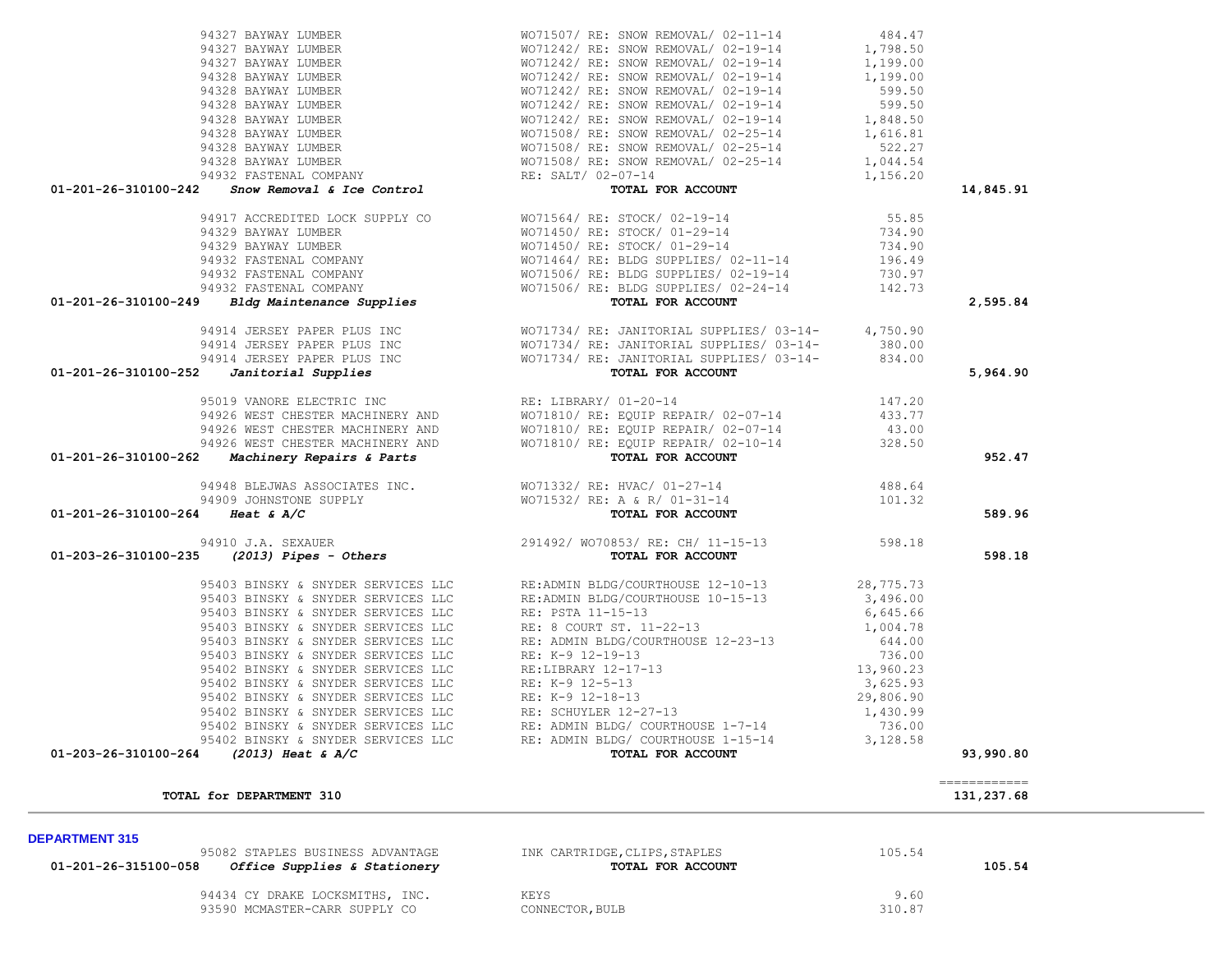| 01-201-26-315100-058 | <i>Office Supplies &amp; Stationery</i> | TOTAL FOR ACCOUNT | 105.54 |
|----------------------|-----------------------------------------|-------------------|--------|
|                      | 94434 CY DRAKE LOCKSMITHS, INC.         | KEYS              | 9.60   |
|                      | 93590 MCMASTER-CARR SUPPLY CO           | CONNECTOR, BULB   | 310.87 |
|                      |                                         |                   |        |

============

95082 STAPLES BUSINESS ADVANTAGE **INK CARTRIDGE, CLIPS, STAPLES** 105.54

### **DEPARTMENT 315**

# **TOTAL for DEPARTMENT 310** 131, 237.68

|  |  | 95403 BINSKY & SNYDER SERVICES LLC | R |
|--|--|------------------------------------|---|
|  |  | 95403 BINSKY & SNYDER SERVICES LLC | R |
|  |  | 95403 BINSKY & SNYDER SERVICES LLC | R |
|  |  | 95403 BINSKY & SNYDER SERVICES LLC | R |
|  |  | 95403 BINSKY & SNYDER SERVICES LLC | R |
|  |  | 95403 BINSKY & SNYDER SERVICES LLC | R |
|  |  | 95402 BINSKY & SNYDER SERVICES LLC | R |
|  |  | 95402 BINSKY & SNYDER SERVICES LLC | R |
|  |  | 95402 BINSKY & SNYDER SERVICES LLC | R |
|  |  | 95402 BINSKY & SNYDER SERVICES LLC | R |
|  |  | 95402 BINSKY & SNYDER SERVICES LLC | R |
|  |  | 95402 BINSKY & SNYDER SERVICES LLC | R |
|  |  |                                    |   |

## 94910 J.A. SEXAUER 2 01-203-26-310100-235 *(2013) Pipes - Others*

### 94909 JOHNSTONE SUPPLY WORLD 01-201-26-310100-264 *Heat & A/C*

### 95019 VANORE ELECTRIC INC **Example 2014** RE 94926 WEST CHESTER MACHINERY AND WO 94926 WEST CHESTER MACHINERY AND WO 94926 WEST CHESTER MACHINERY AND WO **01-201-26-310100-262** *Machinery Repairs & Parts*

# 01-201-26-310100-252 *Janitorial Supplies*

# 94329 BAYWAY LUMBER WO 94329 BAYWAY LUMBER WO 94932 FASTENAL COMPANY WORLDG SUPPLIES **01-201-26-310100-249** *Bldg Maintenance Supplies*

# 01-201-26-310100-242 *Snow Removal & Ice Control*

| 94327 BAYWAY LUMBER    | WO71507/ RE: SNOW REMOVAL/ 02-11-14 | 484.47   |
|------------------------|-------------------------------------|----------|
| 94327 BAYWAY LUMBER    | WO71242/ RE: SNOW REMOVAL/ 02-19-14 | 1,798.50 |
| 94327 BAYWAY LUMBER    | WO71242/ RE: SNOW REMOVAL/ 02-19-14 | 1,199.00 |
| 94328 BAYWAY LUMBER    | WO71242/ RE: SNOW REMOVAL/ 02-19-14 | 1,199.00 |
| 94328 BAYWAY LUMBER    | WO71242/ RE: SNOW REMOVAL/ 02-19-14 | 599.50   |
| 94328 BAYWAY LUMBER    | WO71242/ RE: SNOW REMOVAL/ 02-19-14 | 599.50   |
| 94328 BAYWAY LUMBER    | WO71242/ RE: SNOW REMOVAL/ 02-19-14 | 1,848.50 |
| 94328 BAYWAY LUMBER    | WO71508/ RE: SNOW REMOVAL/ 02-25-14 | 1,616.81 |
| 94328 BAYWAY LUMBER    | WO71508/ RE: SNOW REMOVAL/ 02-25-14 | 522.27   |
| 94328 BAYWAY LUMBER    | WO71508/ RE: SNOW REMOVAL/ 02-25-14 | 1,044.54 |
| 94932 FASTENAL COMPANY | $RR \cdot SAT.T/02-07-14$           | 1.156.20 |

| 94328 BAYWAY LUMBER<br>94328 BAYWAY LUMBER<br>94328 BAYWAY LUMBER<br>94328 BAYWAY LUMBER<br>94328 BAYWAY LUMBER<br>94328 BAYWAY LUMBER<br>94328 BAYWAY LUMBER<br>94328 BAYWAY LUMBER<br>94328 BAYWAY LUMBER<br>94328 BAYWAY LUMBER<br>94328 BAYWAY |                                                                                                                                                                                                                                           |        | 14,845.91 |
|----------------------------------------------------------------------------------------------------------------------------------------------------------------------------------------------------------------------------------------------------|-------------------------------------------------------------------------------------------------------------------------------------------------------------------------------------------------------------------------------------------|--------|-----------|
|                                                                                                                                                                                                                                                    |                                                                                                                                                                                                                                           |        |           |
|                                                                                                                                                                                                                                                    |                                                                                                                                                                                                                                           |        |           |
|                                                                                                                                                                                                                                                    |                                                                                                                                                                                                                                           |        |           |
|                                                                                                                                                                                                                                                    |                                                                                                                                                                                                                                           |        |           |
|                                                                                                                                                                                                                                                    |                                                                                                                                                                                                                                           |        |           |
|                                                                                                                                                                                                                                                    |                                                                                                                                                                                                                                           |        |           |
|                                                                                                                                                                                                                                                    |                                                                                                                                                                                                                                           |        |           |
| 94917 ACCREDITED LOCK SUPPLY CO<br>94329 BAYWAY LUMBER<br>94329 BAYWAY LUMBER<br>94329 BAYWAY LUMBER<br>94932 FASTENAL COMPANY<br>94932 FASTENAL COMPANY<br>94932 FASTENAL COMPANY<br>94932 FASTENAL COMPANY<br>94932 FASTENAL COMPANY<br>94932    |                                                                                                                                                                                                                                           |        | 2,595.84  |
|                                                                                                                                                                                                                                                    |                                                                                                                                                                                                                                           |        |           |
|                                                                                                                                                                                                                                                    |                                                                                                                                                                                                                                           |        |           |
|                                                                                                                                                                                                                                                    |                                                                                                                                                                                                                                           |        |           |
|                                                                                                                                                                                                                                                    |                                                                                                                                                                                                                                           |        | 5,964.90  |
|                                                                                                                                                                                                                                                    |                                                                                                                                                                                                                                           |        |           |
|                                                                                                                                                                                                                                                    |                                                                                                                                                                                                                                           |        |           |
|                                                                                                                                                                                                                                                    |                                                                                                                                                                                                                                           |        |           |
|                                                                                                                                                                                                                                                    |                                                                                                                                                                                                                                           |        |           |
|                                                                                                                                                                                                                                                    |                                                                                                                                                                                                                                           |        |           |
|                                                                                                                                                                                                                                                    |                                                                                                                                                                                                                                           |        | 952.47    |
|                                                                                                                                                                                                                                                    | 94948 BLEJWAS ASSOCIATES INC.<br>94909 JOHNSTONE SUPPLY 600 WO71532/RE: A & R/01-31-14 (101.32                                                                                                                                            | 488.64 |           |
|                                                                                                                                                                                                                                                    |                                                                                                                                                                                                                                           |        |           |
| 01-201-26-310100-264 Heat & A/C                                                                                                                                                                                                                    | TOTAL FOR ACCOUNT                                                                                                                                                                                                                         |        | 589.96    |
|                                                                                                                                                                                                                                                    |                                                                                                                                                                                                                                           |        |           |
| 94910 J.A. SEXAUER<br><b>291492/ WO70853/ RE: CH/ 11-15-13</b> 94910 J.A. SEXAUER<br><b>291492/ WO70853/ RE: CH/ 11-15-13</b> 998.18                                                                                                               |                                                                                                                                                                                                                                           |        | 598.18    |
|                                                                                                                                                                                                                                                    | 95403 BINSKY & SNYDER SERVICES LLC<br>95403 BINSKY & SNYDER SERVICES LLC<br>95403 BINSKY & SNYDER SERVICES LLC<br>95403 BINSKY & SNYDER SERVICES LLC<br>95403 BINSKY & SNYDER SERVICES LLC<br>95403 BINSKY & SNYDER SERVICES LLC<br>95403 |        |           |
|                                                                                                                                                                                                                                                    |                                                                                                                                                                                                                                           |        |           |
|                                                                                                                                                                                                                                                    |                                                                                                                                                                                                                                           |        |           |
|                                                                                                                                                                                                                                                    |                                                                                                                                                                                                                                           |        |           |
|                                                                                                                                                                                                                                                    |                                                                                                                                                                                                                                           |        |           |
|                                                                                                                                                                                                                                                    |                                                                                                                                                                                                                                           |        |           |
|                                                                                                                                                                                                                                                    |                                                                                                                                                                                                                                           |        |           |
|                                                                                                                                                                                                                                                    |                                                                                                                                                                                                                                           |        |           |
|                                                                                                                                                                                                                                                    |                                                                                                                                                                                                                                           |        |           |
|                                                                                                                                                                                                                                                    |                                                                                                                                                                                                                                           |        |           |
|                                                                                                                                                                                                                                                    |                                                                                                                                                                                                                                           |        |           |
|                                                                                                                                                                                                                                                    |                                                                                                                                                                                                                                           |        |           |
|                                                                                                                                                                                                                                                    |                                                                                                                                                                                                                                           |        |           |
| 01-203-26-310100-264 (2013) Heat & A/C                                                                                                                                                                                                             |                                                                                                                                                                                                                                           |        | 93.990.80 |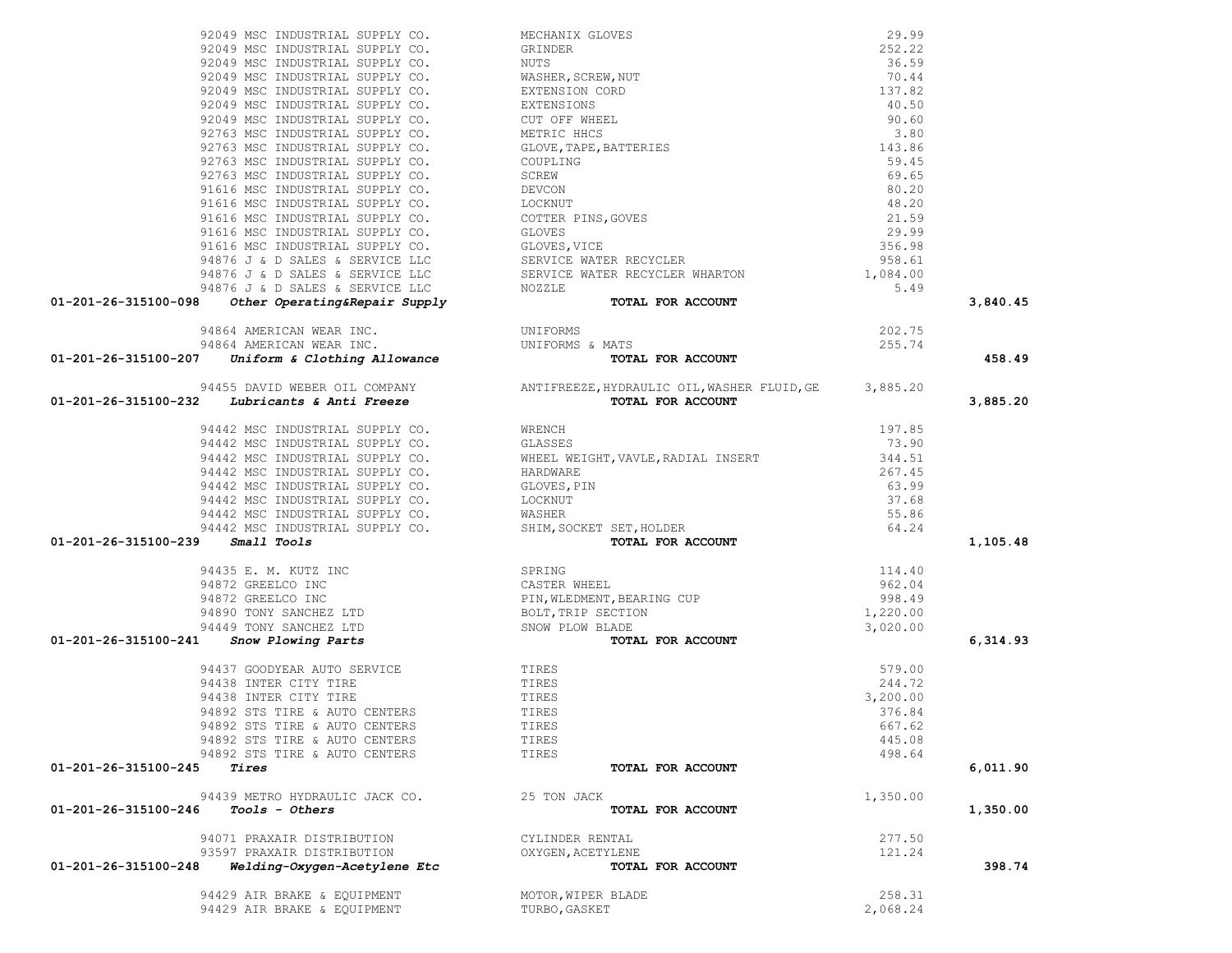|                                                                                                                                                                                                                                                                      |                                                                                                                                                                                                                                            |          | 3,840.45 |
|----------------------------------------------------------------------------------------------------------------------------------------------------------------------------------------------------------------------------------------------------------------------|--------------------------------------------------------------------------------------------------------------------------------------------------------------------------------------------------------------------------------------------|----------|----------|
|                                                                                                                                                                                                                                                                      |                                                                                                                                                                                                                                            |          |          |
| 92049 MSC INDUSTRIAL SUPPLY CO. MECHANIX GLOVES (29, 99)<br>92049 MSC INDUSTRIAL SUPPLY CO. SERINDER (20025)<br>92049 MSC INDUSTRIAL SUPPLY CO. NUITS (2003)<br>92049 MSC INDUSTRIAL SUPPLY CO. WASHES, SCREW, NUT (30, 44<br>92049 M                                |                                                                                                                                                                                                                                            | 202.75   |          |
|                                                                                                                                                                                                                                                                      |                                                                                                                                                                                                                                            | 255.74   |          |
| 94864 AMERICAN WEAR INC.<br>94864 AMERICAN WEAR INC. UNIFORMS<br>01-201-26-315100-207 Uniform & Clothing Allowance TOTA                                                                                                                                              |                                                                                                                                                                                                                                            |          | 458.49   |
|                                                                                                                                                                                                                                                                      |                                                                                                                                                                                                                                            |          |          |
| $94455$ DAVID WEBER OIL COMPANY<br>94455 DAVID WEBER OIL COMPANY<br>233.74<br>233.74<br>233.74<br>233.74<br>233.74<br>233.74<br>233.74<br>233.74<br>233.74<br>233.74<br>233.74<br>233.74<br>233.74<br>233.74<br>233.76<br>235.20<br>234442 MOS TOPAL FOR ACCOUNT<br> |                                                                                                                                                                                                                                            |          |          |
|                                                                                                                                                                                                                                                                      |                                                                                                                                                                                                                                            |          | 3,885.20 |
|                                                                                                                                                                                                                                                                      |                                                                                                                                                                                                                                            |          |          |
|                                                                                                                                                                                                                                                                      |                                                                                                                                                                                                                                            |          |          |
|                                                                                                                                                                                                                                                                      |                                                                                                                                                                                                                                            |          |          |
|                                                                                                                                                                                                                                                                      |                                                                                                                                                                                                                                            |          |          |
|                                                                                                                                                                                                                                                                      |                                                                                                                                                                                                                                            |          |          |
|                                                                                                                                                                                                                                                                      |                                                                                                                                                                                                                                            |          |          |
|                                                                                                                                                                                                                                                                      |                                                                                                                                                                                                                                            |          |          |
|                                                                                                                                                                                                                                                                      |                                                                                                                                                                                                                                            |          |          |
|                                                                                                                                                                                                                                                                      |                                                                                                                                                                                                                                            |          |          |
| $01 - 201 - 26 - 315100 - 239$ Small Tools                                                                                                                                                                                                                           | 94442 MSC INDUSTRIAL SUPPLY CO.<br>94442 MSC INDUSTRIAL SUPPLY CO.<br>94442 MSC INDUSTRIAL SUPPLY CO.<br>94442 MSC INDUSTRIAL SUPPLY CO.<br>94442 MSC INDUSTRIAL SUPPLY CO.<br>94442 MSC INDUSTRIAL SUPPLY CO.<br>94442 MSC INDUSTRIAL SUP |          | 1,105.48 |
|                                                                                                                                                                                                                                                                      |                                                                                                                                                                                                                                            |          |          |
|                                                                                                                                                                                                                                                                      |                                                                                                                                                                                                                                            |          |          |
|                                                                                                                                                                                                                                                                      |                                                                                                                                                                                                                                            |          |          |
|                                                                                                                                                                                                                                                                      |                                                                                                                                                                                                                                            |          |          |
|                                                                                                                                                                                                                                                                      |                                                                                                                                                                                                                                            |          |          |
|                                                                                                                                                                                                                                                                      |                                                                                                                                                                                                                                            |          | 6,314.93 |
| 94435 E. M. KUTZ INC<br>94872 GREELCO INC<br>94872 GREELCO INC<br>94872 GREELCO INC<br>94890 TONY SANCHEZ LTD<br>94449 TONY SANCHEZ LTD<br>94449 TONY SANCHEZ LTD<br>94449 TONY SANCHEZ LTD<br>94449 TONY SANCHEZ LTD<br>94449 TONY SANCHEZ LTD<br>                  |                                                                                                                                                                                                                                            |          |          |
| 94437 GOODYEAR AUTO SERVICE TIRES<br>94438 INTER CITY TIRE TIRES<br>94438 INTER CITY TIRE TIRES TIRES<br>04000 STS TIRE & AUTO CENTERS TIRES                                                                                                                         |                                                                                                                                                                                                                                            | 579.00   |          |
|                                                                                                                                                                                                                                                                      |                                                                                                                                                                                                                                            | 244.72   |          |
|                                                                                                                                                                                                                                                                      |                                                                                                                                                                                                                                            | 3,200.00 |          |
|                                                                                                                                                                                                                                                                      |                                                                                                                                                                                                                                            | 376.84   |          |
| 94892 STS TIRE & AUTO CENTERS                                                                                                                                                                                                                                        | TIRES                                                                                                                                                                                                                                      | 667.62   |          |
| 94892 STS TIRE & AUTO CENTERS                                                                                                                                                                                                                                        | TIRES                                                                                                                                                                                                                                      | 445.08   |          |
| 94892 STS TIRE & AUTO CENTERS                                                                                                                                                                                                                                        | TIRES                                                                                                                                                                                                                                      | 498.64   |          |
| 01-201-26-315100-245<br>Tires                                                                                                                                                                                                                                        | TOTAL FOR ACCOUNT                                                                                                                                                                                                                          |          | 6,011.90 |
|                                                                                                                                                                                                                                                                      |                                                                                                                                                                                                                                            |          |          |
| 94439 METRO HYDRAULIC JACK CO.                                                                                                                                                                                                                                       | 25 TON JACK                                                                                                                                                                                                                                | 1,350.00 |          |
| 01-201-26-315100-246<br><i>Tools - Others</i>                                                                                                                                                                                                                        | TOTAL FOR ACCOUNT                                                                                                                                                                                                                          |          | 1,350.00 |
| 94071 PRAXAIR DISTRIBUTION                                                                                                                                                                                                                                           | CYLINDER RENTAL                                                                                                                                                                                                                            | 277.50   |          |
| 93597 PRAXAIR DISTRIBUTION                                                                                                                                                                                                                                           | OXYGEN, ACETYLENE                                                                                                                                                                                                                          | 121.24   |          |
| Welding-Oxygen-Acetylene Etc<br>01-201-26-315100-248                                                                                                                                                                                                                 | TOTAL FOR ACCOUNT                                                                                                                                                                                                                          |          | 398.74   |
|                                                                                                                                                                                                                                                                      |                                                                                                                                                                                                                                            |          |          |
| 94429 AIR BRAKE & EQUIPMENT                                                                                                                                                                                                                                          | MOTOR, WIPER BLADE                                                                                                                                                                                                                         | 258.31   |          |
| 94429 AIR BRAKE & EQUIPMENT                                                                                                                                                                                                                                          | TURBO, GASKET                                                                                                                                                                                                                              | 2,068.24 |          |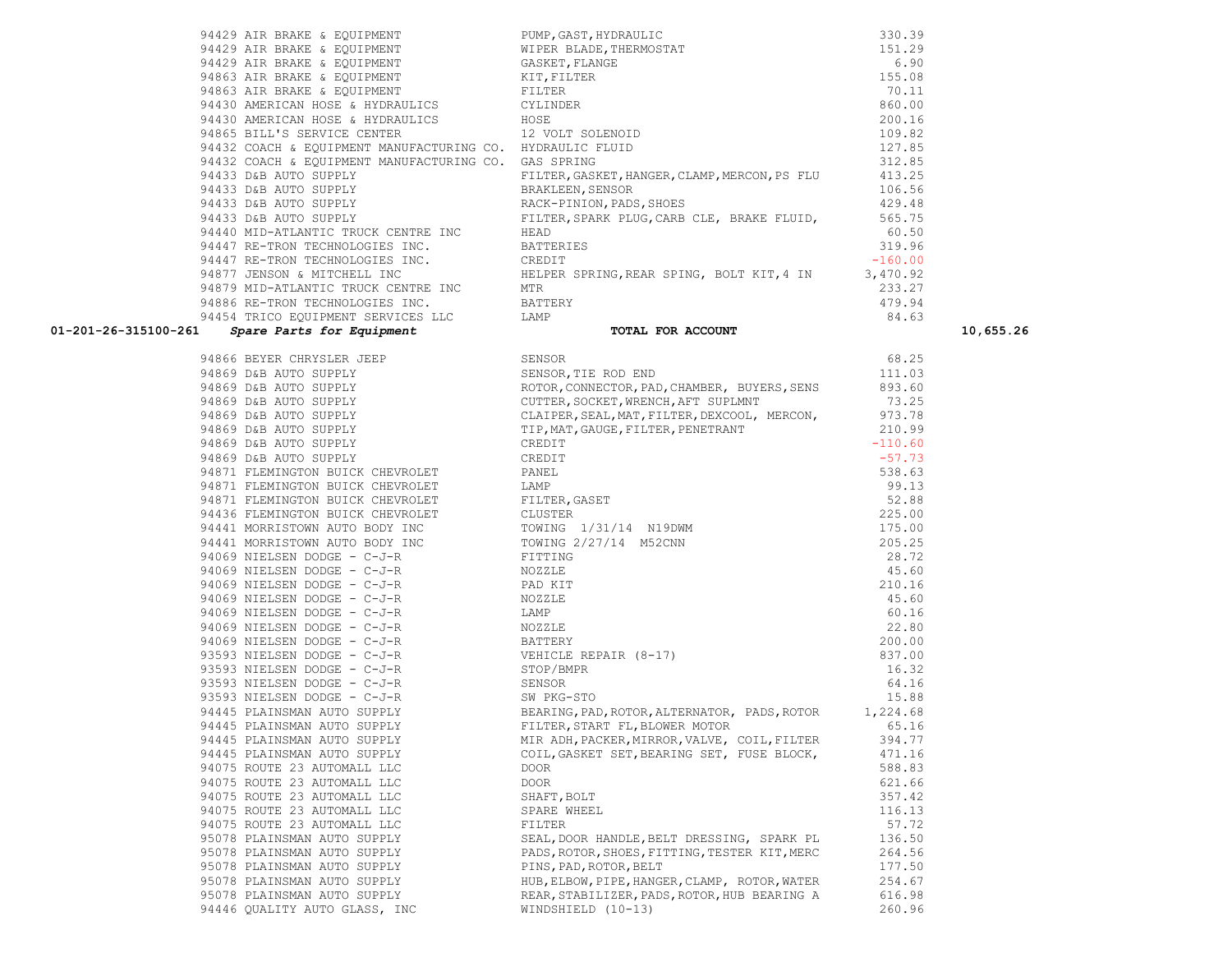| 94866 | BEYER CHRYSLER JEEP              |
|-------|----------------------------------|
| 94869 | D&B AUTO SUPPLY                  |
| 94869 | D&B AUTO SUPPLY                  |
|       | 94869 D&B AUTO SUPPLY            |
|       | 94869 D&B AUTO SUPPLY            |
|       | 94869 D&B AUTO SUPPLY            |
| 94869 | D&B AUTO SUPPLY                  |
| 94869 | D&B AUTO SUPPLY                  |
| 94871 | FLEMINGTON BUICK CHEVROLET       |
| 94871 | FLEMINGTON BUICK CHEVROLET       |
|       | 94871 FLEMINGTON BUICK CHEVROLET |
|       | 94436 FLEMINGTON BUICK CHEVROLET |
| 94441 | MORRISTOWN AUTO BODY INC         |
|       | 94441 MORRISTOWN AUTO BODY INC   |
|       | 94069 NIELSEN DODGE - C-J-R      |
|       | 94069 NIELSEN DODGE - C-J-R      |
|       | 94069 NIELSEN DODGE - C-J-R      |
|       | 94069 NIELSEN DODGE - C-J-R      |
|       | 94069 NIELSEN DODGE - C-J-R      |
|       | 94069 NIELSEN DODGE - C-J-R      |
|       | 94069 NIELSEN DODGE - C-J-R      |
|       | 93593 NIELSEN DODGE - C-J-R      |
|       | 93593 NIELSEN DODGE - C-J-R      |
|       | 93593 NIELSEN DODGE - C-J-R      |
|       | 93593 NIELSEN DODGE - C-J-R      |
|       | 94445 PLAINSMAN AUTO SUPPLY      |
|       | 94445 PLAINSMAN AUTO SUPPLY      |
|       | 94445 PLAINSMAN AUTO SUPPLY      |
|       | 94445 PLAINSMAN AUTO SUPPLY      |
|       | 94075 ROUTE 23 AUTOMALL LLC      |
| 94075 | ROUTE 23 AUTOMALL LLC            |
| 94075 | ROUTE 23 AUTOMALL LLC            |
|       | 94075 ROUTE 23 AUTOMALL LLC      |
|       | 94075 ROUTE 23 AUTOMALL LLC      |
|       | 95078 PLAINSMAN AUTO SUPPLY      |
|       | 95078 PLAINSMAN AUTO SUPPLY      |
|       | 95078 PLAINSMAN AUTO SUPPLY      |
|       | 95078 PLAINSMAN AUTO SUPPLY      |
|       | 95078 PLAINSMAN AUTO SUPPLY      |
| 94446 | OUALITY AUTO GLASS, INC          |

| 94866 BEYER CHRYSLER JEEP                                                                             | SENSOR                                                                                                                                                                                                                               | 68.25     |
|-------------------------------------------------------------------------------------------------------|--------------------------------------------------------------------------------------------------------------------------------------------------------------------------------------------------------------------------------------|-----------|
| 94869 D&B AUTO SUPPLY                                                                                 | SENSOR, TIE ROD END                                                                                                                                                                                                                  | 111.03    |
|                                                                                                       | ROTOR, CONNECTOR, PAD, CHAMBER, BUYERS, SENS 893.60                                                                                                                                                                                  |           |
| 94869 D&B AUTO SUPPLY<br>94869 D&B AUTO SUPPLY<br>94869 D&B AUTO SUPPLY                               | CUTTER, SOCKET, WRENCH, AFT SUPLMNT                                                                                                                                                                                                  | 73.25     |
|                                                                                                       | CLAIPER, SEAL, MAT, FILTER, DEXCOOL, MERCON, 973.78                                                                                                                                                                                  |           |
| 94869 D&B AUTO SUPPLY                                                                                 | TIP, MAT, GAUGE, FILTER, PENETRANT                                                                                                                                                                                                   | 210.99    |
| 94869 D&B AUTO SUPPLY                                                                                 | CREDIT                                                                                                                                                                                                                               | $-110.60$ |
| 94869 D&B AUTO SUPPLY                                                                                 | CREDIT                                                                                                                                                                                                                               | $-57.73$  |
| 94871 FLEMINGTON BUICK CHEVROLET                                                                      | PANEL                                                                                                                                                                                                                                | 538.63    |
| 94871 FLEMINGTON BUICK CHEVROLET                                                                      | LAMP                                                                                                                                                                                                                                 | 99.13     |
| 94871 FLEMINGTON BUICK CHEVROLET FILTER, GASET                                                        |                                                                                                                                                                                                                                      | 52.88     |
| 94436 FLEMINGTON BUICK CHEVROLET CLUSTER                                                              |                                                                                                                                                                                                                                      | 225.00    |
|                                                                                                       | 94441 MORRISTOWN AUTO BODY INC TOWING 1/31/14 N19DWM                                                                                                                                                                                 | 175.00    |
|                                                                                                       | 94441 MORRISTOWN AUTO BODY INC<br>$2/27/14$ M52CNN<br>$2/27/14$ M52CNN                                                                                                                                                               | 205.25    |
| 94069 NIELSEN DODGE - C-J-R                                                                           | FITTING                                                                                                                                                                                                                              | 28.72     |
|                                                                                                       |                                                                                                                                                                                                                                      | 45.60     |
| 94069 NIELSEN DODGE - C-J-R<br>94069 NIELSEN DODGE - C-J-R                                            |                                                                                                                                                                                                                                      | 210.16    |
| 94069 NIELSEN DODGE - C-J-R<br>NOZZLE                                                                 | JZLE<br>BATTERY<br>VEHICLE REPAIR (8-17)<br>STOP/BMPR<br>SENSOR<br>W PKG-STO<br>RRING, PAD, ROTOR, ^*<br>"ER, START F"<br>DH                                                                                                         | 45.60     |
| 94069 NIELSEN DODGE - C-J-R                                                                           |                                                                                                                                                                                                                                      | 60.16     |
| 94069 NIELSEN DODGE - C-J-R                                                                           |                                                                                                                                                                                                                                      | 22.80     |
|                                                                                                       |                                                                                                                                                                                                                                      | 200.00    |
| 94069 NIELSEN DODGE - C-J-R<br>93593 NIELSEN DODGE - C-J-R<br>93593 NIELSEN DODGE - C-J-R<br>STOP/BME |                                                                                                                                                                                                                                      | 837.00    |
|                                                                                                       |                                                                                                                                                                                                                                      | 16.32     |
| 93593 NIELSEN DODGE - $C-J-R$ SENSOR                                                                  |                                                                                                                                                                                                                                      | 64.16     |
| 93593 NIELSEN DODGE - C-J-R SW PKG-STO                                                                |                                                                                                                                                                                                                                      | 15.88     |
|                                                                                                       | 94445 PLAINSMAN AUTO SUPPLY BEARING, PAD, ROTOR, ALTERNATOR, PADS, ROTOR 1, 224.68                                                                                                                                                   |           |
|                                                                                                       |                                                                                                                                                                                                                                      |           |
|                                                                                                       |                                                                                                                                                                                                                                      |           |
| 94445 PLAINSMAN AUTO SUPPLY                                                                           | 94445 PLAINSMAN AUTO SUPPLY FILTER, START FL, BLOWER MOTOR 65.16<br>94445 PLAINSMAN AUTO SUPPLY MIR ADH, PACKER, MIRROR, VALVE, COIL, FILTER 394.77<br>94445 PLAINSMAN AUTO SUPPLY COIL, GASKET SET, BEARING SET, FUSE BLOCK, 471.16 |           |
| 94075 ROUTE 23 AUTOMALL LLC                                                                           | DOOR                                                                                                                                                                                                                                 | 588.83    |
| 94075 ROUTE 23 AUTOMALL LLC                                                                           | DOOR                                                                                                                                                                                                                                 | 621.66    |
| 94075 ROUTE 23 AUTOMALL LLC                                                                           | SHAFT, BOLT                                                                                                                                                                                                                          | 357.42    |
| 94075 ROUTE 23 AUTOMALL LLC                                                                           | SPARE WHEEL                                                                                                                                                                                                                          | 116.13    |
| 94075 ROUTE 23 AUTOMALL LLC                                                                           | FILTER                                                                                                                                                                                                                               | 57.72     |
| 95078 PLAINSMAN AUTO SUPPLY                                                                           | SEAL, DOOR HANDLE, BELT DRESSING, SPARK PL                                                                                                                                                                                           | 136.50    |
|                                                                                                       | 95078 PLAINSMAN AUTO SUPPLY PADS, ROTOR, SHOES, FITTING, TESTER KIT, MERC                                                                                                                                                            | 264.56    |
| 95078 PLAINSMAN AUTO SUPPLY PINS, PAD, ROTOR, BELT                                                    |                                                                                                                                                                                                                                      | 177.50    |
|                                                                                                       | 95078 PLAINSMAN AUTO SUPPLY HOLD HUB, ELBOW, PIPE, HANGER, CLAMP, ROTOR, WATER                                                                                                                                                       | 254.67    |
|                                                                                                       | 95078 PLAINSMAN AUTO SUPPLY REAR, STABILIZER, PADS, ROTOR, HUB BEARING A                                                                                                                                                             | 616.98    |
| 94446 OUALITY AUTO GLASS, INC                                                                         | WINDSHIELD (10-13)                                                                                                                                                                                                                   | 260.96    |

### **01-201-26-315100-261** *Spare Parts for Equipment* **TOTAL FOR ACCOUNT 10,655.26**

| 94429 AIR BRAKE & EQUIPMENT                               | PUMP, GAST, HYDRAULIC                         | 330.39    |
|-----------------------------------------------------------|-----------------------------------------------|-----------|
| 94429 AIR BRAKE & EQUIPMENT                               | WIPER BLADE, THERMOSTAT                       | 151.29    |
| 94429 AIR BRAKE & EQUIPMENT                               | GASKET, FLANGE                                | 6.90      |
| 94863 AIR BRAKE & EQUIPMENT                               | KIT, FILTER                                   | 155.08    |
| 94863 AIR BRAKE & EQUIPMENT                               | FILTER                                        | 70.11     |
| 94430 AMERICAN HOSE & HYDRAULICS CYLINDER                 |                                               | 860.00    |
| 94430 AMERICAN HOSE & HYDRAULICS                          | HOSE                                          | 200.16    |
| 94865 BILL'S SERVICE CENTER 12 VOLT SOLENOID              |                                               | 109.82    |
| 94432 COACH & EQUIPMENT MANUFACTURING CO. HYDRAULIC FLUID |                                               | 127.85    |
| 94432 COACH & EQUIPMENT MANUFACTURING CO. GAS SPRING      |                                               | 312.85    |
| 94433 D&B AUTO SUPPLY                                     | FILTER, GASKET, HANGER, CLAMP, MERCON, PS FLU | 413.25    |
| 94433 D&B AUTO SUPPLY                                     | BRAKLEEN, SENSOR                              | 106.56    |
| 94433 D&B AUTO SUPPLY                                     | RACK-PINION, PADS, SHOES                      | 429.48    |
| 94433 D&B AUTO SUPPLY                                     | FILTER, SPARK PLUG, CARB CLE, BRAKE FLUID,    | 565.75    |
| 94440 MID-ATLANTIC TRUCK CENTRE INC                       | HEAD                                          | 60.50     |
| 94447 RE-TRON TECHNOLOGIES INC.                           | BATTERIES                                     | 319.96    |
| 94447 RE-TRON TECHNOLOGIES INC.                           | CREDIT                                        | $-160.00$ |
| 94877 JENSON & MITCHELL INC                               | HELPER SPRING, REAR SPING, BOLT KIT, 4 IN     | 3,470.92  |
| 94879 MID-ATLANTIC TRUCK CENTRE INC                       | MTR                                           | 233.27    |
| 94886 RE-TRON TECHNOLOGIES INC.                           | BATTERY                                       | 479.94    |
| 94454 TRICO EOUIPMENT SERVICES LLC                        | LAMP                                          | 84.63     |
|                                                           |                                               |           |

| 94429 AIR BRAKE & EQUIPMENT                               | PUMP, GAST, HYDRAULIC                                                     | 330.39    |
|-----------------------------------------------------------|---------------------------------------------------------------------------|-----------|
| 94429 AIR BRAKE & EQUIPMENT                               | WIPER BLADE, THERMOSTAT                                                   | 151.29    |
| 94429 AIR BRAKE & EQUIPMENT                               | GASKET, FLANGE                                                            | 6.90      |
| 94863 AIR BRAKE & EQUIPMENT                               | KIT, FILTER                                                               | 155.08    |
| 94863 AIR BRAKE & EQUIPMENT                               | FILTER                                                                    | 70.11     |
| 94430 AMERICAN HOSE & HYDRAULICS                          | CYLINDER                                                                  | 860.00    |
| 94430 AMERICAN HOSE & HYDRAULICS HOSE                     |                                                                           | 200.16    |
| 94865 BILL'S SERVICE CENTER 12 VOLT SOLENOID              |                                                                           | 109.82    |
| 94432 COACH & EQUIPMENT MANUFACTURING CO. HYDRAULIC FLUID |                                                                           | 127.85    |
| 94432 COACH & EOUIPMENT MANUFACTURING CO. GAS SPRING      |                                                                           | 312.85    |
| 94433 D&B AUTO SUPPLY                                     | FILTER, GASKET, HANGER, CLAMP, MERCON, PS FLU                             | 413.25    |
| 94433 D&B AUTO SUPPLY                                     | BRAKLEEN, SENSOR                                                          | 106.56    |
| 94433 D&B AUTO SUPPLY                                     | RACK-PINION, PADS, SHOES                                                  | 429.48    |
| 94433 D&B AUTO SUPPLY                                     | FILTER, SPARK PLUG, CARB CLE, BRAKE FLUID,                                | 565.75    |
| 94440 MID-ATLANTIC TRUCK CENTRE INC                       | HEAD                                                                      | 60.50     |
| 94447 RE-TRON TECHNOLOGIES INC.                           | BATTERIES                                                                 | 319.96    |
| 94447 RE-TRON TECHNOLOGIES INC. CREDIT                    |                                                                           | $-160.00$ |
|                                                           | 94877 JENSON & MITCHELL INC THE HELPER SPRING, REAR SPING, BOLT KIT, 4 IN | 3,470.92  |
| 94879 MID-ATLANTIC TRUCK CENTRE INC                       | MTR                                                                       | 233.27    |
| 94886 RE-TRON TECHNOLOGIES INC.                           | BATTERY                                                                   | 479.94    |
| 94454 TRICO EQUIPMENT SERVICES LLC                        | <b>T.AMP</b>                                                              | 84.63     |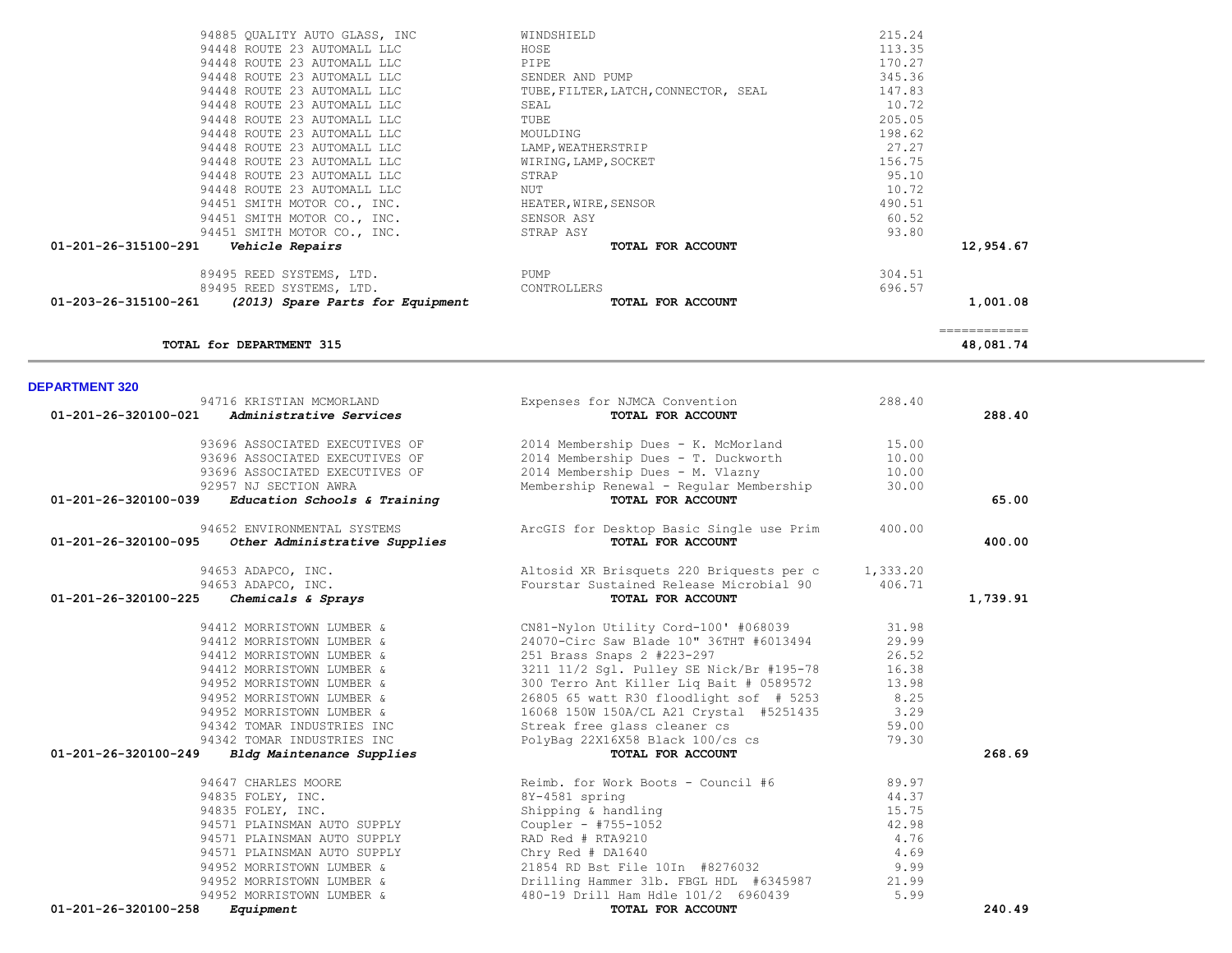|                       | TOTAL for DEPARTMENT 315       |                                          |          | 48,081.74 |
|-----------------------|--------------------------------|------------------------------------------|----------|-----------|
| <b>DEPARTMENT 320</b> |                                |                                          |          |           |
|                       | 94716 KRISTIAN MCMORLAND       | Expenses for NJMCA Convention            | 288.40   |           |
| 01-201-26-320100-021  | Administrative Services        | TOTAL FOR ACCOUNT                        |          | 288.40    |
|                       | 93696 ASSOCIATED EXECUTIVES OF | 2014 Membership Dues - K. McMorland      | 15.00    |           |
|                       | 93696 ASSOCIATED EXECUTIVES OF | 2014 Membership Dues - T. Duckworth      | 10.00    |           |
|                       | 93696 ASSOCIATED EXECUTIVES OF | 2014 Membership Dues - M. Vlazny         | 10.00    |           |
|                       | 92957 NJ SECTION AWRA          | Membership Renewal - Reqular Membership  | 30.00    |           |
| 01-201-26-320100-039  | Education Schools & Training   | TOTAL FOR ACCOUNT                        |          | 65.00     |
|                       | 94652 ENVIRONMENTAL SYSTEMS    | ArcGIS for Desktop Basic Single use Prim | 400.00   |           |
| 01-201-26-320100-095  | Other Administrative Supplies  | TOTAL FOR ACCOUNT                        |          | 400.00    |
|                       | 94653 ADAPCO, INC.             | Altosid XR Brisquets 220 Briquests per c | 1,333.20 |           |
|                       | 94653 ADAPCO, INC.             | Fourstar Sustained Release Microbial 90  | 406.71   |           |
| 01-201-26-320100-225  | Chemicals & Sprays             | TOTAL FOR ACCOUNT                        |          | 1,739.91  |
|                       | 94412 MORRISTOWN LUMBER &      | CN81-Nylon Utility Cord-100' #068039     | 31.98    |           |
|                       | 94412 MORRISTOWN LUMBER &      | 24070-Circ Saw Blade 10" 36THT #6013494  | 29.99    |           |
|                       | 94412 MORRISTOWN LUMBER &      | 251 Brass Snaps 2 #223-297               | 26.52    |           |
|                       | 94412 MORRISTOWN LUMBER &      | 3211 11/2 Sgl. Pulley SE Nick/Br #195-78 | 16.38    |           |
|                       | 94952 MORRISTOWN LUMBER &      | 300 Terro Ant Killer Lig Bait # 0589572  | 13.98    |           |
|                       | 94952 MORRISTOWN LUMBER &      | 26805 65 watt R30 floodlight sof # 5253  | 8.25     |           |
|                       | 94952 MORRISTOWN LUMBER &      | 16068 150W 150A/CL A21 Crystal #5251435  | 3.29     |           |
|                       | 94342 TOMAR INDUSTRIES INC     | Streak free glass cleaner cs             | 59.00    |           |
|                       | 94342 TOMAR INDUSTRIES INC     | PolyBag 22X16X58 Black 100/cs cs         | 79.30    |           |
| 01-201-26-320100-249  | Bldg Maintenance Supplies      | TOTAL FOR ACCOUNT                        |          | 268.69    |
|                       | 94647 CHARLES MOORE            | Reimb. for Work Boots - Council #6       | 89.97    |           |
|                       | 94835 FOLEY, INC.              | 8Y-4581 spring                           | 44.37    |           |
|                       | 94835 FOLEY, INC.              | Shipping & handling                      | 15.75    |           |
|                       | 94571 PLAINSMAN AUTO SUPPLY    | Coupler - $#755 - 1052$                  | 42.98    |           |
|                       | 94571 PLAINSMAN AUTO SUPPLY    | RAD Red # RTA9210                        | 4.76     |           |
|                       | 94571 PLAINSMAN AUTO SUPPLY    | Chry Red $#$ DA1640                      | 4.69     |           |
|                       | 94952 MORRISTOWN LUMBER &      | 21854 RD Bst File 10In #8276032          | 9.99     |           |
|                       | 94952 MORRISTOWN LUMBER &      | Drilling Hammer 31b. FBGL HDL #6345987   | 21.99    |           |
|                       | 94952 MORRISTOWN LUMBER &      | 480-19 Drill Ham Hdle 101/2 6960439      | 5.99     |           |
| 01-201-26-320100-258  | Equipment                      | TOTAL FOR ACCOUNT                        |          | 240.49    |

| 94448 ROUTE 23 AUTOMALL LLC                              | HOSE                                 | 113.35       |
|----------------------------------------------------------|--------------------------------------|--------------|
| 94448 ROUTE 23 AUTOMALL LLC                              | PIPE                                 | 170.27       |
| 94448 ROUTE 23 AUTOMALL LLC                              | SENDER AND PUMP                      | 345.36       |
| 94448 ROUTE 23 AUTOMALL LLC                              | TUBE, FILTER, LATCH, CONNECTOR, SEAL | 147.83       |
| 94448 ROUTE 23 AUTOMALL LLC                              | SEAL                                 | 10.72        |
| 94448 ROUTE 23 AUTOMALL LLC                              | TUBE                                 | 205.05       |
| 94448 ROUTE 23 AUTOMALL LLC                              | MOULDING                             | 198.62       |
| 94448 ROUTE 23 AUTOMALL LLC                              | LAMP, WEATHERSTRIP                   | 27.27        |
| 94448 ROUTE 23 AUTOMALL LLC                              | WIRING, LAMP, SOCKET                 | 156.75       |
| 94448 ROUTE 23 AUTOMALL LLC                              | STRAP                                | 95.10        |
| 94448 ROUTE 23 AUTOMALL LLC                              | NUT                                  | 10.72        |
| 94451 SMITH MOTOR CO., INC.                              | HEATER, WIRE, SENSOR                 | 490.51       |
| 94451 SMITH MOTOR CO., INC.                              | SENSOR ASY                           | 60.52        |
| 94451 SMITH MOTOR CO., INC.                              | STRAP ASY                            | 93.80        |
| 01-201-26-315100-291<br>Vehicle Repairs                  | TOTAL FOR ACCOUNT                    | 12,954.67    |
| 89495 REED SYSTEMS, LTD.                                 | PUMP                                 | 304.51       |
| 89495 REED SYSTEMS, LTD.                                 | CONTROLLERS                          | 696.57       |
| 01-203-26-315100-261<br>(2013) Spare Parts for Equipment | TOTAL FOR ACCOUNT                    | 1,001.08     |
|                                                          |                                      | ============ |
| TOTAL for DEPARTMENT 315                                 |                                      | 48,081.74    |

94885 QUALITY AUTO GLASS, INC WINDSHIELD 215.24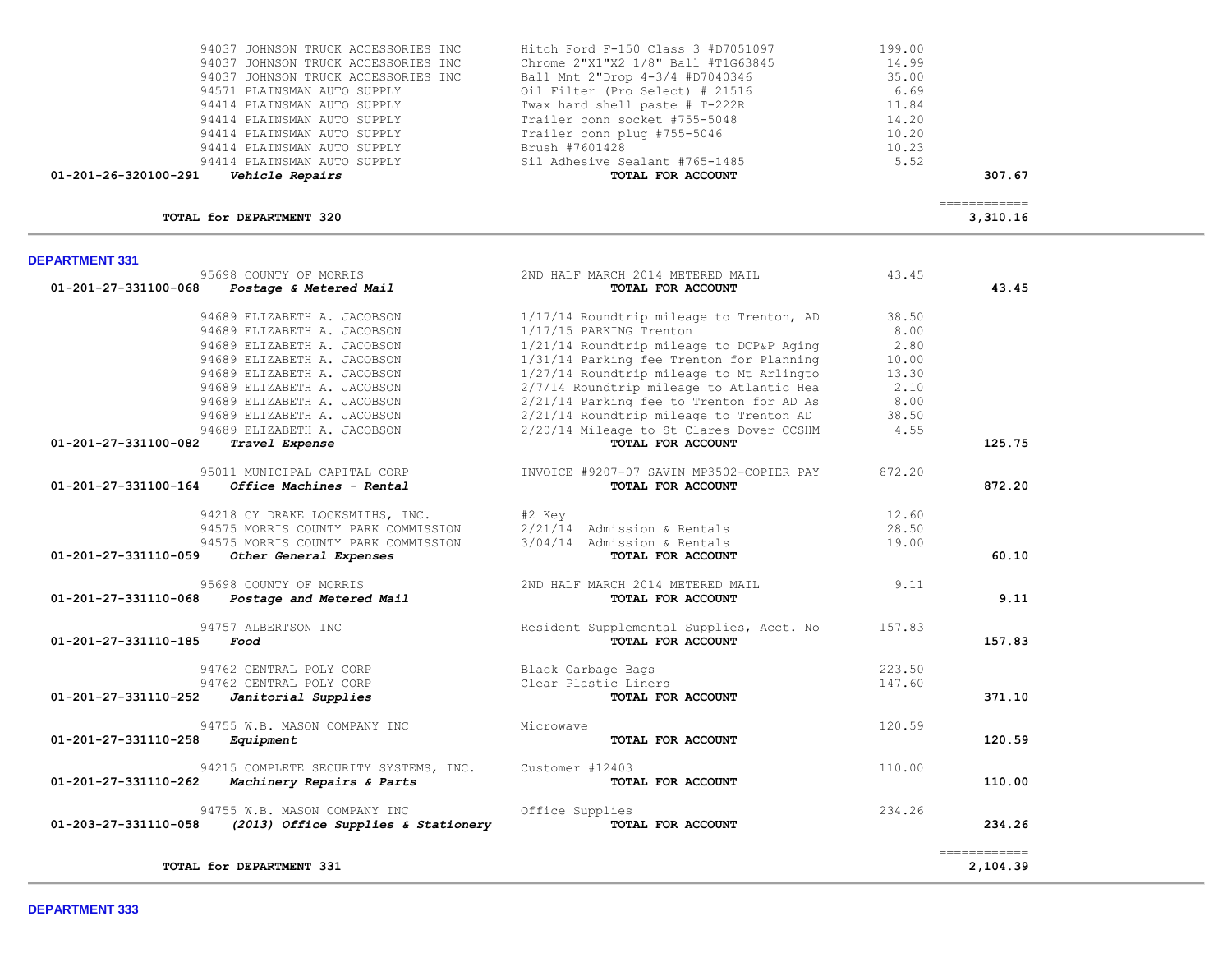| <b>DEPARTMENT 331</b>          | 95698 COUNTY OF MORRIS                | 2ND HALF MARCH 2014 METERED MAIL         | 43.45  |              |
|--------------------------------|---------------------------------------|------------------------------------------|--------|--------------|
| 01-201-27-331100-068           | Postage & Metered Mail                | TOTAL FOR ACCOUNT                        |        | 43.45        |
|                                | 94689 ELIZABETH A. JACOBSON           | 1/17/14 Roundtrip mileage to Trenton, AD | 38.50  |              |
|                                | 94689 ELIZABETH A. JACOBSON           | 1/17/15 PARKING Trenton                  | 8.00   |              |
|                                | 94689 ELIZABETH A. JACOBSON           | 1/21/14 Roundtrip mileage to DCP&P Aging | 2.80   |              |
|                                | 94689 ELIZABETH A. JACOBSON           | 1/31/14 Parking fee Trenton for Planning | 10.00  |              |
|                                | 94689 ELIZABETH A. JACOBSON           | 1/27/14 Roundtrip mileage to Mt Arlingto | 13.30  |              |
|                                | 94689 ELIZABETH A. JACOBSON           | 2/7/14 Roundtrip mileage to Atlantic Hea | 2.10   |              |
|                                | 94689 ELIZABETH A. JACOBSON           | 2/21/14 Parking fee to Trenton for AD As | 8.00   |              |
|                                | 94689 ELIZABETH A. JACOBSON           | 2/21/14 Roundtrip mileage to Trenton AD  | 38.50  |              |
|                                | 94689 ELIZABETH A. JACOBSON           | 2/20/14 Mileage to St Clares Dover CCSHM | 4.55   |              |
| 01-201-27-331100-082           | Travel Expense                        | TOTAL FOR ACCOUNT                        |        | 125.75       |
|                                | 95011 MUNICIPAL CAPITAL CORP          | INVOICE #9207-07 SAVIN MP3502-COPIER PAY | 872.20 |              |
| 01-201-27-331100-164           | Office Machines - Rental              | TOTAL FOR ACCOUNT                        |        | 872.20       |
|                                | 94218 CY DRAKE LOCKSMITHS, INC.       | #2 Key                                   | 12.60  |              |
|                                | 94575 MORRIS COUNTY PARK COMMISSION   | 2/21/14 Admission & Rentals              | 28.50  |              |
|                                | 94575 MORRIS COUNTY PARK COMMISSION   | 3/04/14 Admission & Rentals              | 19.00  |              |
| 01-201-27-331110-059           | Other General Expenses                | TOTAL FOR ACCOUNT                        |        | 60.10        |
|                                | 95698 COUNTY OF MORRIS                | 2ND HALF MARCH 2014 METERED MAIL         | 9.11   |              |
| 01-201-27-331110-068           | Postage and Metered Mail              | TOTAL FOR ACCOUNT                        |        | 9.11         |
|                                | 94757 ALBERTSON INC                   | Resident Supplemental Supplies, Acct. No | 157.83 |              |
| 01-201-27-331110-185           | Food                                  | TOTAL FOR ACCOUNT                        |        | 157.83       |
|                                | 94762 CENTRAL POLY CORP               | Black Garbage Bags                       | 223.50 |              |
|                                | 94762 CENTRAL POLY CORP               | Clear Plastic Liners                     | 147.60 |              |
| 01-201-27-331110-252           | Janitorial Supplies                   | TOTAL FOR ACCOUNT                        |        | 371.10       |
|                                | 94755 W.B. MASON COMPANY INC          | Microwave                                | 120.59 |              |
| 01-201-27-331110-258           | Equipment                             | <b>TOTAL FOR ACCOUNT</b>                 |        | 120.59       |
|                                | 94215 COMPLETE SECURITY SYSTEMS, INC. | Customer #12403                          | 110.00 |              |
| $01 - 201 - 27 - 331110 - 262$ | Machinery Repairs & Parts             | TOTAL FOR ACCOUNT                        |        | 110.00       |
|                                | 94755 W.B. MASON COMPANY INC          | Office Supplies                          | 234.26 |              |
| 01-203-27-331110-058           | (2013) Office Supplies & Stationery   | TOTAL FOR ACCOUNT                        |        | 234.26       |
|                                |                                       |                                          |        | ============ |
|                                | TOTAL for DEPARTMENT 331              |                                          |        | 2,104.39     |

## DE

| 94037 JOHNSON TRUCK ACCESSORIES INC | Hitch Ford F-150 Class 3 #D7051097 | 199.00 |
|-------------------------------------|------------------------------------|--------|
| 94037 JOHNSON TRUCK ACCESSORIES INC | Chrome 2"X1"X2 1/8" Ball #T1G63845 | 14.99  |
| 94037 JOHNSON TRUCK ACCESSORIES INC | Ball Mnt 2"Drop 4-3/4 #D7040346    | 35.00  |
| 94571 PLAINSMAN AUTO SUPPLY         | Oil Filter (Pro Select) # 21516    | 6.69   |
| 94414 PLAINSMAN AUTO SUPPLY         | Twax hard shell paste # T-222R     | 11.84  |
| 94414 PLAINSMAN AUTO SUPPLY         | Trailer conn socket #755-5048      | 14.20  |
| 94414 PLAINSMAN AUTO SUPPLY         | Trailer conn plug #755-5046        | 10.20  |
| 94414 PLAINSMAN AUTO SUPPLY         | Brush #7601428                     | 10.23  |
| 94414 PLAINSMAN AUTO SUPPLY         | Sil Adhesive Sealant #765-1485     | 5.52   |

============

**TOTAL for DEPARTMENT 320** 3,310.16

 **01-201-26-320100-291** *Vehicle Repairs* **TOTAL FOR ACCOUNT 307.67**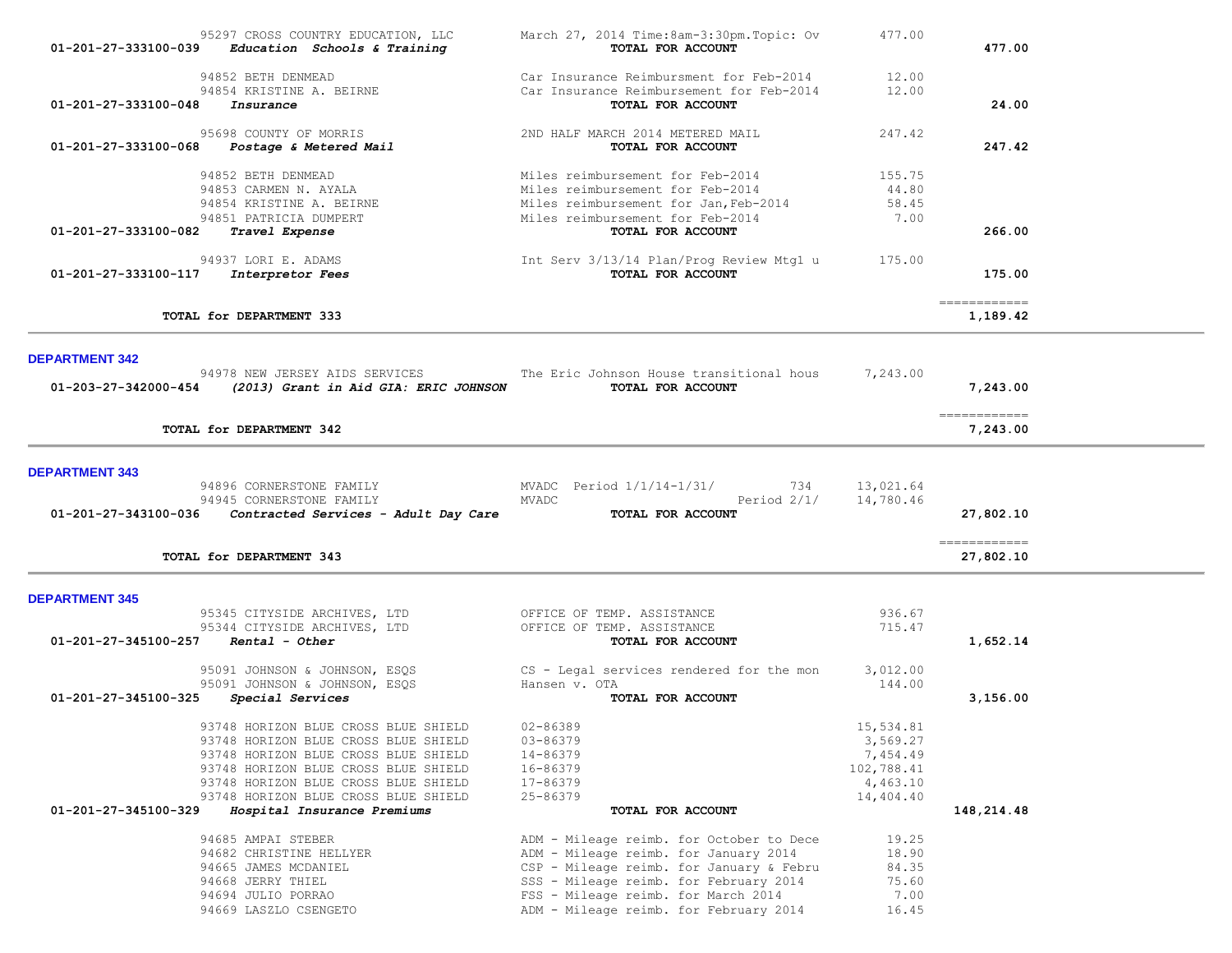| 01-201-27-333100-039  | 95297 CROSS COUNTRY EDUCATION, LLC<br>Education Schools & Training                                                                                                                                                                                                                                | March 27, 2014 Time:8am-3:30pm.Topic: Ov<br>TOTAL FOR ACCOUNT                                                                                                                                                | 477.00                                                                            | 477.00                    |
|-----------------------|---------------------------------------------------------------------------------------------------------------------------------------------------------------------------------------------------------------------------------------------------------------------------------------------------|--------------------------------------------------------------------------------------------------------------------------------------------------------------------------------------------------------------|-----------------------------------------------------------------------------------|---------------------------|
| 01-201-27-333100-048  | 94852 BETH DENMEAD<br>94854 KRISTINE A. BEIRNE<br>Insurance                                                                                                                                                                                                                                       | Car Insurance Reimbursment for Feb-2014<br>Car Insurance Reimbursement for Feb-2014<br>TOTAL FOR ACCOUNT                                                                                                     | 12.00<br>12.00                                                                    | 24.00                     |
| 01-201-27-333100-068  | 95698 COUNTY OF MORRIS<br><i>Postage &amp; Metered Mail</i>                                                                                                                                                                                                                                       | 2ND HALF MARCH 2014 METERED MAIL<br>TOTAL FOR ACCOUNT                                                                                                                                                        | 247.42                                                                            | 247.42                    |
| 01-201-27-333100-082  | 94852 BETH DENMEAD<br>94853 CARMEN N. AYALA<br>94854 KRISTINE A. BEIRNE<br>94851 PATRICIA DUMPERT<br>Travel Expense                                                                                                                                                                               | Miles reimbursement for Feb-2014<br>Miles reimbursement for Feb-2014<br>Miles reimbursement for Jan, Feb-2014<br>Miles reimbursement for Feb-2014<br>TOTAL FOR ACCOUNT                                       | 155.75<br>44.80<br>58.45<br>7.00                                                  | 266.00                    |
| 01-201-27-333100-117  | 94937 LORI E. ADAMS<br><i><b>Interpretor Fees</b></i>                                                                                                                                                                                                                                             | Int Serv 3/13/14 Plan/Prog Review Mtg1 u<br>TOTAL FOR ACCOUNT                                                                                                                                                | 175.00                                                                            | 175.00                    |
|                       | TOTAL for DEPARTMENT 333                                                                                                                                                                                                                                                                          |                                                                                                                                                                                                              |                                                                                   | ============<br>1,189.42  |
| <b>DEPARTMENT 342</b> |                                                                                                                                                                                                                                                                                                   |                                                                                                                                                                                                              |                                                                                   |                           |
| 01-203-27-342000-454  | 94978 NEW JERSEY AIDS SERVICES<br>(2013) Grant in Aid GIA: ERIC JOHNSON                                                                                                                                                                                                                           | The Eric Johnson House transitional hous<br>TOTAL FOR ACCOUNT                                                                                                                                                | 7,243.00                                                                          | 7,243.00                  |
|                       | TOTAL for DEPARTMENT 342                                                                                                                                                                                                                                                                          |                                                                                                                                                                                                              |                                                                                   | ------------<br>7,243.00  |
| <b>DEPARTMENT 343</b> |                                                                                                                                                                                                                                                                                                   |                                                                                                                                                                                                              |                                                                                   |                           |
| 01-201-27-343100-036  | 94896 CORNERSTONE FAMILY<br>94945 CORNERSTONE FAMILY<br>Contracted Services - Adult Day Care                                                                                                                                                                                                      | MVADC Period 1/1/14-1/31/<br>734<br>Period $2/1/$<br>MVADC<br>TOTAL FOR ACCOUNT                                                                                                                              | 13,021.64<br>14,780.46                                                            | 27,802.10                 |
|                       | TOTAL for DEPARTMENT 343                                                                                                                                                                                                                                                                          |                                                                                                                                                                                                              |                                                                                   | ============<br>27,802.10 |
| <b>DEPARTMENT 345</b> |                                                                                                                                                                                                                                                                                                   |                                                                                                                                                                                                              |                                                                                   |                           |
| 01-201-27-345100-257  | 95345 CITYSIDE ARCHIVES, LTD<br>95344 CITYSIDE ARCHIVES, LTD<br>Rental - Other                                                                                                                                                                                                                    | OFFICE OF TEMP. ASSISTANCE<br>OFFICE OF TEMP. ASSISTANCE<br>TOTAL FOR ACCOUNT                                                                                                                                | 936.67<br>715.47                                                                  | 1,652.14                  |
| 01-201-27-345100-325  | 95091 JOHNSON & JOHNSON, ESQS<br>95091 JOHNSON & JOHNSON, ESQS<br>Special Services                                                                                                                                                                                                                | CS - Legal services rendered for the mon<br>Hansen v. OTA<br>TOTAL FOR ACCOUNT                                                                                                                               | 3,012.00<br>144.00                                                                | 3,156.00                  |
| 01-201-27-345100-329  | 93748 HORIZON BLUE CROSS BLUE SHIELD<br>93748 HORIZON BLUE CROSS BLUE SHIELD<br>93748 HORIZON BLUE CROSS BLUE SHIELD<br>93748 HORIZON BLUE CROSS BLUE SHIELD<br>93748 HORIZON BLUE CROSS BLUE SHIELD<br>93748 HORIZON BLUE CROSS BLUE SHIELD<br>Hospital Insurance Premiums<br>94685 AMPAI STEBER | $02 - 86389$<br>03-86379<br>14-86379<br>16-86379<br>17-86379<br>25-86379<br>TOTAL FOR ACCOUNT<br>ADM - Mileage reimb. for October to Dece                                                                    | 15,534.81<br>3,569.27<br>7,454.49<br>102,788.41<br>4,463.10<br>14,404.40<br>19.25 | 148,214.48                |
|                       | 94682 CHRISTINE HELLYER<br>94665 JAMES MCDANIEL<br>94668 JERRY THIEL<br>94694 JULIO PORRAO<br>94669 LASZLO CSENGETO                                                                                                                                                                               | ADM - Mileage reimb. for January 2014<br>CSP - Mileage reimb. for January & Febru<br>SSS - Mileage reimb. for February 2014<br>FSS - Mileage reimb. for March 2014<br>ADM - Mileage reimb. for February 2014 | 18.90<br>84.35<br>75.60<br>7.00<br>16.45                                          |                           |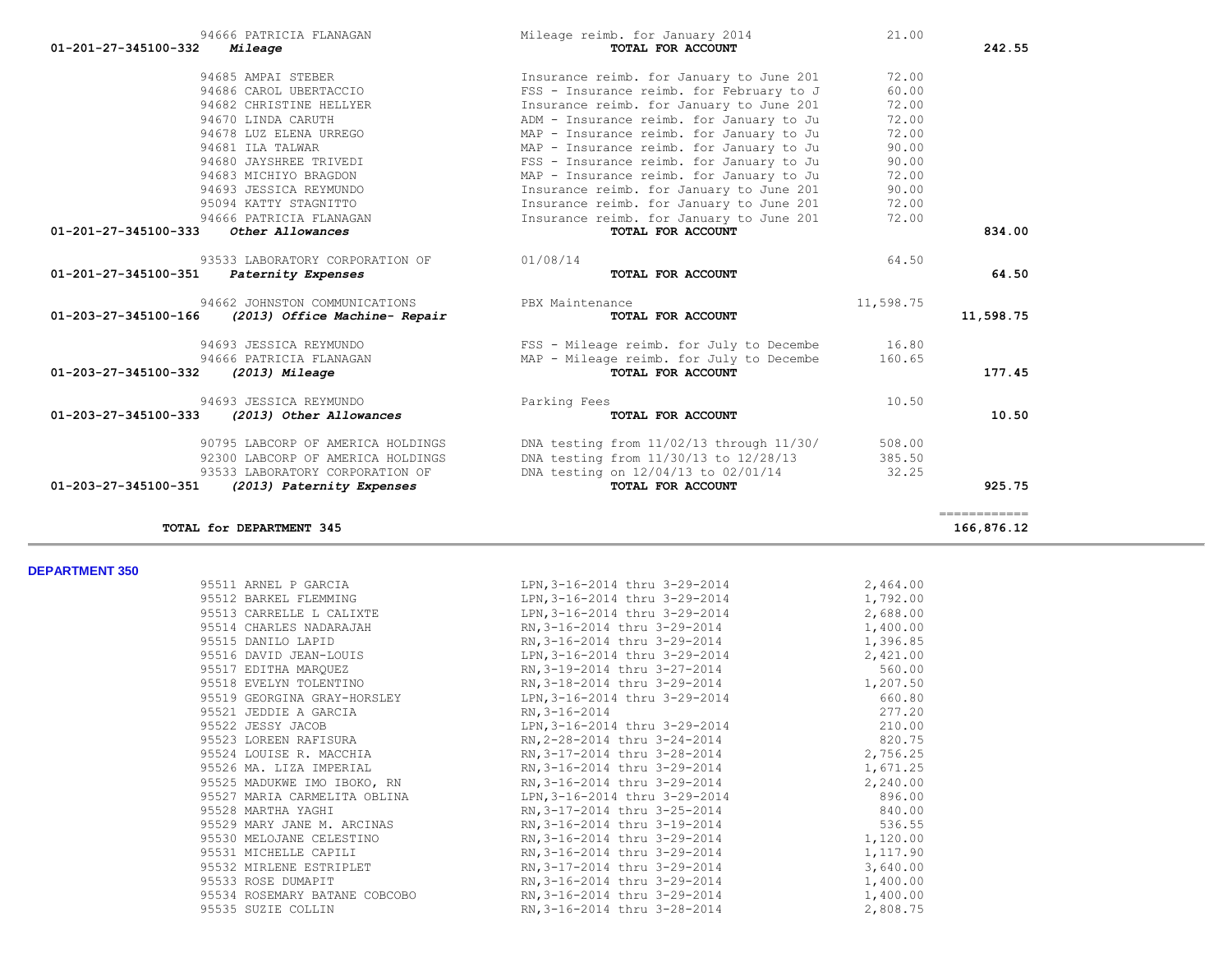| 95511 ARNEL P GARCIA     | LPN, 3-16-2014 thru 3-29-2014                                                                                | 2,464.00 |
|--------------------------|--------------------------------------------------------------------------------------------------------------|----------|
| 95512 BARKEL FLEMMING    | LPN, 3-16-2014 thru 3-29-2014 1, 792.00                                                                      |          |
| 95513 CARRELLE L CALIXTE | LPN, 3-16-2014 thru 3-29-2014                                                                                | 2,688.00 |
| 95514 CHARLES NADARAJAH  | RN, 3-16-2014 thru 3-29-2014 1, 400.00                                                                       |          |
| 95515 DANILO LAPID       | RN, 3-16-2014 thru 3-29-2014 1, 396.85                                                                       |          |
| 95516 DAVID JEAN-LOUIS   | LPN, 3-16-2014 thru 3-29-2014 2, 421.00                                                                      |          |
| 95517 EDITHA MAROUEZ     |                                                                                                              |          |
| 95518 EVELYN TOLENTINO   | RN, 3-18-2014 thru 3-29-2014 1, 207.50                                                                       |          |
|                          | 95519 GEORGINA GRAY-HORSLEY LPN, 3-16-2014 thru 3-29-2014 660.80                                             |          |
| 95521 JEDDIE A GARCIA    | $RN, 3-16-2014$                                                                                              | 277.20   |
|                          | 95522 JESSY JACOB LEN, 3-16-2014 thru 3-29-2014 210.00                                                       |          |
| 95523 LOREEN RAFISURA    | RN, 2-28-2014 thru 3-24-2014 820.75                                                                          |          |
| 95524 LOUISE R. MACCHIA  | RN, 3-17-2014 thru 3-28-2014 2, 756.25                                                                       |          |
| 95526 MA. LIZA IMPERIAL  | RN, 3-16-2014 thru 3-29-2014 1, 671.25                                                                       |          |
|                          | 95525 MADUKWE IMO IBOKO, RN                  RN, 3-16-2014 thru 3-29-2014                          2, 240.00 |          |
|                          | 95527 MARIA CARMELITA OBLINA TERN, 3-16-2014 thru 3-29-2014                                                  | 896.00   |
| 95528 MARTHA YAGHI       | RN, 3-17-2014 thru 3-25-2014 840.00                                                                          |          |
|                          | 95529 MARY JANE M. ARCINAS (26.55) RN, 3-16-2014 thru 3-19-2014                                              |          |
|                          | 95530 MELOJANE CELESTINO RN, 3-16-2014 thru 3-29-2014 1.120.00                                               |          |
| 95531 MICHELLE CAPILI    | RN, 3-16-2014 thru 3-29-2014 1, 117.90                                                                       |          |
| 95532 MIRLENE ESTRIPLET  | RN, 3-17-2014 thru 3-29-2014 3,640.00                                                                        |          |
| 95533 ROSE DUMAPIT       | RN, 3-16-2014 thru 3-29-2014 1, 400.00                                                                       |          |
|                          | 95534 ROSEMARY BATANE COBCOBO RN, 3-16-2014 thru 3-29-2014                                                   | 1,400.00 |
| 95535 SUZIE COLLIN       | RN, 3-16-2014 thru 3-28-2014                                                                                 | 2,808.75 |
|                          |                                                                                                              |          |

| 95094 KATTY STAGNITTO                                 | Insurance reimb. for January to June 201 | 72.00     |           |
|-------------------------------------------------------|------------------------------------------|-----------|-----------|
| 94666 PATRICIA FLANAGAN                               | Insurance reimb. for January to June 201 | 72.00     |           |
| 01-201-27-345100-333<br>Other Allowances              | TOTAL FOR ACCOUNT                        |           | 834.00    |
| 93533 LABORATORY CORPORATION OF                       | 01/08/14                                 | 64.50     |           |
| 01-201-27-345100-351<br>Paternity Expenses            | TOTAL FOR ACCOUNT                        |           | 64.50     |
| 94662 JOHNSTON COMMUNICATIONS                         | PBX Maintenance                          | 11,598.75 |           |
| 01-203-27-345100-166<br>(2013) Office Machine- Repair | TOTAL FOR ACCOUNT                        |           | 11,598.75 |
| 94693 JESSICA REYMUNDO                                | FSS - Mileage reimb. for July to Decembe | 16.80     |           |
| 94666 PATRICIA FLANAGAN                               | MAP - Mileage reimb. for July to Decembe | 160.65    |           |
| 01-203-27-345100-332<br>(2013) Mileage                | TOTAL FOR ACCOUNT                        |           | 177.45    |
| 94693 JESSICA REYMUNDO                                | Parking Fees                             | 10.50     |           |
| 01-203-27-345100-333<br>(2013) Other Allowances       | TOTAL FOR ACCOUNT                        |           | 10.50     |
| 90795 LABCORP OF AMERICA HOLDINGS                     | DNA testing from 11/02/13 through 11/30/ | 508.00    |           |

 92300 LABCORP OF AMERICA HOLDINGS DNA testing from 11/30/13 to 12/28/13 385.50 93533 LABORATORY CORPORATION OF DNA testing on 12/04/13 to 02/01/14 32.25  **01-203-27-345100-351** *(2013) Paternity Expenses* **TOTAL FOR ACCOUNT 925.75** ============

**TOTAL for DEPARTMENT 345 166,876.12**

| 94666 PATRICIA FLANAGAN                    | Mileage reimb. for January 2014          | 21.00 |        |
|--------------------------------------------|------------------------------------------|-------|--------|
| 01-201-27-345100-332<br>Mileage            | TOTAL FOR ACCOUNT                        |       | 242.55 |
| 94685 AMPAI STEBER                         | Insurance reimb. for January to June 201 | 72.00 |        |
| 94686 CAROL UBERTACCIO                     | FSS - Insurance reimb. for February to J | 60.00 |        |
| 94682 CHRISTINE HELLYER                    | Insurance reimb. for January to June 201 | 72.00 |        |
| 94670 LINDA CARUTH                         | ADM - Insurance reimb. for January to Ju | 72.00 |        |
| 94678 LUZ ELENA URREGO                     | MAP - Insurance reimb. for January to Ju | 72.00 |        |
| 94681 ILA TALWAR                           | MAP - Insurance reimb. for January to Ju | 90.00 |        |
| 94680 JAYSHREE TRIVEDI                     | FSS - Insurance reimb. for January to Ju | 90.00 |        |
| 94683 MICHIYO BRAGDON                      | MAP - Insurance reimb. for January to Ju | 72.00 |        |
| 94693 JESSICA REYMUNDO                     | Insurance reimb. for January to June 201 | 90.00 |        |
| 95094 KATTY STAGNITTO                      | Insurance reimb. for January to June 201 | 72.00 |        |
| 94666 PATRICIA FLANAGAN                    | Insurance reimb. for January to June 201 | 72.00 |        |
| 01-201-27-345100-333<br>Other Allowances   | TOTAL FOR ACCOUNT                        |       | 834.00 |
| 93533 LABORATORY CORPORATION OF            | 01/08/14                                 | 64.50 |        |
| 01-201-27-345100-351<br>Paternity Expenses | TOTAL FOR ACCOUNT                        |       | 64.50  |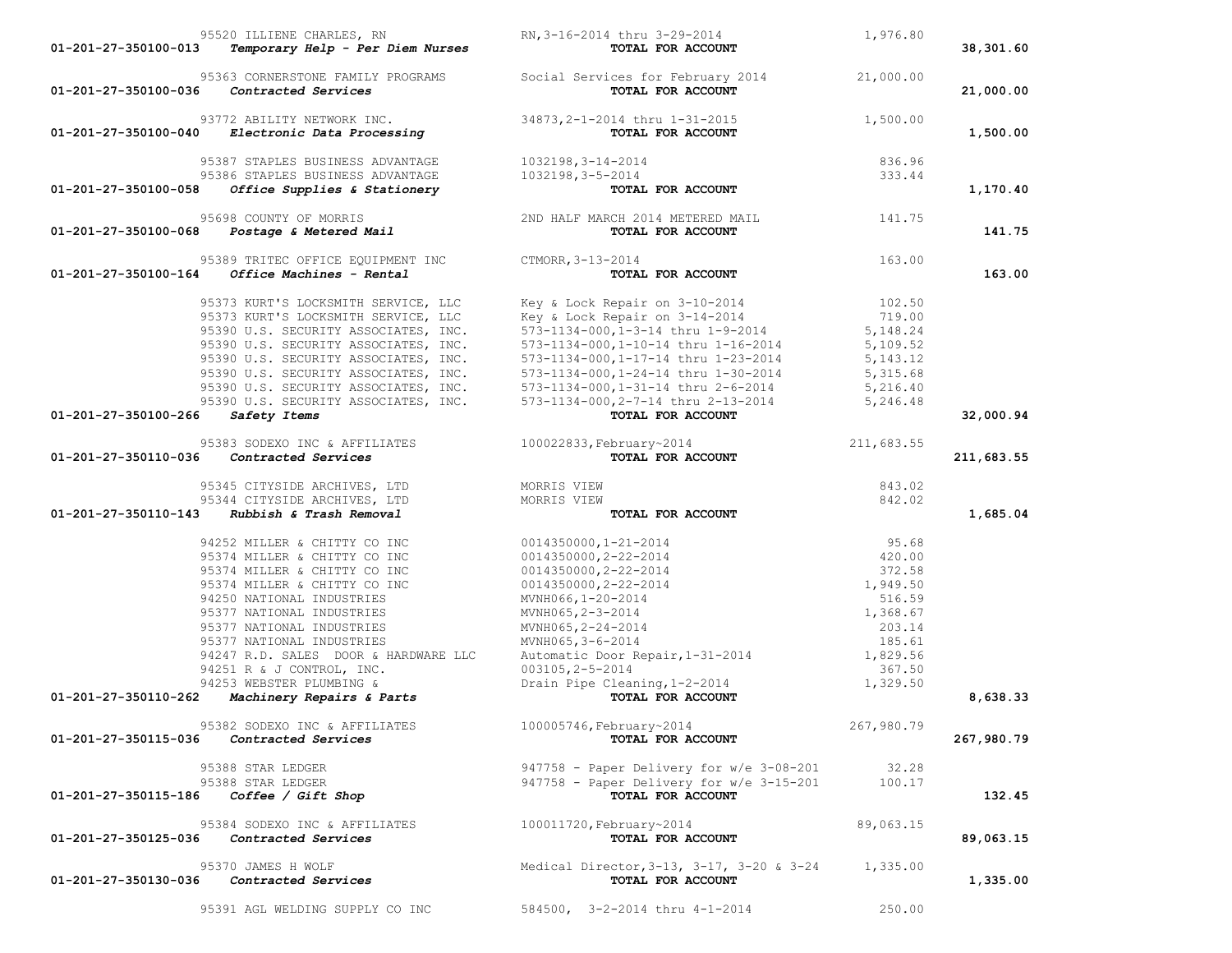| 01-201-27-350100-013              | 95520 ILLIENE CHARLES, RN                                                                              | TOTAL FOR ACCOUNT                                                                                                                                                                                                                       | 1,976.80   | 38,301.60  |
|-----------------------------------|--------------------------------------------------------------------------------------------------------|-----------------------------------------------------------------------------------------------------------------------------------------------------------------------------------------------------------------------------------------|------------|------------|
|                                   | 01-201-27-350100-036    Contracted Services                                                            | 95363 CORNERSTONE FAMILY PROGRAMS Social Services for February 2014 21,000.00<br><b>Contracted Services CONTIL FOR ACCOUNT</b>                                                                                                          |            | 21,000.00  |
|                                   | 93772 ABILITY NETWORK INC.<br>01-201-27-350100-040 Electronic Data Processing                          | $34873, 2-1-2014$ thru $1-31-2015$<br><b>TOTAL FOR ACCOUNT</b>                                                                                                                                                                          | 1,500.00   | 1,500.00   |
|                                   | 95387 STAPLES BUSINESS ADVANTAGE 1032198, 3-14-2014                                                    |                                                                                                                                                                                                                                         |            |            |
| 01-201-27-350100-058              | 95386 STAPLES BUSINESS ADVANTAGE 1032198, 3-5-2014<br>Office Supplies & Stationery                     | $4-2014$<br>-2014<br><b>TOTAL FOR ACCOUNT</b> 333.44                                                                                                                                                                                    |            | 1,170.40   |
|                                   |                                                                                                        |                                                                                                                                                                                                                                         |            |            |
|                                   |                                                                                                        | 95698 COUNTY OF MORRIS<br>2ND HALF MARCH 2014 METERED MAIL 9141.75<br><b>TOTAL FOR ACCOUNT</b>                                                                                                                                          |            | 141.75     |
|                                   | 95389 TRITEC OFFICE EQUIPMENT INC CTMORR, 3-13-2014<br>$01-201-27-350100-164$ Office Machines - Rental | TOTAL FOR ACCOUNT                                                                                                                                                                                                                       | 163.00     | 163.00     |
|                                   |                                                                                                        | 95373 KURT'S LOCKSMITH SERVICE, LLC Key & Lock Repair on 3-10-2014 102.50<br>95373 KURT'S LOCKSMITH SERVICE, LLC Key & Lock Repair on 3-14-2014 719.00<br>95390 U.S. SECURITY ASSOCIATES, INC. 573-1134-000,1-3-14 thru 1-9-2014 5,1    |            |            |
|                                   |                                                                                                        |                                                                                                                                                                                                                                         |            |            |
|                                   |                                                                                                        |                                                                                                                                                                                                                                         |            |            |
|                                   |                                                                                                        | 95390 U.S. SECURITY ASSOCIATES, INC. 573-1134-000, 1-10-14 thru 1-16-2014 5, 109.52<br>95390 U.S. SECURITY ASSOCIATES, INC. 573-1134-000, 1-17-14 thru 1-23-2014 5, 143.12                                                              |            |            |
|                                   |                                                                                                        |                                                                                                                                                                                                                                         |            |            |
|                                   |                                                                                                        | 95390 U.S. SECURITY ASSOCIATES, INC.<br>95390 U.S. SECURITY ASSOCIATES, INC.<br>95390 U.S. SECURITY ASSOCIATES, INC.<br>95390 U.S. SECURITY ASSOCIATES, INC.<br>95390 U.S. SECURITY ASSOCIATES, INC.<br>95390 U.S. SECURITY ASSOCIATES, |            |            |
|                                   |                                                                                                        |                                                                                                                                                                                                                                         |            |            |
| 01-201-27-350100-266 Safety Items |                                                                                                        | TOTAL FOR ACCOUNT                                                                                                                                                                                                                       |            | 32,000.94  |
|                                   |                                                                                                        |                                                                                                                                                                                                                                         |            |            |
|                                   | 01-201-27-350110-036 Contracted Services                                                               | 95383 SODEXO INC & AFFILIATES $\frac{100022833, \text{February~2014}}{\text{Total FOR ACCOUNT}}$ 211,683.55<br>TOTAL FOR ACCOUNT                                                                                                        |            | 211,683.55 |
|                                   |                                                                                                        |                                                                                                                                                                                                                                         | 843.02     |            |
|                                   |                                                                                                        |                                                                                                                                                                                                                                         | 842.02     |            |
|                                   | $01-201-27-350110-143$ Rubbish & Trash Removal                                                         | TOTAL FOR ACCOUNT                                                                                                                                                                                                                       |            | 1,685.04   |
|                                   |                                                                                                        |                                                                                                                                                                                                                                         |            |            |
|                                   |                                                                                                        |                                                                                                                                                                                                                                         |            |            |
|                                   |                                                                                                        |                                                                                                                                                                                                                                         |            |            |
|                                   |                                                                                                        |                                                                                                                                                                                                                                         |            |            |
|                                   |                                                                                                        |                                                                                                                                                                                                                                         |            |            |
|                                   |                                                                                                        |                                                                                                                                                                                                                                         |            |            |
|                                   |                                                                                                        |                                                                                                                                                                                                                                         |            |            |
|                                   |                                                                                                        |                                                                                                                                                                                                                                         |            |            |
|                                   |                                                                                                        |                                                                                                                                                                                                                                         |            |            |
|                                   |                                                                                                        |                                                                                                                                                                                                                                         |            |            |
|                                   |                                                                                                        |                                                                                                                                                                                                                                         |            |            |
|                                   |                                                                                                        | 94251 R & J CONTROL, INC.<br>94253 WEBSTER PLUMBING & Drain Pipe Cleaning, 1-2-2014<br><b>01-201-27-350110-262</b> Machinery Repairs & Parts TOTAL FOR ACCOUNT<br><b>TOTAL FOR ACCOUNT</b>                                              |            | 8,638.33   |
|                                   | 95382 SODEXO INC & AFFILIATES                                                                          | 100005746, February~2014                                                                                                                                                                                                                | 267,980.79 |            |
| 01-201-27-350115-036              | Contracted Services                                                                                    | TOTAL FOR ACCOUNT                                                                                                                                                                                                                       |            | 267,980.79 |
|                                   | 95388 STAR LEDGER                                                                                      | $947758$ - Paper Delivery for w/e 3-08-201                                                                                                                                                                                              | 32.28      |            |
|                                   | 95388 STAR LEDGER                                                                                      | 947758 - Paper Delivery for w/e 3-15-201                                                                                                                                                                                                | 100.17     |            |
| 01-201-27-350115-186              | Coffee / Gift Shop                                                                                     | TOTAL FOR ACCOUNT                                                                                                                                                                                                                       |            | 132.45     |
|                                   | 95384 SODEXO INC & AFFILIATES                                                                          | 100011720, February~2014                                                                                                                                                                                                                | 89,063.15  |            |
| 01-201-27-350125-036              | Contracted Services                                                                                    | TOTAL FOR ACCOUNT                                                                                                                                                                                                                       |            | 89,063.15  |
|                                   | 95370 JAMES H WOLF                                                                                     | Medical Director, 3-13, 3-17, 3-20 & 3-24                                                                                                                                                                                               | 1,335.00   |            |
| 01-201-27-350130-036              |                                                                                                        |                                                                                                                                                                                                                                         |            |            |
|                                   | Contracted Services                                                                                    | TOTAL FOR ACCOUNT                                                                                                                                                                                                                       |            | 1,335.00   |
|                                   | 95391 AGL WELDING SUPPLY CO INC                                                                        | 584500, 3-2-2014 thru 4-1-2014                                                                                                                                                                                                          | 250.00     |            |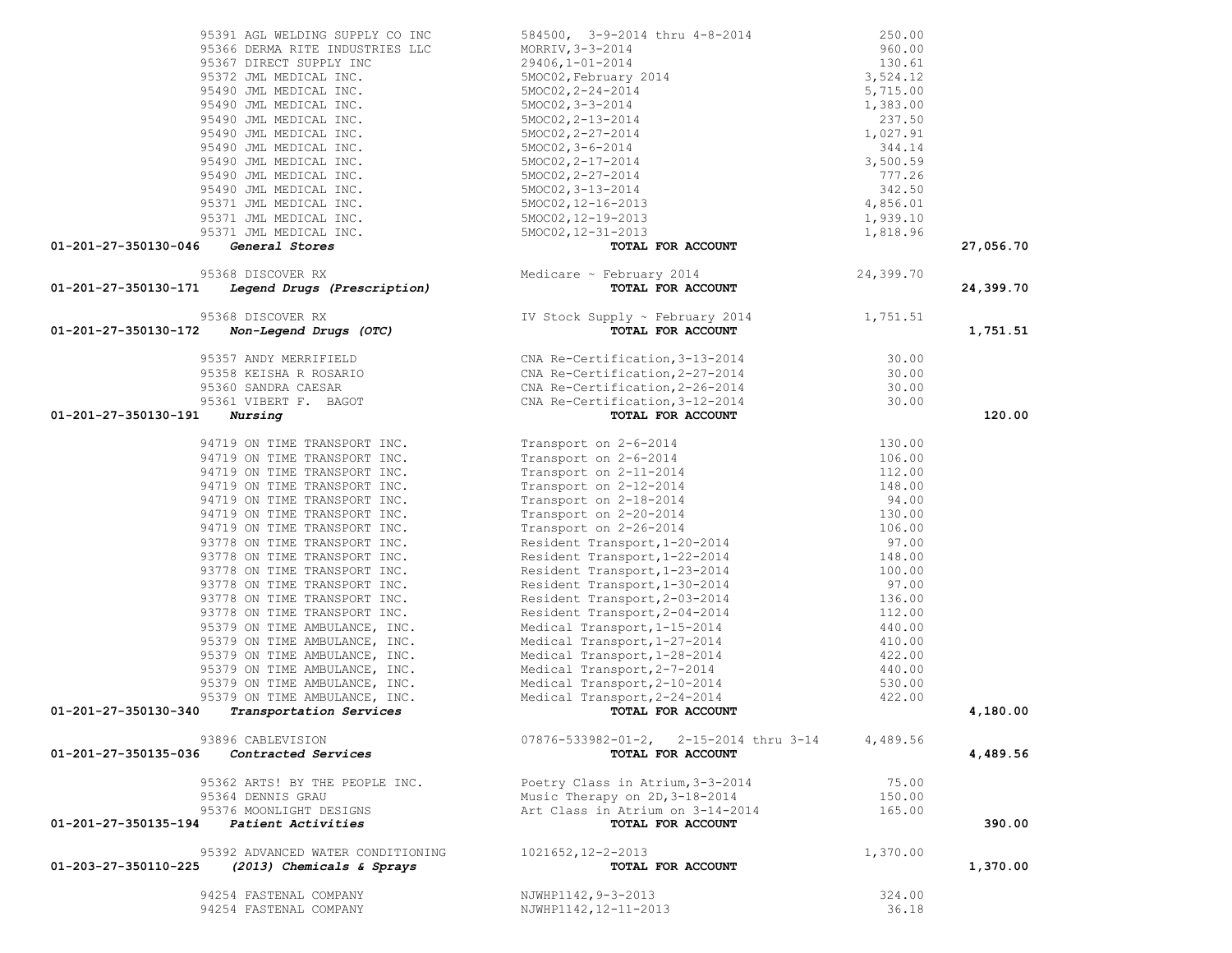|                      | 95391 AGL WELDING SUPPLY CO INC                                                                 |                                                                                                                                                                                                                                                                                                              |           |           |
|----------------------|-------------------------------------------------------------------------------------------------|--------------------------------------------------------------------------------------------------------------------------------------------------------------------------------------------------------------------------------------------------------------------------------------------------------------|-----------|-----------|
|                      | 95366 DERMA RITE INDUSTRIES LLC                                                                 |                                                                                                                                                                                                                                                                                                              |           |           |
|                      | 95367 DIRECT SUPPLY INC                                                                         |                                                                                                                                                                                                                                                                                                              |           |           |
|                      | 95372 JML MEDICAL INC.                                                                          |                                                                                                                                                                                                                                                                                                              |           |           |
|                      | 95490 JML MEDICAL INC.                                                                          |                                                                                                                                                                                                                                                                                                              |           |           |
|                      | 95490 JML MEDICAL INC.                                                                          |                                                                                                                                                                                                                                                                                                              |           |           |
|                      | 95490 JML MEDICAL INC.                                                                          |                                                                                                                                                                                                                                                                                                              |           |           |
|                      | 95490 JML MEDICAL INC.                                                                          |                                                                                                                                                                                                                                                                                                              |           |           |
|                      | 95490 JML MEDICAL INC.                                                                          |                                                                                                                                                                                                                                                                                                              |           |           |
|                      | 95490 JML MEDICAL INC.                                                                          |                                                                                                                                                                                                                                                                                                              |           |           |
|                      | 95490 JML MEDICAL INC.                                                                          |                                                                                                                                                                                                                                                                                                              |           |           |
|                      | 95490 JML MEDICAL INC.                                                                          |                                                                                                                                                                                                                                                                                                              |           |           |
|                      | 95371 JML MEDICAL INC.                                                                          |                                                                                                                                                                                                                                                                                                              |           |           |
|                      | 95371 JML MEDICAL INC.                                                                          |                                                                                                                                                                                                                                                                                                              |           |           |
|                      | 95371 JML MEDICAL INC.                                                                          |                                                                                                                                                                                                                                                                                                              |           |           |
| 01-201-27-350130-046 | General Stores                                                                                  | $\begin{tabular}{lllllllllllllllllllllll} 584500,\quad & 3-9-2014 & \text{thru} & 4-8-2014 & & 250.00 \\ \text{MORRIV, $3-3-2014}$ & 960.00 \\ 29406,1-01-2014 & 130.61 \\ 5MOCO2, \text{February} & 2014 & 3,524.12 \\ 5MOCO2, 2-24-2014 & 5,715.00 \\ 5MOCO2, 2-3-2014 & 1,383.00 \\ 5MOCO2, 2-13-2014 & $ |           | 27,056.70 |
|                      | 95368 DISCOVER RX                                                                               |                                                                                                                                                                                                                                                                                                              | 24,399.70 |           |
| 01-201-27-350130-171 |                                                                                                 | % DISCOVER RX<br>Medicare ~ February 2014<br><b>Legend Drugs (Prescription)</b> Medicare ~ February 2014                                                                                                                                                                                                     |           | 24,399.70 |
|                      | 95368 DISCOVER RX                                                                               |                                                                                                                                                                                                                                                                                                              |           |           |
| 01-201-27-350130-172 | Non-Legend Drugs (OTC)                                                                          | IV Stock Supply ~ February 2014 1,751.51<br>TOTAL FOR ACCOUNT                                                                                                                                                                                                                                                |           | 1,751.51  |
|                      |                                                                                                 |                                                                                                                                                                                                                                                                                                              |           |           |
|                      |                                                                                                 |                                                                                                                                                                                                                                                                                                              |           |           |
|                      | 95357 ANDY MERRIFIELD<br>95358 KEISHA R ROSARIO<br>95360 SANDRA CAESAR<br>95361 VIBERT F. BAGOT |                                                                                                                                                                                                                                                                                                              |           |           |
|                      |                                                                                                 |                                                                                                                                                                                                                                                                                                              |           |           |
|                      |                                                                                                 | CNA Re-Certification, 3-13-2014 30.00<br>CNA Re-Certification, 2-27-2014 30.00<br>CNA Re-Certification, 2-26-2014 30.00<br>CNA Re-Certification, 3-12-2014 30.00<br><b>TOTAL FOR ACCOUNT</b>                                                                                                                 |           |           |
| 01-201-27-350130-191 | Nursing                                                                                         |                                                                                                                                                                                                                                                                                                              |           | 120.00    |
|                      | 94719 ON TIME TRANSPORT INC.                                                                    |                                                                                                                                                                                                                                                                                                              |           |           |
|                      | 94719 ON TIME TRANSPORT INC.                                                                    |                                                                                                                                                                                                                                                                                                              |           |           |
|                      | 94719 ON TIME TRANSPORT INC.                                                                    |                                                                                                                                                                                                                                                                                                              |           |           |
|                      | 94719 ON TIME TRANSPORT INC.                                                                    |                                                                                                                                                                                                                                                                                                              |           |           |
|                      | 94719 ON TIME TRANSPORT INC.                                                                    |                                                                                                                                                                                                                                                                                                              |           |           |
|                      | 94719 ON TIME TRANSPORT INC.                                                                    |                                                                                                                                                                                                                                                                                                              |           |           |
|                      | 94719 ON TIME TRANSPORT INC.                                                                    |                                                                                                                                                                                                                                                                                                              |           |           |
|                      | 93778 ON TIME TRANSPORT INC.                                                                    |                                                                                                                                                                                                                                                                                                              |           |           |
|                      | 93778 ON TIME TRANSPORT INC.                                                                    |                                                                                                                                                                                                                                                                                                              |           |           |
|                      | 93778 ON TIME TRANSPORT INC.                                                                    |                                                                                                                                                                                                                                                                                                              |           |           |
|                      | 93778 ON TIME TRANSPORT INC.                                                                    |                                                                                                                                                                                                                                                                                                              |           |           |
|                      | 93778 ON TIME TRANSPORT INC.                                                                    |                                                                                                                                                                                                                                                                                                              |           |           |
|                      | 93778 ON TIME TRANSPORT INC.                                                                    |                                                                                                                                                                                                                                                                                                              |           |           |
|                      | 95379 ON TIME AMBULANCE, INC.                                                                   |                                                                                                                                                                                                                                                                                                              |           |           |
|                      | 95379 ON TIME AMBULANCE, INC.                                                                   |                                                                                                                                                                                                                                                                                                              |           |           |
|                      | 95379 ON TIME AMBULANCE, INC.                                                                   |                                                                                                                                                                                                                                                                                                              |           |           |
|                      | 95379 ON TIME AMBULANCE, INC.                                                                   |                                                                                                                                                                                                                                                                                                              |           |           |
|                      | 95379 ON TIME AMBULANCE, INC.                                                                   |                                                                                                                                                                                                                                                                                                              |           |           |
|                      | 95379 ON TIME AMBULANCE, INC.                                                                   |                                                                                                                                                                                                                                                                                                              |           |           |
| 01-201-27-350130-340 | Transportation Services                                                                         | 130.00<br>Transport on 2-6-2014<br>Transport on 2-1-2014<br>Transport on 2-11-2014<br>Transport on 2-11-2014<br>Transport on 2-11-2014<br>Transport on 2-12-2014<br>Transport on 2-26-2014<br>Transport on 2-26-2014<br>Transport on 2-26-2014<br>                                                           |           | 4,180.00  |
|                      | 93896 CABLEVISION                                                                               | 07876-533982-01-2, 2-15-2014 thru 3-14                                                                                                                                                                                                                                                                       | 4,489.56  |           |
| 01-201-27-350135-036 | Contracted Services                                                                             | TOTAL FOR ACCOUNT                                                                                                                                                                                                                                                                                            |           | 4,489.56  |
|                      | 95362 ARTS! BY THE PEOPLE INC.                                                                  | Poetry Class in Atrium, 3-3-2014                                                                                                                                                                                                                                                                             | 75.00     |           |
|                      | 95364 DENNIS GRAU                                                                               | Music Therapy on 2D, 3-18-2014                                                                                                                                                                                                                                                                               | 150.00    |           |
|                      | 95376 MOONLIGHT DESIGNS                                                                         | Art Class in Atrium on 3-14-2014                                                                                                                                                                                                                                                                             |           |           |
| 01-201-27-350135-194 | Patient Activities                                                                              | TOTAL FOR ACCOUNT                                                                                                                                                                                                                                                                                            | 165.00    | 390.00    |
|                      |                                                                                                 |                                                                                                                                                                                                                                                                                                              |           |           |
|                      | 95392 ADVANCED WATER CONDITIONING                                                               | 1021652, 12-2-2013                                                                                                                                                                                                                                                                                           | 1,370.00  |           |
| 01-203-27-350110-225 | (2013) Chemicals & Sprays                                                                       | TOTAL FOR ACCOUNT                                                                                                                                                                                                                                                                                            |           | 1,370.00  |
|                      | 94254 FASTENAL COMPANY                                                                          | NJWHP1142, 9-3-2013                                                                                                                                                                                                                                                                                          | 324.00    |           |
|                      | 94254 FASTENAL COMPANY                                                                          | NJWHP1142, 12-11-2013                                                                                                                                                                                                                                                                                        | 36.18     |           |
|                      |                                                                                                 |                                                                                                                                                                                                                                                                                                              |           |           |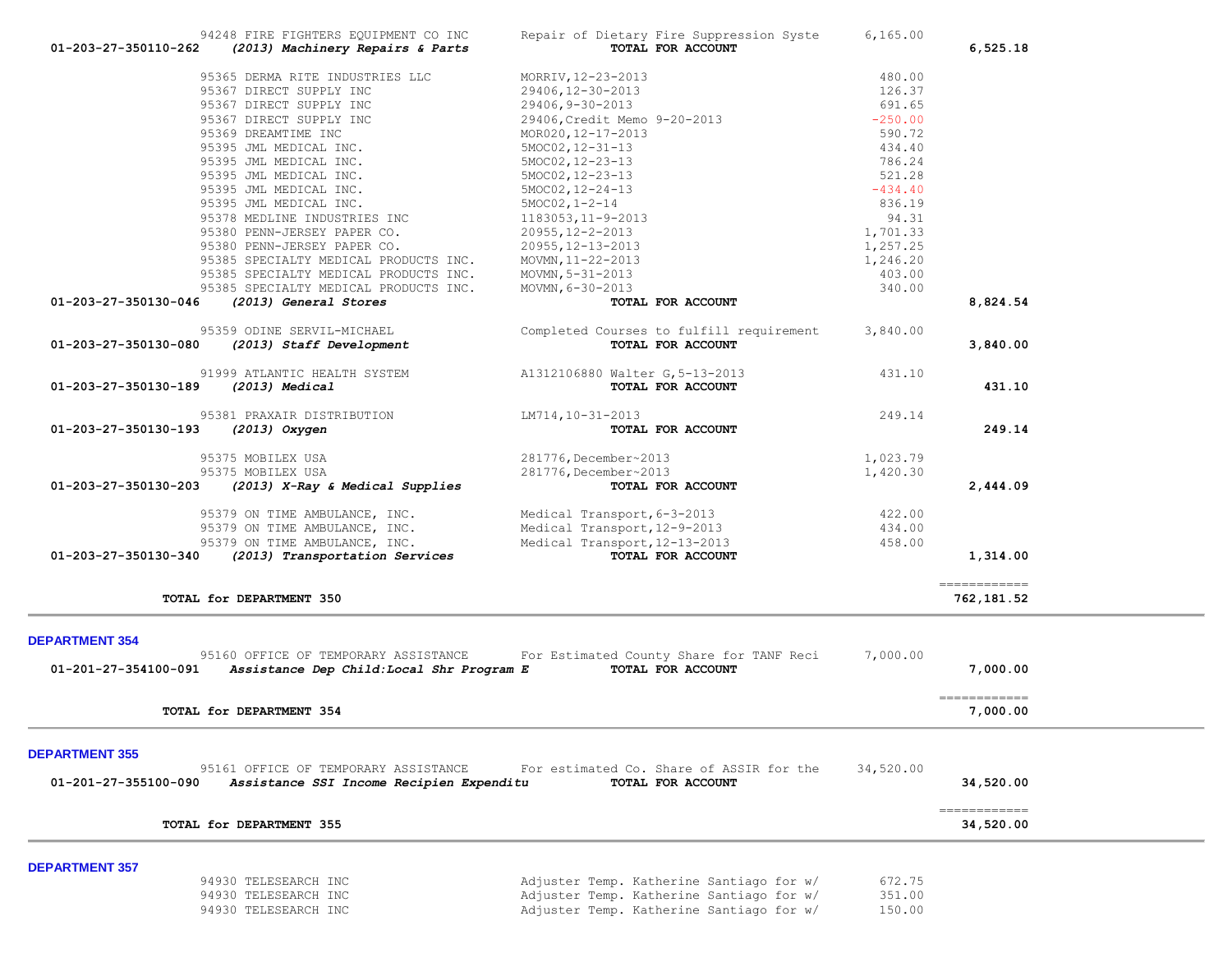|                       |                                           | 29406, Credit Memo 9-20-2013             | $-250.00$ |                                         |
|-----------------------|-------------------------------------------|------------------------------------------|-----------|-----------------------------------------|
|                       | 95369 DREAMTIME INC                       | MOR020, 12-17-2013                       | 590.72    |                                         |
|                       | 95395 JML MEDICAL INC.                    | $5MOC02, 12-31-13$                       | 434.40    |                                         |
|                       | 95395 JML MEDICAL INC.                    | $5MOC02, 12-23-13$                       | 786.24    |                                         |
|                       | 95395 JML MEDICAL INC.                    | 5MOC02, 12-23-13                         | 521.28    |                                         |
|                       | 95395 JML MEDICAL INC.                    | $5MOC02, 12-24-13$                       | $-434.40$ |                                         |
|                       | 95395 JML MEDICAL INC.                    | $5MOC02, 1-2-14$                         | 836.19    |                                         |
|                       | 95378 MEDLINE INDUSTRIES INC              | 1183053, 11-9-2013                       | 94.31     |                                         |
|                       | 95380 PENN-JERSEY PAPER CO.               | $20955, 12 - 2 - 2013$                   | 1,701.33  |                                         |
|                       | 95380 PENN-JERSEY PAPER CO.               | 20955, 12-13-2013                        | 1,257.25  |                                         |
|                       | 95385 SPECIALTY MEDICAL PRODUCTS INC.     | MOVMN, 11-22-2013                        | 1,246.20  |                                         |
|                       | 95385 SPECIALTY MEDICAL PRODUCTS INC.     | MOVMN, $5 - 31 - 2013$                   | 403.00    |                                         |
|                       | 95385 SPECIALTY MEDICAL PRODUCTS INC.     | MOVMN, 6-30-2013                         | 340.00    |                                         |
| 01-203-27-350130-046  | (2013) General Stores                     | TOTAL FOR ACCOUNT                        |           | 8,824.54                                |
|                       | 95359 ODINE SERVIL-MICHAEL                | Completed Courses to fulfill requirement | 3,840.00  |                                         |
| 01-203-27-350130-080  | (2013) Staff Development                  | TOTAL FOR ACCOUNT                        |           | 3,840.00                                |
|                       | 91999 ATLANTIC HEALTH SYSTEM              | A1312106880 Walter G, 5-13-2013          | 431.10    |                                         |
| 01-203-27-350130-189  | (2013) Medical                            | TOTAL FOR ACCOUNT                        |           | 431.10                                  |
|                       | 95381 PRAXAIR DISTRIBUTION                | LM714, 10-31-2013                        | 249.14    |                                         |
| 01-203-27-350130-193  | (2013) Oxygen                             | TOTAL FOR ACCOUNT                        |           | 249.14                                  |
|                       | 95375 MOBILEX USA                         | 281776, December~2013                    | 1,023.79  |                                         |
|                       | 95375 MOBILEX USA                         | 281776, December~2013                    | 1,420.30  |                                         |
| 01-203-27-350130-203  | (2013) X-Ray & Medical Supplies           | TOTAL FOR ACCOUNT                        |           | 2,444.09                                |
|                       | 95379 ON TIME AMBULANCE, INC.             | Medical Transport, 6-3-2013              | 422.00    |                                         |
|                       | 95379 ON TIME AMBULANCE, INC.             | Medical Transport, 12-9-2013             | 434.00    |                                         |
|                       | 95379 ON TIME AMBULANCE, INC.             | Medical Transport, 12-13-2013            | 458.00    |                                         |
| 01-203-27-350130-340  | (2013) Transportation Services            | TOTAL FOR ACCOUNT                        |           | 1,314.00                                |
|                       |                                           |                                          |           | -------------<br>762,181.52             |
|                       | TOTAL for DEPARTMENT 350                  |                                          |           |                                         |
|                       |                                           |                                          |           |                                         |
| <b>DEPARTMENT 354</b> |                                           |                                          |           |                                         |
|                       | 95160 OFFICE OF TEMPORARY ASSISTANCE      | For Estimated County Share for TANF Reci | 7,000.00  |                                         |
| 01-201-27-354100-091  | Assistance Dep Child: Local Shr Program E | TOTAL FOR ACCOUNT                        |           | 7,000.00                                |
|                       | TOTAL for DEPARTMENT 354                  |                                          |           | $=$ = = = = = = = = = = = =<br>7,000.00 |
|                       |                                           |                                          |           |                                         |
| <b>DEPARTMENT 355</b> |                                           |                                          |           |                                         |
|                       | 95161 OFFICE OF TEMPORARY ASSISTANCE      | For estimated Co. Share of ASSIR for the | 34,520.00 |                                         |
| 01-201-27-355100-090  | Assistance SSI Income Recipien Expenditu  | TOTAL FOR ACCOUNT                        |           | 34,520.00                               |
|                       |                                           |                                          |           | ============                            |
|                       | TOTAL for DEPARTMENT 355                  |                                          |           | 34,520.00                               |
|                       |                                           |                                          |           |                                         |
| <b>DEPARTMENT 357</b> | 94930 TELESEARCH INC                      | Adjuster Temp. Katherine Santiago for w/ | 672.75    |                                         |
|                       | 94930 TELESEARCH INC                      | Adjuster Temp. Katherine Santiago for w/ | 351.00    |                                         |
|                       | 94930 TELESEARCH INC                      | Adjuster Temp. Katherine Santiago for w/ | 150.00    |                                         |

94248 FIRE FIGHTERS EQUIPMENT CO INC<br>2 (2013) Machinery Repairs & Parts **Parts TOTAL FOR ACCOUNT 01-203-27-350110-262** *(2013) Machinery Repairs & Parts* **TOTAL FOR ACCOUNT 6,525.18**

95365 DERMA RITE INDUSTRIES LLC MORRIV,12-23-2013 480.00

95367 DIRECT SUPPLY INC  $29406, 9-30-2013$  691.65

95367 DIRECT SUPPLY INC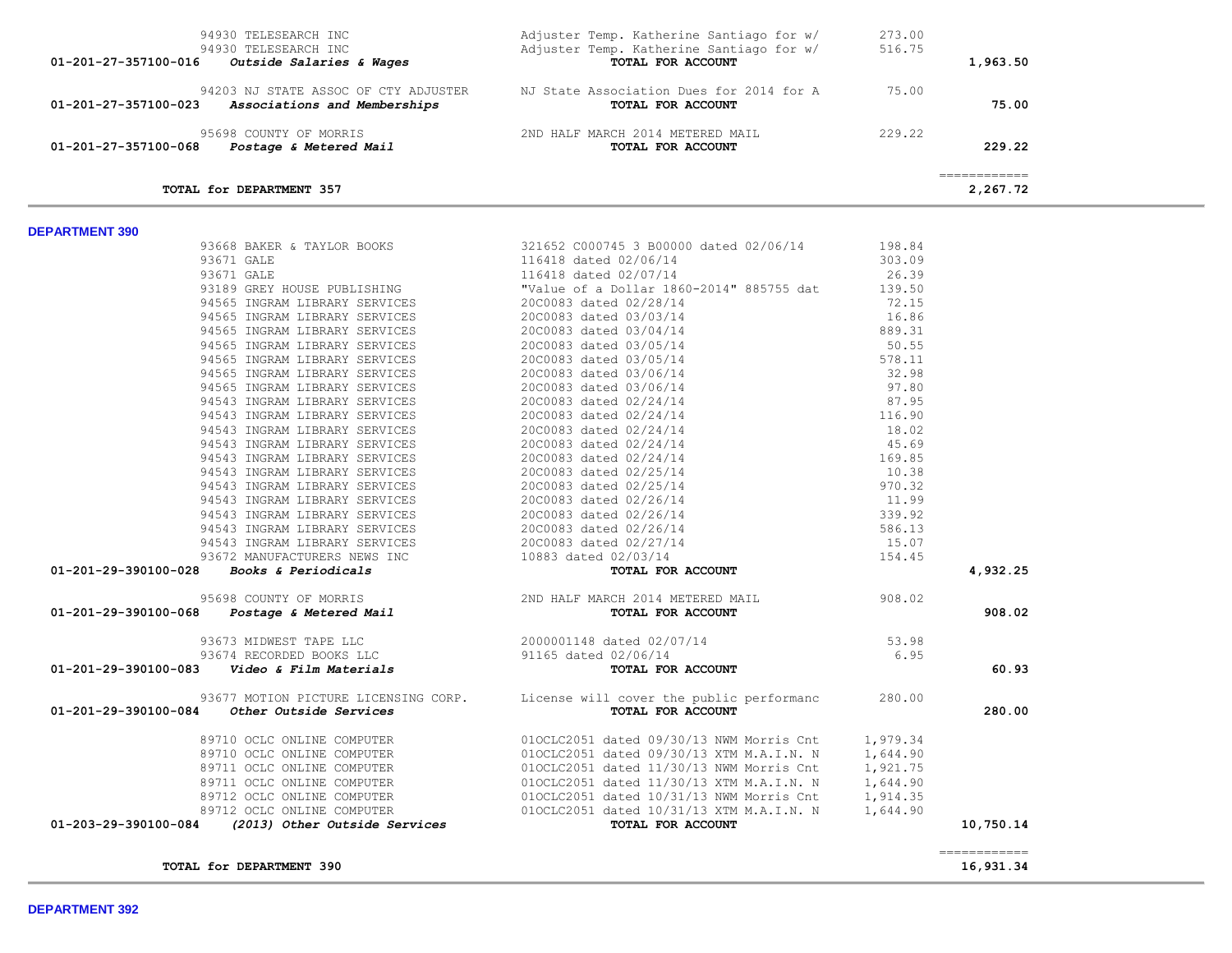| 94930 TELESEARCH INC                                 | Adjuster Temp. Katherine Santiago for w/ | 273.00 |              |  |
|------------------------------------------------------|------------------------------------------|--------|--------------|--|
| 94930 TELESEARCH INC                                 | Adjuster Temp. Katherine Santiago for w/ | 516.75 |              |  |
| 01-201-27-357100-016<br>Outside Salaries & Wages     | TOTAL FOR ACCOUNT                        |        | 1,963.50     |  |
| 94203 NJ STATE ASSOC OF CTY ADJUSTER                 | NJ State Association Dues for 2014 for A | 75.00  |              |  |
| 01-201-27-357100-023<br>Associations and Memberships | TOTAL FOR ACCOUNT                        |        | 75.00        |  |
| 95698 COUNTY OF MORRIS                               | 2ND HALF MARCH 2014 METERED MAIL         | 229.22 |              |  |
| 01-201-27-357100-068<br>Postage & Metered Mail       | TOTAL FOR ACCOUNT                        |        | 229.22       |  |
|                                                      |                                          |        | ============ |  |
| TOTAL for DEPARTMENT 357                             |                                          |        | 2,267.72     |  |

| 93668 BAKER & TAYLOR BOOKS                                                                                                                                             |                                                                | 321652 C000745 3 B00000 dated 02/06/14                                                                                                                                                                                                                                                                                                                                                                            | 198.84 |              |
|------------------------------------------------------------------------------------------------------------------------------------------------------------------------|----------------------------------------------------------------|-------------------------------------------------------------------------------------------------------------------------------------------------------------------------------------------------------------------------------------------------------------------------------------------------------------------------------------------------------------------------------------------------------------------|--------|--------------|
|                                                                                                                                                                        |                                                                |                                                                                                                                                                                                                                                                                                                                                                                                                   |        |              |
|                                                                                                                                                                        |                                                                |                                                                                                                                                                                                                                                                                                                                                                                                                   |        |              |
|                                                                                                                                                                        |                                                                | 93671 GALE<br>93671 GALE<br>93671 GALE<br>93671 GALE<br>93671 GALE<br>93671 GALE<br>94565 INGRAM LIBRARY SERVICES<br>94565 INGRAM LIBRARY SERVICES<br>94565 INGRAM LIBRARY SERVICES<br>94565 INGRAM LIBRARY SERVICES<br>94565 INGRAM LIBRARY SERVI                                                                                                                                                                |        |              |
|                                                                                                                                                                        |                                                                |                                                                                                                                                                                                                                                                                                                                                                                                                   |        |              |
|                                                                                                                                                                        |                                                                |                                                                                                                                                                                                                                                                                                                                                                                                                   |        |              |
|                                                                                                                                                                        |                                                                |                                                                                                                                                                                                                                                                                                                                                                                                                   |        |              |
|                                                                                                                                                                        |                                                                | $\begin{array}{r} 72.14 \\ -2014 \\ -883/35 \end{array}$ and $\begin{array}{r} 72.15 \\ 16.86 \\ 889.31 \\ 50.55 \\ 578.11 \\ 32.98 \\ 97.80 \\ 87.95 \\ 116.90 \\ 18.02 \\ 45.69 \\ 169.85 \\ 169.85 \\ 169.85 \\ 169.85 \\ 169.85 \\ \end{array}$<br>94565 INGRAM LIBRARY SERVICES<br>94565 INGRAM LIBRARY SERVICES<br>94565 INGRAM LIBRARY SERVICES<br>94565 INGRAM LIBRARY SERVICES<br>2000083 dated 03/06/14 |        |              |
|                                                                                                                                                                        |                                                                |                                                                                                                                                                                                                                                                                                                                                                                                                   |        |              |
|                                                                                                                                                                        |                                                                |                                                                                                                                                                                                                                                                                                                                                                                                                   |        |              |
|                                                                                                                                                                        |                                                                | 94565 INGRAM LIBRARY SERVICES 2000083 dated 03/06/14                                                                                                                                                                                                                                                                                                                                                              |        |              |
|                                                                                                                                                                        | 94543 INGRAM LIBRARY SERVICES<br>94543 INGRAM LIBRARY SERVICES | 20C0083 dated 02/24/14<br>20C0083 dated 02/24/14                                                                                                                                                                                                                                                                                                                                                                  |        |              |
|                                                                                                                                                                        |                                                                |                                                                                                                                                                                                                                                                                                                                                                                                                   |        |              |
|                                                                                                                                                                        |                                                                |                                                                                                                                                                                                                                                                                                                                                                                                                   |        |              |
|                                                                                                                                                                        |                                                                |                                                                                                                                                                                                                                                                                                                                                                                                                   |        |              |
|                                                                                                                                                                        |                                                                | 94543 INGRAM LIBRARY SERVICES<br>94543 INGRAM LIBRARY SERVICES<br>94543 INGRAM LIBRARY SERVICES<br>94543 INGRAM LIBRARY SERVICES<br>2000083 dated 02/24/14                                                                                                                                                                                                                                                        |        |              |
|                                                                                                                                                                        |                                                                | 94543 INGRAM LIBRARY SERVICES 2000083 dated 02/25/14                                                                                                                                                                                                                                                                                                                                                              |        |              |
|                                                                                                                                                                        |                                                                |                                                                                                                                                                                                                                                                                                                                                                                                                   |        |              |
|                                                                                                                                                                        |                                                                | 94543 INGRAM LIBRARY SERVICES 20C0083 dated 02/25/14<br>94543 INGRAM LIBRARY SERVICES 20C0083 dated 02/26/14                                                                                                                                                                                                                                                                                                      |        |              |
|                                                                                                                                                                        |                                                                |                                                                                                                                                                                                                                                                                                                                                                                                                   |        |              |
|                                                                                                                                                                        |                                                                |                                                                                                                                                                                                                                                                                                                                                                                                                   |        |              |
|                                                                                                                                                                        |                                                                |                                                                                                                                                                                                                                                                                                                                                                                                                   |        |              |
|                                                                                                                                                                        |                                                                |                                                                                                                                                                                                                                                                                                                                                                                                                   |        |              |
|                                                                                                                                                                        |                                                                | $\begin{array}{r} 109.03 \\ 10.38 \\ 970.32 \\ 11.99 \\ 339.92 \\ 586.13 \\ 15.07 \\ \textbf{ACCOUNT} \end{array}$<br>94943 INGRAM LIBRARY SERVICES<br>94543 INGRAM LIBRARY SERVICES<br>94543 INGRAM LIBRARY SERVICES<br>94543 INGRAM LIBRARY SERVICES<br>94543 INGRAM LIBRARY SERVICES<br>939.92<br>939.92<br>939.92<br>939.92<br>939.92<br>939.92<br>939.92<br>93672 MANUF                                      |        | 4,932.25     |
|                                                                                                                                                                        |                                                                |                                                                                                                                                                                                                                                                                                                                                                                                                   |        |              |
|                                                                                                                                                                        |                                                                |                                                                                                                                                                                                                                                                                                                                                                                                                   |        | 908.02       |
| 93673 MIDWEST TAPE LLC<br>93674 RECORDED BOOKS LLC<br>01-201-29-390100-083 <i>Video &amp; Film Materials</i><br>01-201-29-390100-083 <i>Video &amp; Film Materials</i> |                                                                | $53.98$<br>6.95                                                                                                                                                                                                                                                                                                                                                                                                   |        |              |
|                                                                                                                                                                        |                                                                |                                                                                                                                                                                                                                                                                                                                                                                                                   |        |              |
|                                                                                                                                                                        |                                                                | TOTAL FOR ACCOUNT                                                                                                                                                                                                                                                                                                                                                                                                 |        | 60.93        |
|                                                                                                                                                                        |                                                                | 93677 MOTION PICTURE LICENSING CORP. License will cover the public performanc 280.00                                                                                                                                                                                                                                                                                                                              |        |              |
| 01-201-29-390100-084 Other Outside Services                                                                                                                            |                                                                | TOTAL FOR ACCOUNT                                                                                                                                                                                                                                                                                                                                                                                                 |        | 280.00       |
|                                                                                                                                                                        |                                                                |                                                                                                                                                                                                                                                                                                                                                                                                                   |        |              |
|                                                                                                                                                                        |                                                                |                                                                                                                                                                                                                                                                                                                                                                                                                   |        |              |
|                                                                                                                                                                        |                                                                |                                                                                                                                                                                                                                                                                                                                                                                                                   |        |              |
|                                                                                                                                                                        |                                                                |                                                                                                                                                                                                                                                                                                                                                                                                                   |        |              |
|                                                                                                                                                                        |                                                                |                                                                                                                                                                                                                                                                                                                                                                                                                   |        |              |
|                                                                                                                                                                        |                                                                |                                                                                                                                                                                                                                                                                                                                                                                                                   |        |              |
|                                                                                                                                                                        |                                                                | 89710 OCLC ONLINE COMPUTER<br>89710 OCLC ONLINE COMPUTER<br>89710 OCLC ONLINE COMPUTER<br>89711 OCLC ONLINE COMPUTER<br>89711 OCLC ONLINE COMPUTER<br>89712 OCLC ONLINE COMPUTER<br>89712 OCLC ONLINE COMPUTER<br>89712 OCLC ONLINE COMPUTE                                                                                                                                                                       |        | 10,750.14    |
|                                                                                                                                                                        |                                                                |                                                                                                                                                                                                                                                                                                                                                                                                                   |        | ============ |
| TOTAL for DEPARTMENT 390                                                                                                                                               |                                                                |                                                                                                                                                                                                                                                                                                                                                                                                                   |        | 16,931.34    |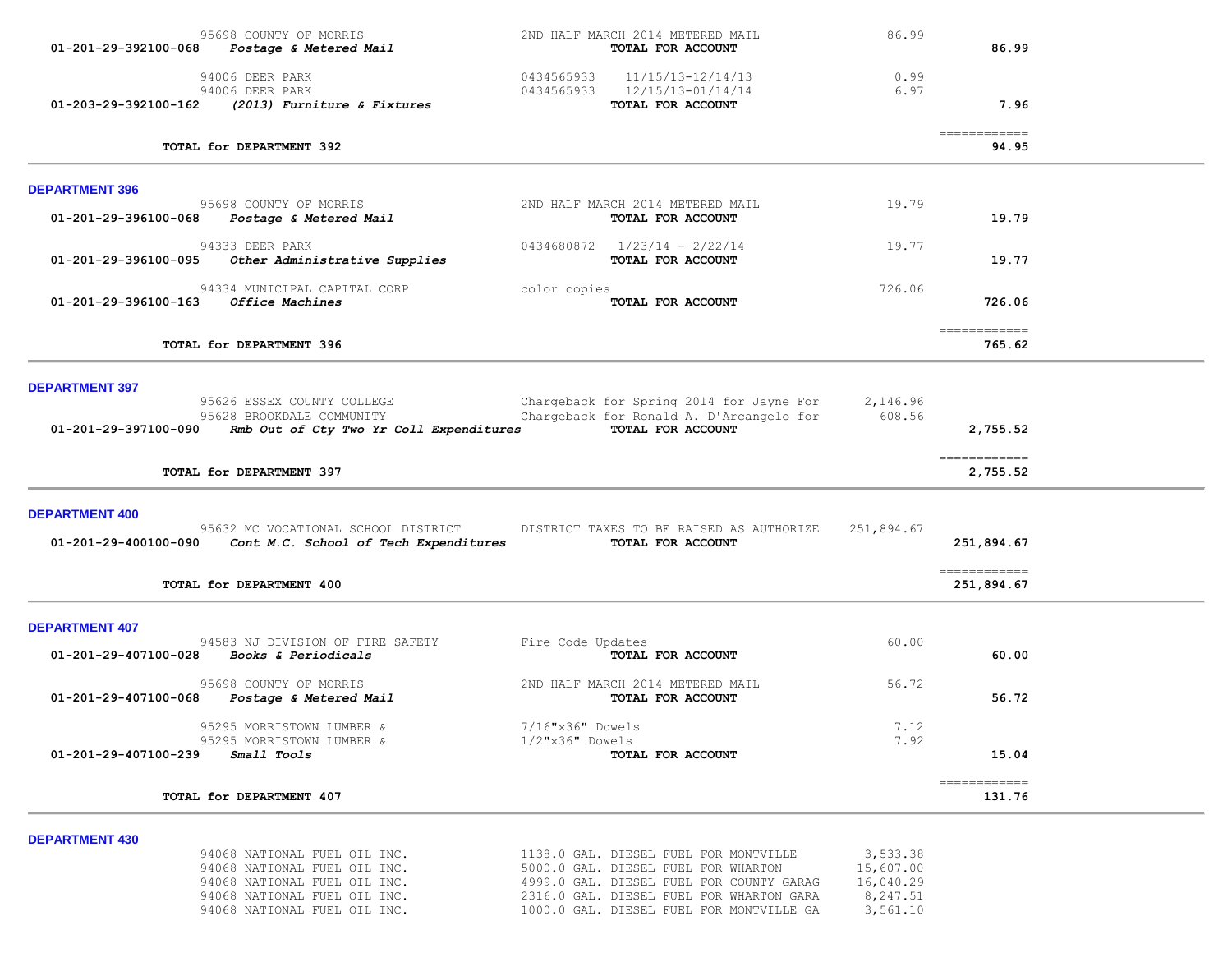|                                      | 95698 COUNTY OF MORRIS<br>01-201-29-392100-068 Postage & Metered Mail                                                                                        | 2ND HALF MARCH 2014 METERED MAIL<br>TOTAL FOR ACCOUNT                                                                                                                                                            | 86.99                                                      | 86.99                                                                                                                                                                                                                                                                                                                                                                                                                                                                                           |  |
|--------------------------------------|--------------------------------------------------------------------------------------------------------------------------------------------------------------|------------------------------------------------------------------------------------------------------------------------------------------------------------------------------------------------------------------|------------------------------------------------------------|-------------------------------------------------------------------------------------------------------------------------------------------------------------------------------------------------------------------------------------------------------------------------------------------------------------------------------------------------------------------------------------------------------------------------------------------------------------------------------------------------|--|
|                                      | 94006 DEER PARK<br>94006 DEER PARK<br>01-203-29-392100-162 (2013) Furniture & Fixtures                                                                       | $0434565933$ $11/15/13-12/14/13$<br>0434565933 12/15/13-01/14/14<br>TOTAL FOR ACCOUNT                                                                                                                            | 0.99<br>6.97                                               | 7.96                                                                                                                                                                                                                                                                                                                                                                                                                                                                                            |  |
|                                      | TOTAL for DEPARTMENT 392                                                                                                                                     |                                                                                                                                                                                                                  |                                                            | $\begin{array}{cccccccccc} \multicolumn{2}{c}{} & \multicolumn{2}{c}{} & \multicolumn{2}{c}{} & \multicolumn{2}{c}{} & \multicolumn{2}{c}{} & \multicolumn{2}{c}{} & \multicolumn{2}{c}{} & \multicolumn{2}{c}{} & \multicolumn{2}{c}{} & \multicolumn{2}{c}{} & \multicolumn{2}{c}{} & \multicolumn{2}{c}{} & \multicolumn{2}{c}{} & \multicolumn{2}{c}{} & \multicolumn{2}{c}{} & \multicolumn{2}{c}{} & \multicolumn{2}{c}{} & \multicolumn{2}{c}{} & \multicolumn{2}{c}{} & \mult$<br>94.95 |  |
| <b>DEPARTMENT 396</b>                |                                                                                                                                                              |                                                                                                                                                                                                                  |                                                            |                                                                                                                                                                                                                                                                                                                                                                                                                                                                                                 |  |
|                                      | 95698 COUNTY OF MORRIS<br>01-201-29-396100-068 Postage & Metered Mail                                                                                        | 2ND HALF MARCH 2014 METERED MAIL<br>TOTAL FOR ACCOUNT                                                                                                                                                            | 19.79                                                      | 19.79                                                                                                                                                                                                                                                                                                                                                                                                                                                                                           |  |
| 01-201-29-396100-095                 | 94333 DEER PARK<br>Other Administrative Supplies                                                                                                             | $0434680872$ $1/23/14$ - $2/22/14$<br>TOTAL FOR ACCOUNT                                                                                                                                                          | 19.77                                                      | 19.77                                                                                                                                                                                                                                                                                                                                                                                                                                                                                           |  |
| 01-201-29-396100-163 Office Machines | 94334 MUNICIPAL CAPITAL CORP                                                                                                                                 | color copies<br>TOTAL FOR ACCOUNT                                                                                                                                                                                | 726.06                                                     | 726.06                                                                                                                                                                                                                                                                                                                                                                                                                                                                                          |  |
|                                      | TOTAL for DEPARTMENT 396                                                                                                                                     |                                                                                                                                                                                                                  |                                                            | 765.62                                                                                                                                                                                                                                                                                                                                                                                                                                                                                          |  |
| <b>DEPARTMENT 397</b>                |                                                                                                                                                              |                                                                                                                                                                                                                  |                                                            |                                                                                                                                                                                                                                                                                                                                                                                                                                                                                                 |  |
| 01-201-29-397100-090                 | 95626 ESSEX COUNTY COLLEGE<br>95628 BROOKDALE COMMUNITY<br>Rmb Out of Cty Two Yr Coll Expenditures                                                           | Chargeback for Spring 2014 for Jayne For<br>Chargeback for Ronald A. D'Arcangelo for<br>TOTAL FOR ACCOUNT                                                                                                        | 2,146.96<br>608.56                                         | 2,755.52                                                                                                                                                                                                                                                                                                                                                                                                                                                                                        |  |
|                                      | TOTAL for DEPARTMENT 397                                                                                                                                     |                                                                                                                                                                                                                  |                                                            | =============<br>2,755.52                                                                                                                                                                                                                                                                                                                                                                                                                                                                       |  |
| <b>DEPARTMENT 400</b>                | 95632 MC VOCATIONAL SCHOOL DISTRICT<br>01-201-29-400100-090 Cont M.C. School of Tech Expenditures                                                            | DISTRICT TAXES TO BE RAISED AS AUTHORIZE<br>TOTAL FOR ACCOUNT                                                                                                                                                    | 251,894.67                                                 | 251,894.67                                                                                                                                                                                                                                                                                                                                                                                                                                                                                      |  |
|                                      | TOTAL for DEPARTMENT 400                                                                                                                                     |                                                                                                                                                                                                                  |                                                            | 251,894.67                                                                                                                                                                                                                                                                                                                                                                                                                                                                                      |  |
| <b>DEPARTMENT 407</b>                | 94583 NJ DIVISION OF FIRE SAFETY<br>$01-201-29-407100-028$ Books & Periodicals                                                                               | Fire Code Updates<br>TOTAL FOR ACCOUNT                                                                                                                                                                           | 60.00                                                      | 60.00                                                                                                                                                                                                                                                                                                                                                                                                                                                                                           |  |
| 01-201-29-407100-068                 | 95698 COUNTY OF MORRIS<br>Postage & Metered Mail                                                                                                             | 2ND HALF MARCH 2014 METERED MAIL<br>TOTAL FOR ACCOUNT                                                                                                                                                            | 56.72                                                      | 56.72                                                                                                                                                                                                                                                                                                                                                                                                                                                                                           |  |
| 01-201-29-407100-239                 | 95295 MORRISTOWN LUMBER &<br>95295 MORRISTOWN LUMBER &<br>Small Tools                                                                                        | 7/16"x36" Dowels<br>$1/2$ "x36" Dowels<br>TOTAL FOR ACCOUNT                                                                                                                                                      | 7.12<br>7.92                                               | 15.04                                                                                                                                                                                                                                                                                                                                                                                                                                                                                           |  |
|                                      | TOTAL for DEPARTMENT 407                                                                                                                                     |                                                                                                                                                                                                                  |                                                            | =============<br>131.76                                                                                                                                                                                                                                                                                                                                                                                                                                                                         |  |
| <b>DEPARTMENT 430</b>                | 94068 NATIONAL FUEL OIL INC.<br>94068 NATIONAL FUEL OIL INC.<br>94068 NATIONAL FUEL OIL INC.<br>94068 NATIONAL FUEL OIL INC.<br>94068 NATIONAL FUEL OIL INC. | 1138.0 GAL. DIESEL FUEL FOR MONTVILLE<br>5000.0 GAL. DIESEL FUEL FOR WHARTON<br>4999.0 GAL. DIESEL FUEL FOR COUNTY GARAG<br>2316.0 GAL. DIESEL FUEL FOR WHARTON GARA<br>1000.0 GAL. DIESEL FUEL FOR MONTVILLE GA | 3,533.38<br>15,607.00<br>16,040.29<br>8,247.51<br>3,561.10 |                                                                                                                                                                                                                                                                                                                                                                                                                                                                                                 |  |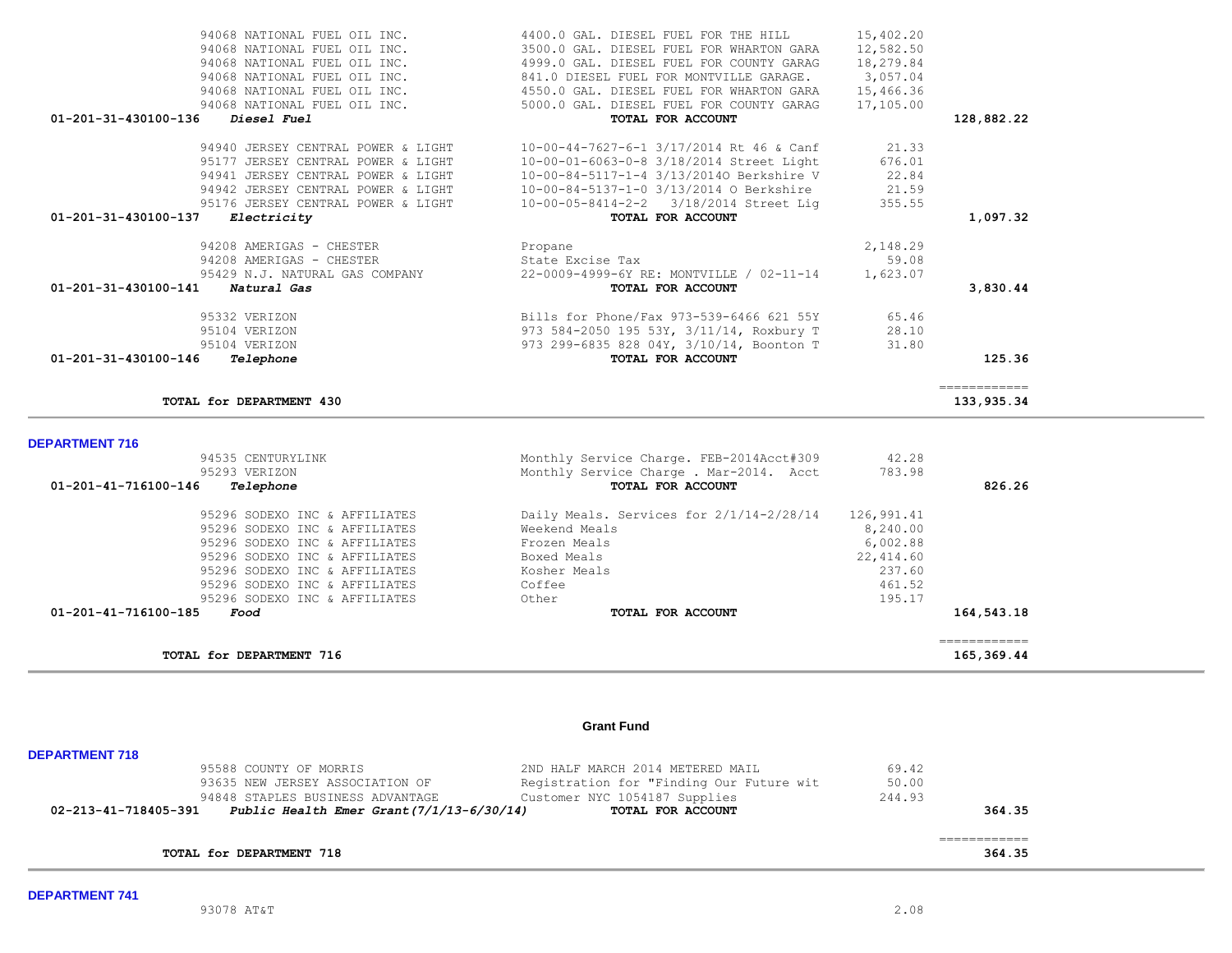| <b>DEPARTMENT 741</b> |
|-----------------------|
|-----------------------|

# 95296 SODEXO INC & AFFILIATES Other 195.17  **01-201-41-716100-185** *Food* **TOTAL FOR ACCOUNT 164,543.18** ============ **TOTAL for DEPARTMENT 716** 165,369.44 **Grant Fund**

95588 COUNTY OF MORRIS 195588 COUNTY OF MORRIS 2010 HALF MARCH 2014 METERED MAIL 69.42<br>93635 NEW JERSEY ASSOCIATION OF 30.00

94848 STAPLES BUSINESS ADVANTAGE Customer NYC 1054187 Supplies 244.93<br>Public Health Emer Grant (7/1/13-6/30/14) TOTAL FOR ACCOUNT  **02-213-41-718405-391** *Public Health Emer Grant(7/1/13-6/30/14)* **TOTAL FOR ACCOUNT 364.35**

**TOTAL for DEPARTMENT 718 364.35**

93635 NEW JERSEY ASSOCIATION OF Registration for "Finding Our Future wit

============

**TOTAL for DEPARTMENT 430** 133,935.34

## 94535 CENTURYLINK Monthly Service Charge. FEB-2014Acct#309 42.28 95293 VERIZON Monthly Service Charge . Mar-2014. Acct 783.98  **01-201-41-716100-146** *Telephone* **TOTAL FOR ACCOUNT 826.26** 95296 SODEXO INC & AFFILIATES Daily Meals. Services for 2/1/14-2/28/14 126,991.41 95296 SODEXO INC & AFFILIATES Weekend Meals 8,240.00 95296 SODEXO INC & AFFILIATES Frozen Meals 6,002.88 95296 SODEXO INC & AFFILIATES 95296 SODEXO INC & AFFILIATES Kosher Meals 237.60 95296 SODEXO INC & AFFILIATES  $\qquad \qquad$  Coffee 461.52

### **DEPARTMENT 716**

**DEPARTMENT 718** 

| 01-201-31-430100-136<br><i>Diesel Fuel</i> | TOTAL FOR ACCOUNT                        |          | 128,882.22 |
|--------------------------------------------|------------------------------------------|----------|------------|
| 94940 JERSEY CENTRAL POWER & LIGHT         | 10-00-44-7627-6-1 3/17/2014 Rt 46 & Canf | 21.33    |            |
| 95177 JERSEY CENTRAL POWER & LIGHT         | 10-00-01-6063-0-8 3/18/2014 Street Light | 676.01   |            |
| 94941 JERSEY CENTRAL POWER & LIGHT         | 10-00-84-5117-1-4 3/13/20140 Berkshire V | 22.84    |            |
| 94942 JERSEY CENTRAL POWER & LIGHT         | 10-00-84-5137-1-0 3/13/2014 O Berkshire  | 21.59    |            |
| 95176 JERSEY CENTRAL POWER & LIGHT         | 10-00-05-8414-2-2 3/18/2014 Street Lig   | 355.55   |            |
| 01-201-31-430100-137<br>Electricity        | TOTAL FOR ACCOUNT                        |          | 1,097.32   |
| 94208 AMERIGAS - CHESTER                   | Propane                                  | 2,148.29 |            |
| 94208 AMERIGAS - CHESTER                   | State Excise Tax                         | 59.08    |            |
| 95429 N.J. NATURAL GAS COMPANY             | 22-0009-4999-6Y RE: MONTVILLE / 02-11-14 | 1,623.07 |            |
| 01-201-31-430100-141<br>Natural Gas        | TOTAL FOR ACCOUNT                        |          | 3,830.44   |
| 95332 VERIZON                              | Bills for Phone/Fax 973-539-6466 621 55Y | 65.46    |            |
| 95104 VERIZON                              | 973 584-2050 195 53Y, 3/11/14, Roxbury T | 28.10    |            |
| 95104 VERIZON                              | 973 299-6835 828 04Y, 3/10/14, Boonton T | 31.80    |            |
| 01-201-31-430100-146<br>Telephone          | TOTAL FOR ACCOUNT                        |          | 125.36     |
|                                            |                                          |          |            |

94068 NATIONAL FUEL OIL INC.<br>94068 NATIONAL FUEL OIL INC. 4400.0 GAL. DIESEL FUEL FOR WHARTON GARA 12.582.50 94068 NATIONAL FUEL OIL INC. 3500.0 GAL. DIESEL FUEL FOR WHARTON GARA 12,582.50

94068 NATIONAL FUEL OIL INC.<br>94068 NATIONAL FUEL OIL INC. 84550.0 GAL. DIESEL FUEL FOR WHARTON GARA 15,466.36

94068 NATIONAL FUEL OIL INC. 5000.0 GAL. DIESEL FUEL FOR COUNTY GARAG 17,105.00

94068 NATIONAL FUEL OIL INC. 4999.0 GAL. DIESEL FUEL FOR COUNTY GARAG

94068 NATIONAL FUEL OIL INC. 4550.0 GAL. DIESEL FUEL FOR WHARTON GARA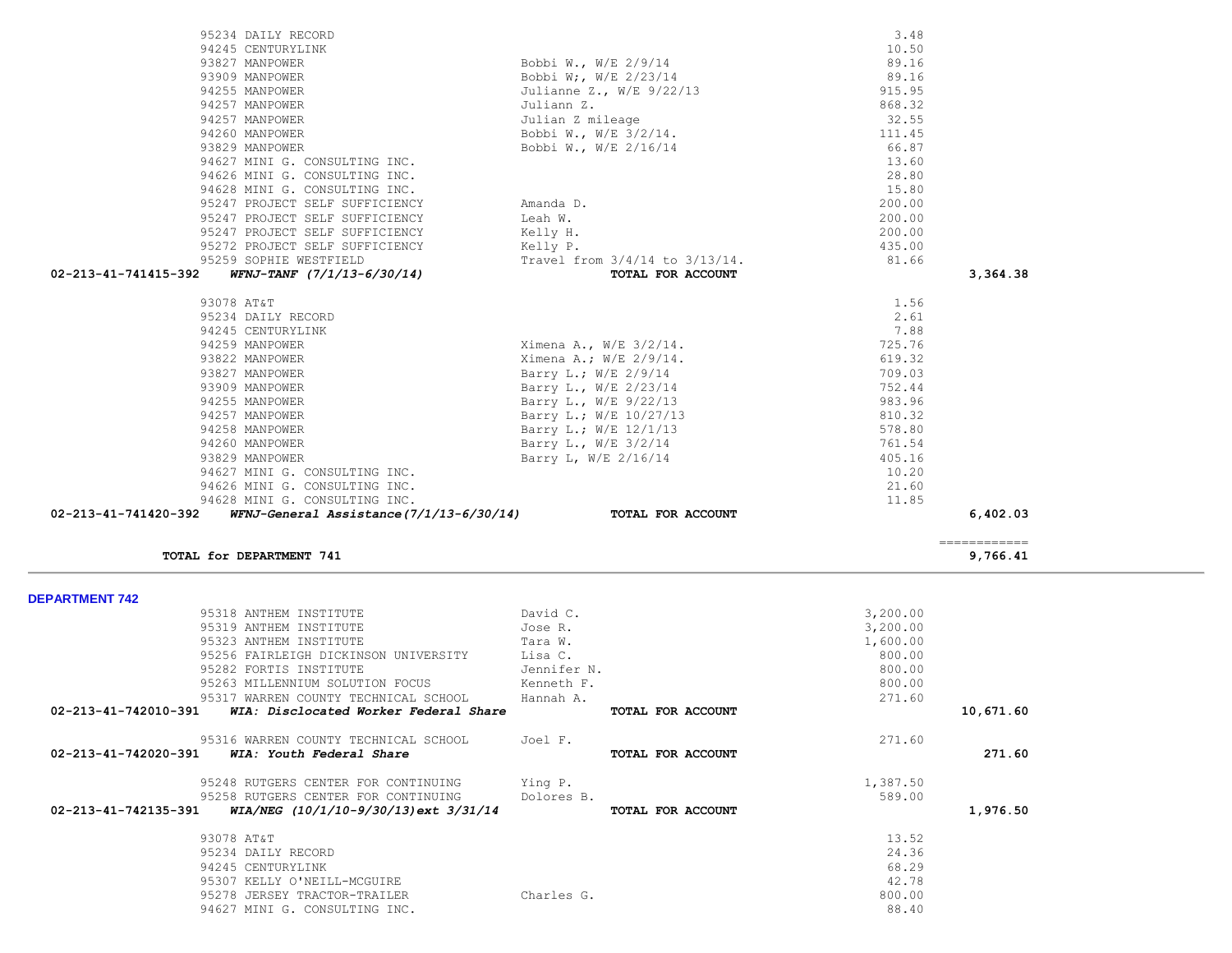|                                                               |             |                   |          | ============ |
|---------------------------------------------------------------|-------------|-------------------|----------|--------------|
| TOTAL for DEPARTMENT 741                                      |             |                   |          | 9,766.41     |
|                                                               |             |                   |          |              |
| <b>DEPARTMENT 742</b>                                         |             |                   |          |              |
| 95318 ANTHEM INSTITUTE                                        | David C.    |                   | 3,200.00 |              |
| 95319 ANTHEM INSTITUTE                                        | Jose R.     |                   | 3,200.00 |              |
| 95323 ANTHEM INSTITUTE                                        | Tara W.     |                   | 1,600.00 |              |
| 95256 FAIRLEIGH DICKINSON UNIVERSITY                          | Lisa C.     |                   | 800.00   |              |
| 95282 FORTIS INSTITUTE                                        | Jennifer N. |                   | 800.00   |              |
| 95263 MILLENNIUM SOLUTION FOCUS                               | Kenneth F.  |                   | 800.00   |              |
| 95317 WARREN COUNTY TECHNICAL SCHOOL                          | Hannah A.   |                   | 271.60   |              |
| 02-213-41-742010-391<br>WIA: Disclocated Worker Federal Share |             | TOTAL FOR ACCOUNT |          | 10,671.60    |
| 95316 WARREN COUNTY TECHNICAL SCHOOL                          | Joel F.     |                   | 271.60   |              |
| 02-213-41-742020-391<br>WIA: Youth Federal Share              |             | TOTAL FOR ACCOUNT |          | 271.60       |
| 95248 RUTGERS CENTER FOR CONTINUING                           | Ying P.     |                   | 1,387.50 |              |
| 95258 RUTGERS CENTER FOR CONTINUING                           | Dolores B.  |                   | 589.00   |              |
| WIA/NEG (10/1/10-9/30/13) ext 3/31/14<br>02-213-41-742135-391 |             | TOTAL FOR ACCOUNT |          | 1,976.50     |
| 93078 AT&T                                                    |             |                   | 13.52    |              |
| 95234 DAILY RECORD                                            |             |                   | 24.36    |              |
| 94245 CENTURYLINK                                             |             |                   | 68.29    |              |
| 95307 KELLY O'NEILL-MCGUIRE                                   |             |                   | 42.78    |              |
| 95278 JERSEY TRACTOR-TRAILER                                  | Charles G.  |                   | 800.00   |              |
| 94627 MINI G. CONSULTING INC.                                 |             |                   | 88.40    |              |

| 94245 CENTURYLINK                                      |                                                                | 10.50  |          |
|--------------------------------------------------------|----------------------------------------------------------------|--------|----------|
| 93827 MANPOWER                                         | Bobbi W., W/E 2/9/14                                           | 89.16  |          |
| 93909 MANPOWER                                         | Bobbi W;, W/E 2/23/14                                          | 89.16  |          |
| 94255 MANPOWER                                         | Julianne Z., W/E 9/22/13                                       | 915.95 |          |
| 94257 MANPOWER                                         | Juliann Z.                                                     | 868.32 |          |
| 94257 MANPOWER                                         | Julian Z mileage                                               | 32.55  |          |
| 94260 MANPOWER                                         | Bobbi W., W/E 3/2/14.                                          | 111.45 |          |
| 93829 MANPOWER                                         | Bobbi W., W/E 2/16/14                                          | 66.87  |          |
| 94627 MINI G. CONSULTING INC.                          |                                                                | 13.60  |          |
| 94626 MINI G. CONSULTING INC.                          |                                                                | 28.80  |          |
| 94628 MINI G. CONSULTING INC.                          |                                                                | 15.80  |          |
| 95247 PROJECT SELF SUFFICIENCY                         | Amanda D.                                                      | 200.00 |          |
| 95247 PROJECT SELF SUFFICIENCY                         | Leah W.                                                        | 200.00 |          |
| 95247 PROJECT SELF SUFFICIENCY                         | Kelly H.                                                       | 200.00 |          |
| 95272 PROJECT SELF SUFFICIENCY                         | Kelly P.                                                       | 435.00 |          |
| 95259 SOPHIE WESTFIELD                                 | Travel from 3/4/14 to 3/13/14.                                 | 81.66  |          |
| $WFNJ-TANF$ $(7/1/13-6/30/14)$<br>02-213-41-741415-392 | TOTAL FOR ACCOUNT                                              |        | 3,364.38 |
|                                                        |                                                                |        |          |
|                                                        |                                                                |        |          |
| 93078 AT&T                                             |                                                                | 1.56   |          |
| 95234 DAILY RECORD                                     |                                                                | 2.61   |          |
| 94245 CENTURYLINK                                      |                                                                | 7.88   |          |
| 94259 MANPOWER                                         | Ximena A., $W/E$ 3/2/14.                                       | 725.76 |          |
| 93822 MANPOWER                                         | Ximena A.; W/E 2/9/14.                                         | 619.32 |          |
| 93827 MANPOWER                                         | Barry L.; W/E 2/9/14                                           | 709.03 |          |
| 93909 MANPOWER                                         | Barry L., W/E 2/23/14                                          | 752.44 |          |
| 94255 MANPOWER                                         | Barry L., W/E 9/22/13                                          | 983.96 |          |
| 94257 MANPOWER                                         | Barry L.; W/E 10/27/13                                         | 810.32 |          |
| 94258 MANPOWER                                         | Barry L.; W/E 12/1/13                                          | 578.80 |          |
| 94260 MANPOWER                                         | Barry L., $W/E$ 3/2/14                                         | 761.54 |          |
| 93829 MANPOWER                                         | Barry L, W/E 2/16/14                                           | 405.16 |          |
| 94627 MINI G. CONSULTING INC.                          |                                                                | 10.20  |          |
| 94626 MINI G. CONSULTING INC.                          |                                                                | 21.60  |          |
| 94628 MINI G. CONSULTING INC.                          | $WFNJ-General$ Assistance $(7/1/13-6/30/14)$ TOTAL FOR ACCOUNT | 11.85  | 6,402.03 |

95234 DAILY RECORD 3.48<br>94245 CENTURYLINK 10.50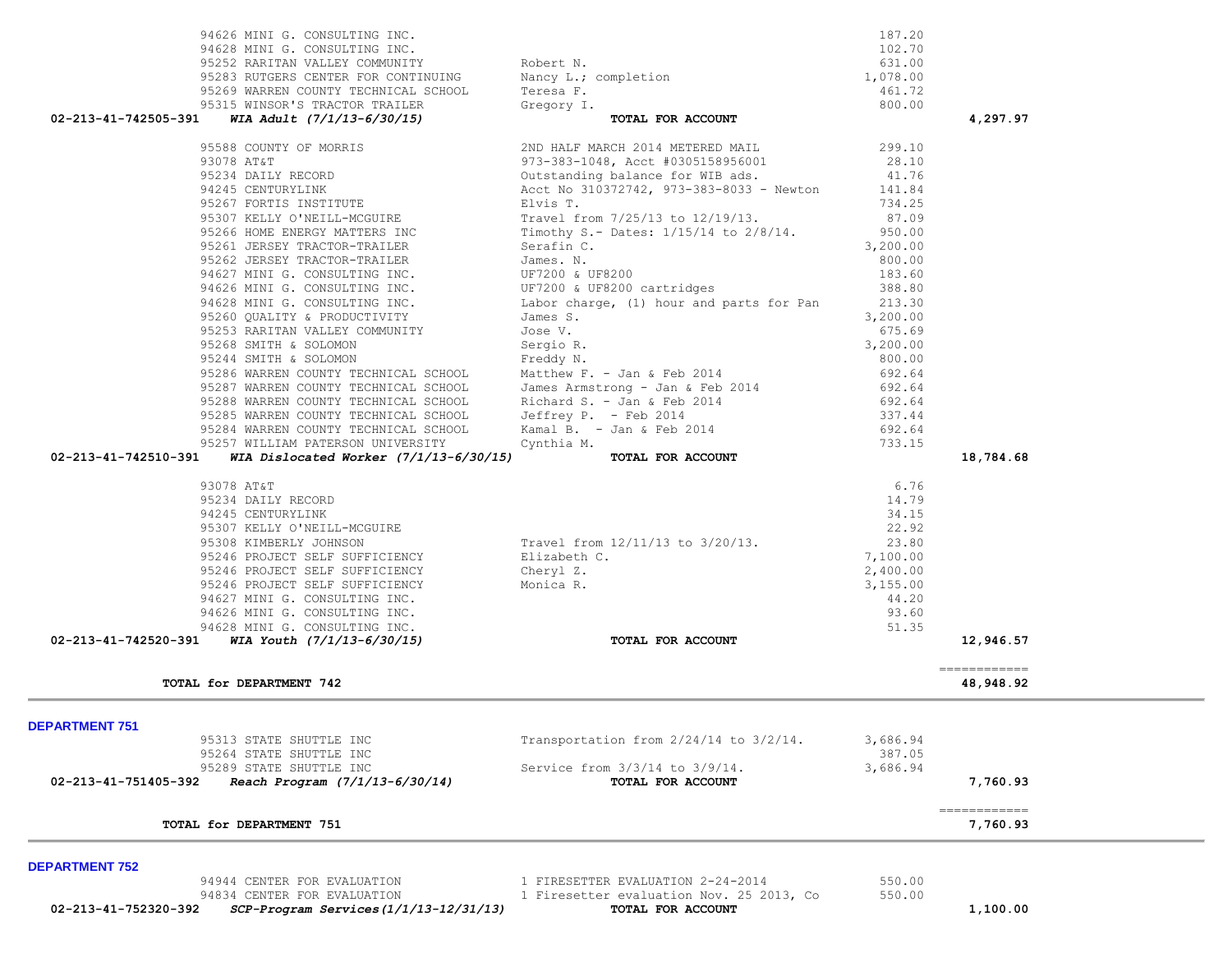| 95252 RARITAN VALLEY COMMUNITY                                                     | Robert N.                                                                 | 631.00   |                           |
|------------------------------------------------------------------------------------|---------------------------------------------------------------------------|----------|---------------------------|
| 95283 RUTGERS CENTER FOR CONTINUING                                                | Nancy L.; completion                                                      | 1,078.00 |                           |
| 95269 WARREN COUNTY TECHNICAL SCHOOL                                               | Teresa F.                                                                 | 461.72   |                           |
| 95315 WINSOR'S TRACTOR TRAILER                                                     | Gregory I.                                                                | 800.00   |                           |
| 02-213-41-742505-391<br>WIA Adult (7/1/13-6/30/15)                                 | TOTAL FOR ACCOUNT                                                         |          | 4,297.97                  |
| 95588 COUNTY OF MORRIS                                                             | 2ND HALF MARCH 2014 METERED MAIL                                          | 299.10   |                           |
| 93078 AT&T                                                                         |                                                                           | 28.10    |                           |
| 95234 DAILY RECORD                                                                 | $y_1$ 3-383-1048, Acct #0305158956001<br>Outstanding balance for WIB ads. | 41.76    |                           |
| 94245 CENTURYLINK                                                                  | Acct No 310372742, 973-383-8033 - Newton                                  | 141.84   |                           |
| 95267 FORTIS INSTITUTE                                                             | Elvis T.                                                                  | 734.25   |                           |
| 95307 KELLY O'NEILL-MCGUIRE                                                        | Travel from 7/25/13 to 12/19/13.                                          | 87.09    |                           |
| 95266 HOME ENERGY MATTERS INC                                                      | Timothy S.- Dates: 1/15/14 to 2/8/14.                                     | 950.00   |                           |
| 95261 JERSEY TRACTOR-TRAILER                                                       | Serafin C.                                                                | 3,200.00 |                           |
| 95262 JERSEY TRACTOR-TRAILER                                                       | James. N.                                                                 | 800.00   |                           |
| 94627 MINI G. CONSULTING INC.                                                      | UF7200 & UF8200                                                           | 183.60   |                           |
| 94626 MINI G. CONSULTING INC.                                                      | UF7200 & UF8200 cartridges                                                | 388.80   |                           |
| 94628 MINI G. CONSULTING INC.                                                      | Labor charge, (1) hour and parts for Pan                                  | 213.30   |                           |
| 95260 QUALITY & PRODUCTIVITY                                                       | James S.                                                                  | 3,200.00 |                           |
| 95253 RARITAN VALLEY COMMUNITY                                                     | Jose V.                                                                   | 675.69   |                           |
| 95268 SMITH & SOLOMON                                                              |                                                                           | 3,200.00 |                           |
| 95244 SMITH & SOLOMON                                                              | Sergio R.                                                                 | 800.00   |                           |
| 95286 WARREN COUNTY TECHNICAL SCHOOL                                               | Freddy N.                                                                 | 692.64   |                           |
| 95287 WARREN COUNTY TECHNICAL SCHOOL                                               | Matthew F. - Jan & Feb 2014                                               |          |                           |
|                                                                                    | James Armstrong - Jan & Feb 2014                                          | 692.64   |                           |
| 95288 WARREN COUNTY TECHNICAL SCHOOL                                               | Richard S. - Jan & Feb 2014                                               | 692.64   |                           |
| 95285 WARREN COUNTY TECHNICAL SCHOOL                                               | Jeffrey P. - Feb 2014                                                     | 337.44   |                           |
| 95284 WARREN COUNTY TECHNICAL SCHOOL                                               | Kamal B. - Jan & Feb 2014                                                 | 692.64   |                           |
| 95257 WILLIAM PATERSON UNIVERSITY                                                  | Cynthia M.                                                                | 733.15   |                           |
| 02-213-41-742510-391<br>WIA Dislocated Worker $(7/1/13-6/30/15)$ TOTAL FOR ACCOUNT |                                                                           |          | 18,784.68                 |
| 93078 AT&T                                                                         |                                                                           | 6.76     |                           |
| 95234 DAILY RECORD                                                                 |                                                                           | 14.79    |                           |
| 94245 CENTURYLINK                                                                  |                                                                           | 34.15    |                           |
| 95307 KELLY O'NEILL-MCGUIRE                                                        |                                                                           | 22.92    |                           |
| 95308 KIMBERLY JOHNSON                                                             | Travel from 12/11/13 to 3/20/13.                                          | 23.80    |                           |
| 95246 PROJECT SELF SUFFICIENCY                                                     | Elizabeth C.                                                              | 7,100.00 |                           |
| 95246 PROJECT SELF SUFFICIENCY                                                     | Cheryl Z.                                                                 | 2,400.00 |                           |
| 95246 PROJECT SELF SUFFICIENCY                                                     | Monica R.                                                                 | 3,155.00 |                           |
| 94627 MINI G. CONSULTING INC.                                                      |                                                                           | 44.20    |                           |
| 94626 MINI G. CONSULTING INC.                                                      |                                                                           | 93.60    |                           |
| 94628 MINI G. CONSULTING INC.                                                      |                                                                           | 51.35    |                           |
| 02-213-41-742520-391<br>WIA Youth $(7/1/13-6/30/15)$                               | TOTAL FOR ACCOUNT                                                         |          | 12,946.57                 |
|                                                                                    |                                                                           |          |                           |
|                                                                                    |                                                                           |          |                           |
| TOTAL for DEPARTMENT 742                                                           |                                                                           |          | 48,948.92                 |
|                                                                                    |                                                                           |          |                           |
| <b>DEPARTMENT 751</b>                                                              |                                                                           |          |                           |
| 95313 STATE SHUTTLE INC                                                            | Transportation from $2/24/14$ to $3/2/14$ .                               | 3,686.94 |                           |
| 95264 STATE SHUTTLE INC                                                            |                                                                           | 387.05   |                           |
| 95289 STATE SHUTTLE INC                                                            | Service from 3/3/14 to 3/9/14.                                            | 3,686.94 |                           |
| Reach Program (7/1/13-6/30/14)<br>02-213-41-751405-392                             | TOTAL FOR ACCOUNT                                                         |          | 7,760.93                  |
| TOTAL for DEPARTMENT 751                                                           |                                                                           |          | -------------<br>7,760.93 |
|                                                                                    |                                                                           |          |                           |
| <b>DEPARTMENT 752</b>                                                              |                                                                           |          |                           |
| 94944 CENTER FOR EVALUATION                                                        | 1 FIRESETTER EVALUATION 2-24-2014                                         | 550.00   |                           |
| 94834 CENTER FOR EVALUATION                                                        | 1 Firesetter evaluation Nov. 25 2013, Co                                  | 550.00   |                           |
| 02-213-41-752320-392<br>SCP-Program Services (1/1/13-12/31/13)                     | TOTAL FOR ACCOUNT                                                         |          | 1,100.00                  |

94626 MINI G. CONSULTING INC. 187.20

94628 MINI G. CONSULTING INC.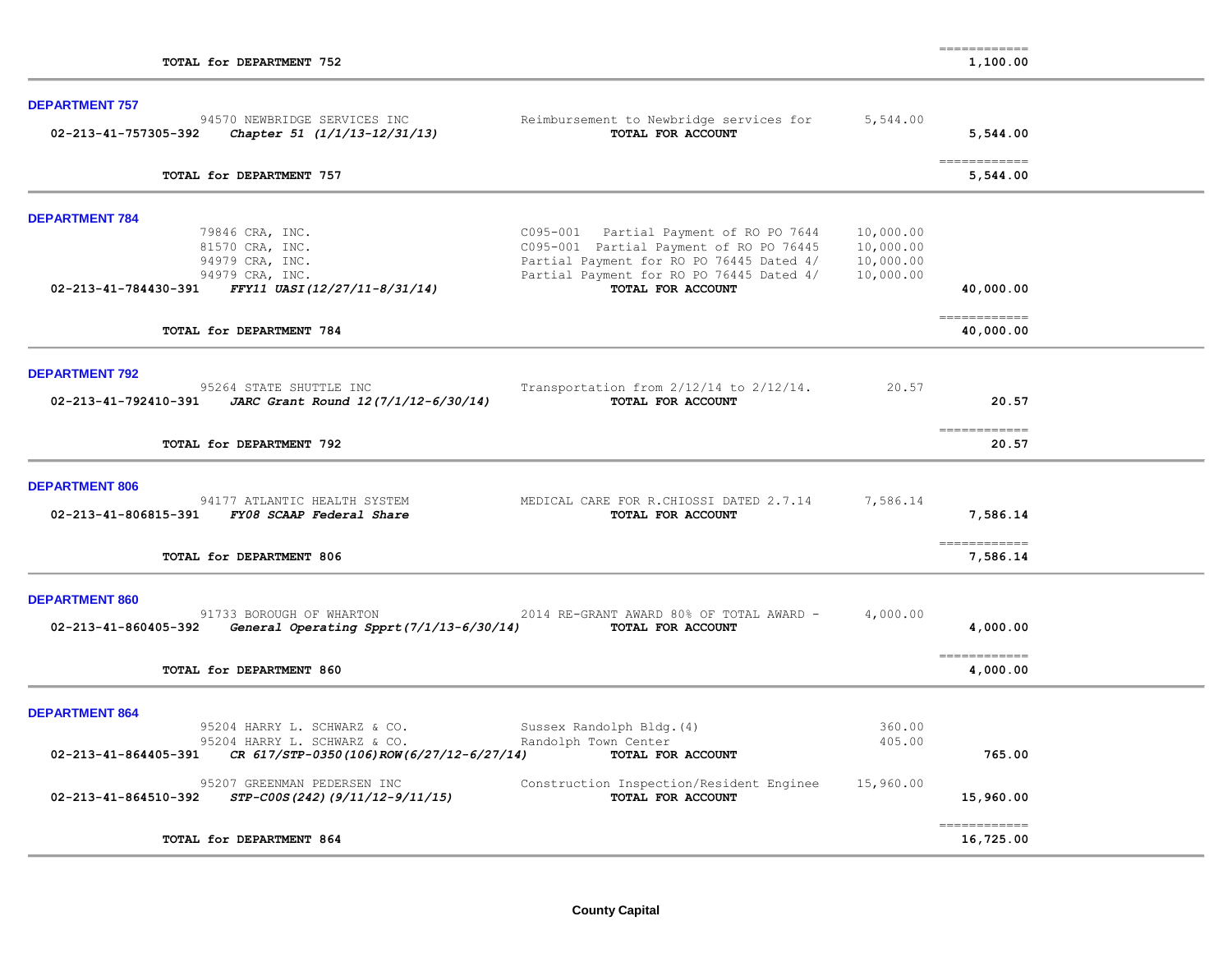| TOTAL for DEPARTMENT 752                                                                    |                                                                                      |                        | 1,100.00                   |  |
|---------------------------------------------------------------------------------------------|--------------------------------------------------------------------------------------|------------------------|----------------------------|--|
| <b>DEPARTMENT 757</b>                                                                       |                                                                                      |                        |                            |  |
| 94570 NEWBRIDGE SERVICES INC<br>02-213-41-757305-392<br>Chapter 51 (1/1/13-12/31/13)        | Reimbursement to Newbridge services for<br>TOTAL FOR ACCOUNT                         | 5,544.00               | 5,544.00                   |  |
| TOTAL for DEPARTMENT 757                                                                    |                                                                                      |                        | 5,544.00                   |  |
| <b>DEPARTMENT 784</b>                                                                       |                                                                                      |                        |                            |  |
| 79846 CRA, INC.<br>81570 CRA, INC.                                                          | C095-001 Partial Payment of RO PO 7644<br>C095-001 Partial Payment of RO PO 76445    | 10,000.00<br>10,000.00 |                            |  |
| 94979 CRA, INC.<br>94979 CRA, INC.                                                          | Partial Payment for RO PO 76445 Dated 4/<br>Partial Payment for RO PO 76445 Dated 4/ | 10,000.00<br>10,000.00 |                            |  |
| FFY11 UASI(12/27/11-8/31/14)<br>02-213-41-784430-391                                        | TOTAL FOR ACCOUNT                                                                    |                        | 40,000.00                  |  |
| TOTAL for DEPARTMENT 784                                                                    |                                                                                      |                        | ============<br>40,000.00  |  |
| <b>DEPARTMENT 792</b>                                                                       |                                                                                      |                        |                            |  |
| 95264 STATE SHUTTLE INC<br>02-213-41-792410-391<br>JARC Grant Round 12(7/1/12-6/30/14)      | Transportation from $2/12/14$ to $2/12/14$ .<br>TOTAL FOR ACCOUNT                    | 20.57                  | 20.57                      |  |
| TOTAL for DEPARTMENT 792                                                                    |                                                                                      |                        | ============<br>20.57      |  |
| <b>DEPARTMENT 806</b>                                                                       |                                                                                      |                        |                            |  |
| 94177 ATLANTIC HEALTH SYSTEM<br>02-213-41-806815-391 FY08 SCAAP Federal Share               | MEDICAL CARE FOR R. CHIOSSI DATED 2.7.14<br>TOTAL FOR ACCOUNT                        | 7,586.14               | 7,586.14                   |  |
| TOTAL for DEPARTMENT 806                                                                    |                                                                                      |                        | =============<br>7,586.14  |  |
| <b>DEPARTMENT 860</b>                                                                       |                                                                                      |                        |                            |  |
| 91733 BOROUGH OF WHARTON<br>02-213-41-860405-392<br>General Operating Spprt(7/1/13-6/30/14) | 2014 RE-GRANT AWARD 80% OF TOTAL AWARD -<br>TOTAL FOR ACCOUNT                        | 4,000.00               | 4,000.00                   |  |
| TOTAL for DEPARTMENT 860                                                                    |                                                                                      |                        | 4,000.00                   |  |
| <b>DEPARTMENT 864</b>                                                                       |                                                                                      |                        |                            |  |
| 95204 HARRY L. SCHWARZ & CO.<br>95204 HARRY L. SCHWARZ & CO.                                | Sussex Randolph Bldg. (4)<br>Randolph Town Center                                    | 360.00<br>405.00       |                            |  |
| 02-213-41-864405-391<br>CR 617/STP-0350(106)ROW(6/27/12-6/27/14)                            | TOTAL FOR ACCOUNT                                                                    |                        | 765.00                     |  |
| 95207 GREENMAN PEDERSEN INC<br>02-213-41-864510-392<br>STP-C00S(242)(9/11/12-9/11/15)       | Construction Inspection/Resident Enginee<br>TOTAL FOR ACCOUNT                        | 15,960.00              | 15,960.00                  |  |
| TOTAL for DEPARTMENT 864                                                                    |                                                                                      |                        | -------------<br>16,725.00 |  |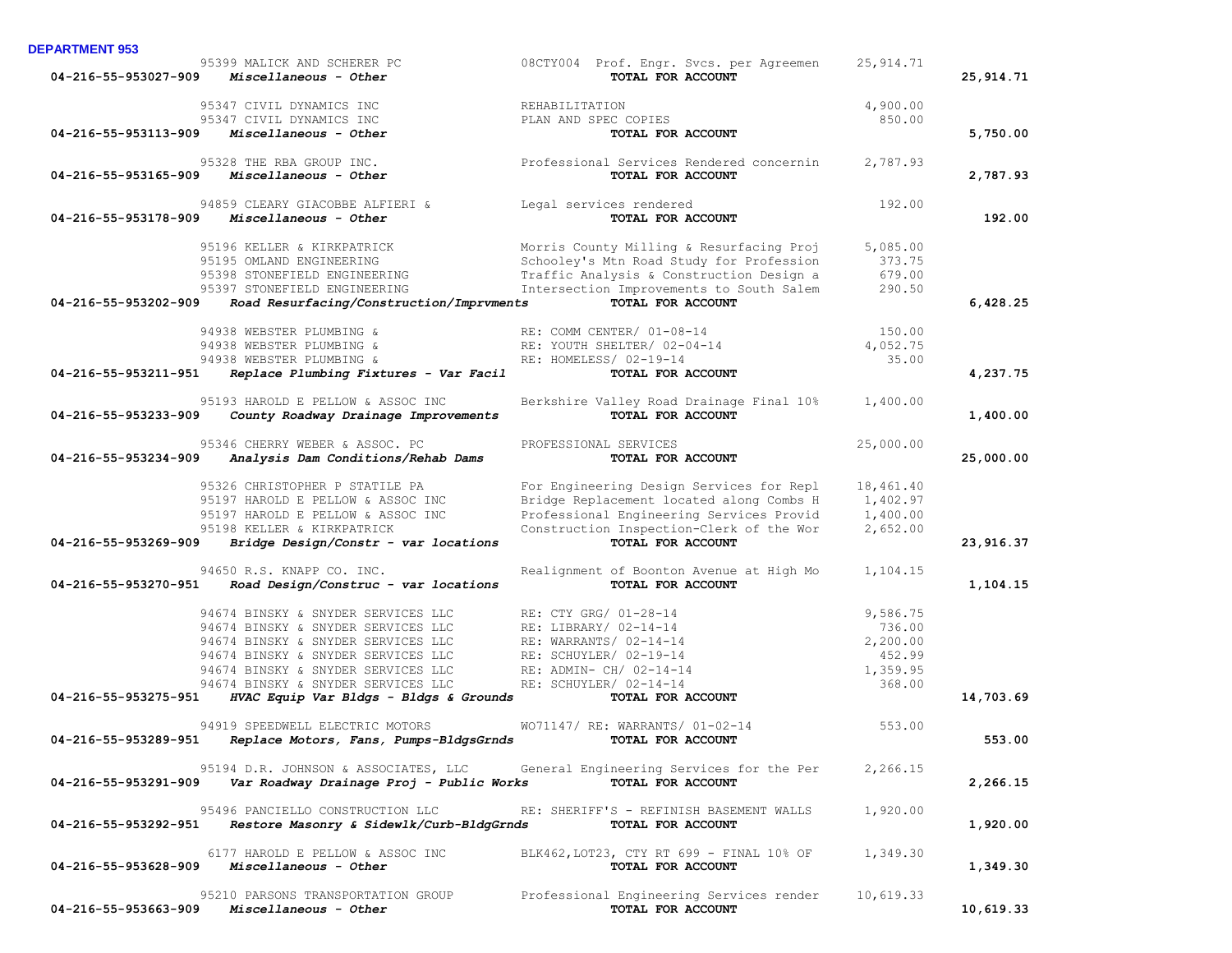| 04-216-55-953027-909 | 95399 MALICK AND SCHERER PC<br>Miscellaneous - Other | 08CTY004 Prof. Engr. Svcs. per Agreemen<br>TOTAL FOR ACCOUNT | 25, 914.71 | 25, 914. 71 |
|----------------------|------------------------------------------------------|--------------------------------------------------------------|------------|-------------|
|                      | 95347 CIVIL DYNAMICS INC                             | REHABILITATION                                               | 4,900.00   |             |
|                      | 95347 CIVIL DYNAMICS INC                             | PLAN AND SPEC COPIES                                         | 850.00     |             |
| 04-216-55-953113-909 | Miscellaneous - Other                                | TOTAL FOR ACCOUNT                                            |            | 5,750.00    |
|                      | 95328 THE RBA GROUP INC.                             | Professional Services Rendered concernin                     | 2,787.93   |             |
| 04-216-55-953165-909 | Miscellaneous - Other                                | TOTAL FOR ACCOUNT                                            |            | 2,787.93    |
|                      | 94859 CLEARY GIACOBBE ALFIERI &                      | Legal services rendered                                      | 192.00     |             |
| 04-216-55-953178-909 | Miscellaneous - Other                                | TOTAL FOR ACCOUNT                                            |            | 192.00      |
|                      | 95196 KELLER & KIRKPATRICK                           | Morris County Milling & Resurfacing Proj                     | 5,085.00   |             |
|                      | 95195 OMLAND ENGINEERING                             | Schooley's Mtn Road Study for Profession                     | 373.75     |             |
|                      | 95398 STONEFIELD ENGINEERING                         | Traffic Analysis & Construction Design a                     | 679.00     |             |
|                      | 95397 STONEFIELD ENGINEERING                         | Intersection Improvements to South Salem                     | 290.50     |             |
| 04-216-55-953202-909 | Road Resurfacing/Construction/Imprvments             | TOTAL FOR ACCOUNT                                            |            | 6,428.25    |
|                      | 94938 WEBSTER PLUMBING &                             | RE: COMM CENTER/ 01-08-14                                    | 150.00     |             |
|                      | 94938 WEBSTER PLUMBING &                             | RE: YOUTH SHELTER/ 02-04-14                                  | 4,052.75   |             |
|                      | 94938 WEBSTER PLUMBING &                             | RE: HOMELESS/ 02-19-14                                       | 35.00      |             |
| 04-216-55-953211-951 | Replace Plumbing Fixtures - Var Facil                | TOTAL FOR ACCOUNT                                            |            | 4,237.75    |
|                      | 95193 HAROLD E PELLOW & ASSOC INC                    | Berkshire Valley Road Drainage Final 10%                     | 1,400.00   |             |
| 04-216-55-953233-909 | County Roadway Drainage Improvements                 | TOTAL FOR ACCOUNT                                            |            | 1,400.00    |
|                      | 95346 CHERRY WEBER & ASSOC. PC                       | PROFESSIONAL SERVICES                                        | 25,000.00  |             |
| 04-216-55-953234-909 | Analysis Dam Conditions/Rehab Dams                   | TOTAL FOR ACCOUNT                                            |            | 25,000.00   |
|                      | 95326 CHRISTOPHER P STATILE PA                       | For Engineering Design Services for Repl                     | 18,461.40  |             |
|                      | 95197 HAROLD E PELLOW & ASSOC INC                    | Bridge Replacement located along Combs H                     | 1,402.97   |             |
|                      | 95197 HAROLD E PELLOW & ASSOC INC                    | Professional Engineering Services Provid                     | 1,400.00   |             |
|                      | 95198 KELLER & KIRKPATRICK                           | Construction Inspection-Clerk of the Wor                     | 2,652.00   |             |
| 04-216-55-953269-909 | Bridge Design/Constr - var locations                 | TOTAL FOR ACCOUNT                                            |            | 23,916.37   |
|                      | 94650 R.S. KNAPP CO. INC.                            | Realignment of Boonton Avenue at High Mo                     | 1,104.15   |             |
| 04-216-55-953270-951 | Road Design/Construc - var locations                 | TOTAL FOR ACCOUNT                                            |            | 1,104.15    |
|                      | 94674 BINSKY & SNYDER SERVICES LLC                   | RE: CTY GRG/ 01-28-14                                        | 9,586.75   |             |
|                      | 94674 BINSKY & SNYDER SERVICES LLC                   | RE: LIBRARY/ 02-14-14                                        | 736.00     |             |
|                      | 94674 BINSKY & SNYDER SERVICES LLC                   | RE: WARRANTS/ 02-14-14                                       | 2,200.00   |             |
|                      | 94674 BINSKY & SNYDER SERVICES LLC                   | RE: SCHUYLER/ 02-19-14                                       | 452.99     |             |
|                      | 94674 BINSKY & SNYDER SERVICES LLC                   | RE: ADMIN- CH/ 02-14-14                                      | 1,359.95   |             |
|                      | 94674 BINSKY & SNYDER SERVICES LLC                   | RE: SCHUYLER/ 02-14-14                                       | 368.00     |             |
| 04-216-55-953275-951 | HVAC Equip Var Bldgs - Bldgs & Grounds               | TOTAL FOR ACCOUNT                                            |            | 14,703.69   |
|                      | 94919 SPEEDWELL ELECTRIC MOTORS                      | WO71147/ RE: WARRANTS/ 01-02-14                              | 553.00     |             |
| 04-216-55-953289-951 | Replace Motors, Fans, Pumps-BldgsGrnds               | TOTAL FOR ACCOUNT                                            |            | 553.00      |
|                      | 95194 D.R. JOHNSON & ASSOCIATES, LLC                 | General Engineering Services for the Per                     | 2,266.15   |             |
| 04-216-55-953291-909 | Var Roadway Drainage Proj - Public Works             | TOTAL FOR ACCOUNT                                            |            | 2,266.15    |
|                      | 95496 PANCIELLO CONSTRUCTION LLC                     | RE: SHERIFF'S - REFINISH BASEMENT WALLS                      | 1,920.00   |             |
| 04-216-55-953292-951 | Restore Masonry & Sidewlk/Curb-BldgGrnds             | TOTAL FOR ACCOUNT                                            |            | 1,920.00    |
|                      | 6177 HAROLD E PELLOW & ASSOC INC                     | BLK462, LOT23, CTY RT 699 - FINAL 10% OF                     | 1,349.30   |             |
| 04-216-55-953628-909 | Miscellaneous - Other                                | TOTAL FOR ACCOUNT                                            |            | 1,349.30    |
|                      | 95210 PARSONS TRANSPORTATION GROUP                   | Professional Engineering Services render                     | 10,619.33  |             |
| 04-216-55-953663-909 | Miscellaneous - Other                                | TOTAL FOR ACCOUNT                                            |            | 10,619.33   |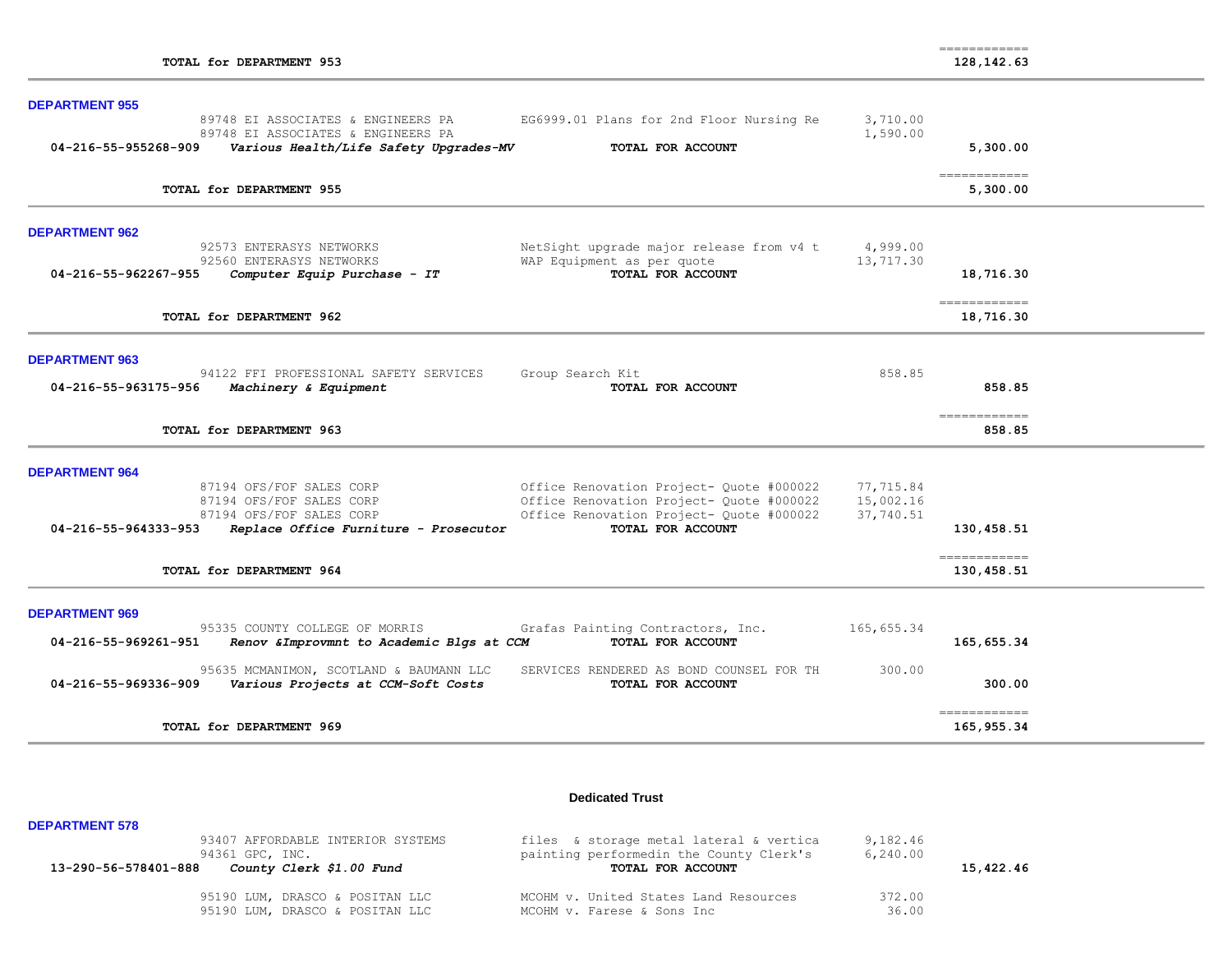| <b>DEPARTMENT 955</b> |                                                                                                                    |                                                                                      |                        |                                           |  |
|-----------------------|--------------------------------------------------------------------------------------------------------------------|--------------------------------------------------------------------------------------|------------------------|-------------------------------------------|--|
| 04-216-55-955268-909  | 89748 EI ASSOCIATES & ENGINEERS PA<br>89748 EI ASSOCIATES & ENGINEERS PA<br>Various Health/Life Safety Upgrades-MV | EG6999.01 Plans for 2nd Floor Nursing Re<br>TOTAL FOR ACCOUNT                        | 3,710.00<br>1,590.00   | 5,300.00                                  |  |
|                       | TOTAL for DEPARTMENT 955                                                                                           |                                                                                      |                        | $=$ = = = = = = = = = = = =<br>5,300.00   |  |
| <b>DEPARTMENT 962</b> |                                                                                                                    |                                                                                      |                        |                                           |  |
|                       | 92573 ENTERASYS NETWORKS                                                                                           | NetSight upgrade major release from v4 t                                             | 4,999.00               |                                           |  |
| 04-216-55-962267-955  | 92560 ENTERASYS NETWORKS<br>Computer Equip Purchase - IT                                                           | WAP Equipment as per quote<br>TOTAL FOR ACCOUNT                                      | 13,717.30              | 18,716.30                                 |  |
|                       | TOTAL for DEPARTMENT 962                                                                                           |                                                                                      |                        | ============<br>18,716.30                 |  |
|                       |                                                                                                                    |                                                                                      |                        |                                           |  |
| <b>DEPARTMENT 963</b> |                                                                                                                    |                                                                                      |                        |                                           |  |
| 04-216-55-963175-956  | 94122 FFI PROFESSIONAL SAFETY SERVICES<br>Machinery & Equipment                                                    | Group Search Kit<br>TOTAL FOR ACCOUNT                                                | 858.85                 | 858.85                                    |  |
|                       | TOTAL for DEPARTMENT 963                                                                                           |                                                                                      |                        | 858.85                                    |  |
| <b>DEPARTMENT 964</b> |                                                                                                                    |                                                                                      |                        |                                           |  |
|                       | 87194 OFS/FOF SALES CORP                                                                                           | Office Renovation Project- Quote #000022                                             | 77,715.84              |                                           |  |
|                       | 87194 OFS/FOF SALES CORP<br>87194 OFS/FOF SALES CORP                                                               | Office Renovation Project- Quote #000022<br>Office Renovation Project- Quote #000022 | 15,002.16<br>37,740.51 |                                           |  |
| 04-216-55-964333-953  | Replace Office Furniture - Prosecutor                                                                              | TOTAL FOR ACCOUNT                                                                    |                        | 130,458.51                                |  |
|                       | TOTAL for DEPARTMENT 964                                                                                           |                                                                                      |                        | $=$ = = = = = = = = = = = =<br>130,458.51 |  |
| <b>DEPARTMENT 969</b> |                                                                                                                    |                                                                                      |                        |                                           |  |
| 04-216-55-969261-951  | 95335 COUNTY COLLEGE OF MORRIS<br>Renov & Improvmnt to Academic Blgs at CCM                                        | Grafas Painting Contractors, Inc.<br>TOTAL FOR ACCOUNT                               | 165,655.34             | 165,655.34                                |  |
| 04-216-55-969336-909  | 95635 MCMANIMON, SCOTLAND & BAUMANN LLC<br>Various Projects at CCM-Soft Costs                                      | SERVICES RENDERED AS BOND COUNSEL FOR TH<br>TOTAL FOR ACCOUNT                        | 300.00                 | 300.00                                    |  |
|                       | TOTAL for DEPARTMENT 969                                                                                           |                                                                                      |                        | ============<br>165,955.34                |  |

### **Dedicated Trust**

| <b>DEPARTMENT 578</b>                                                                                    |                                                                                                         |                       |           |
|----------------------------------------------------------------------------------------------------------|---------------------------------------------------------------------------------------------------------|-----------------------|-----------|
| 93407 AFFORDABLE INTERIOR SYSTEMS<br>94361 GPC, INC.<br>County Clerk \$1.00 Fund<br>13-290-56-578401-888 | files & storage metal lateral & vertica<br>painting performedin the County Clerk's<br>TOTAL FOR ACCOUNT | 9,182.46<br>6, 240.00 | 15,422.46 |
| 95190 LUM, DRASCO & POSITAN LLC<br>95190 LUM, DRASCO & POSITAN LLC                                       | MCOHM v. United States Land Resources<br>MCOHM v. Farese & Sons Inc                                     | 372.00<br>36.00       |           |